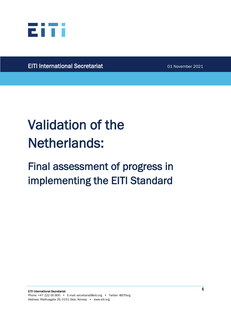

l,

EITI International Secretariat 01 November 2021

# Validation of the Netherlands:

## Final assessment of progress in implementing the EITI Standard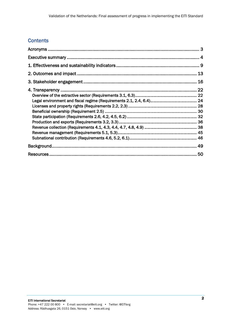## **Contents**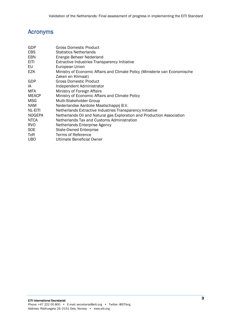## Acronyms

| GDP<br>CBS    | <b>Gross Domestic Product</b><br><b>Statistics Netherlands</b>              |
|---------------|-----------------------------------------------------------------------------|
| EBN           | Energie Beheer Nederland                                                    |
| <b>EITI</b>   | <b>Extractive Industries Transparency Initiative</b>                        |
| EU            | European Union                                                              |
| <b>EZK</b>    | Ministry of Economic Affairs and Climate Policy (Ministerie van Economische |
|               | Zaken en Klimaat)                                                           |
| GDP           | <b>Gross Domestic Product</b>                                               |
| IA            | Independent Administrator                                                   |
| MFA           | Ministry of Foreign Affairs                                                 |
| <b>MEACP</b>  | Ministry of Economic Affairs and Climate Policy                             |
| <b>MSG</b>    | Multi-Stakeholder Group                                                     |
| NAM.          | Nederlandse Aardolie Maatschappij B.V.                                      |
| NL-EITI       | Netherlands Extractive Industries Transparency Initiative                   |
| <b>NOGEPA</b> | Netherlands Oil and Natural gas Exploration and Production Association      |
| <b>NTCA</b>   | Netherlands Tax and Customs Administration                                  |
| <b>RVO</b>    | Netherlands Enterprise Agency                                               |
| <b>SOE</b>    | <b>State-Owned Enterprise</b>                                               |
| ToR           | Terms of Reference                                                          |
| <b>UBO</b>    | Ultimate Beneficial Owner                                                   |
|               |                                                                             |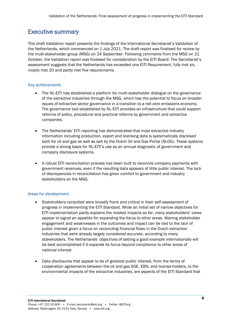## Executive summary

This draft Validation report presents the findings of the International Secretariat's Validation of the Netherlands, which commenced on 1 July 2021. The draft report was finalised for review by the multi-stakeholder group (MSG) on 24 September. Following comments from the MSG on 21 October, the Validation report was finalised for consideration by the EITI Board. The Secretariat's assessment suggests that the Netherlands has exceeded one EITI Requirement, fully met six, mostly met 20 and partly met five requirements.

#### Key achievements

- The NL-EITI has established a platform for multi-stakeholder dialogue on the governance of the extractive industries through the MSG, which has the potential to focus on broader issues of extractive sector governance in a transition to a net-zero emissions economy. The governance tool established by NL-EITI provides an infrastructure that could support reforms of policy, procedural and practical reforms by government and extractive companies.
- The Netherlands' EITI reporting has demonstrated that most extractive industry information including production, export and licensing data is systematically disclosed both for oil and gas as well as salt by the Dutch Oil and Gas Portal (NLOG). These systems provide a strong basis for NL-EITI's use as an annual diagnostic of government and company disclosure systems.
- A robust EITI reconciliation process has been built to reconcile company payments with government revenues, even if the resulting data appears of little public interest. The lack of discrepancies in reconciliation has given comfort to government and industry stakeholders on the MSG.

#### Areas for development

- Stakeholders consulted were broadly frank and critical in their self-assessment of progress in implementing the EITI Standard. While an initial set of narrow objectives for EITI implementation partly explains the modest impacts so far, many stakeholders' views appear to signal an appetite for expanding the focus to other areas. Waning stakeholder engagement and weaknesses in the outcomes and impact can be tied to the lack of public interest given a focus on reconciling financial flows in the Dutch extractive industries that were already largely considered accurate, according to many stakeholders. The Netherlands' objectives of setting a good example internationally will be best accomplished if it expands its focus beyond compliance to other areas of national interest.
- Data disclosures that appear to be of greatest public interest, from the terms of cooperation agreements between the oil and gas SOE, EBN, and license-holders, to the environmental impacts of the extractive industries, are aspects of the EITI Standard that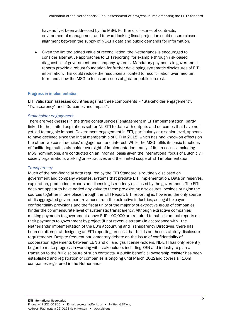have not yet been addressed by the MSG. Further disclosures of contracts, environmental management and forward-looking fiscal projection could ensure closer alignment between the supply of NL-EITI data and public demands for information.

• Given the limited added value of reconciliation, the Netherlands is encouraged to consider alternative approaches to EITI reporting, for example through risk-based diagnostics of government and company systems. Mandatory payments to government reports provide a robust foundation for further developing systematic disclosures of EITI information. This could reduce the resources allocated to reconciliation over medium term and allow the MSG to focus on issues of greater public interest.

#### Progress in implementation

EITI Validation assesses countries against three components – "Stakeholder engagement", "Transparency" and "Outcomes and impact".

#### *Stakeholder engagement*

There are weaknesses in the three constituencies' engagement in EITI implementation, partly linked to the limited aspirations set for NL-EITI to date with outputs and outcomes that have not yet led to tangible impact. Government engagement in EITI, particularly at a senior level, appears to have declined since the initial membership of EITI in 2018, which has had knock-on effects on the other two constituencies' engagement and interest. While the MSG fulfils its basic functions of facilitating multi-stakeholder oversight of implementation, many of its processes, including MSG nominations, are conducted on an informal basis given the international focus of Dutch civil society organizations working on extractives and the limited scope of EITI implementation.

#### *Transparency*

Much of the non-financial data required by the EITI Standard is routinely disclosed on government and company websites, systems that predate EITI implementation. Data on reserves, exploration, production, exports and licensing is routinely disclosed by the government. The EITI does not appear to have added any value to these pre-existing disclosures, besides bringing the sources together in one place through the EITI Report. EITI reporting is, however, the only source of disaggregated government revenues from the extractive industries, as legal taxpayer confidentiality provisions and the fiscal unity of the majority of extractive group of companies hinder the commensurate level of systematic transparency. Although extractive companies making payments to government above EUR 100,000 are required to publish annual reports on their payments to government by project (if not revenue stream) in accordance with the Netherlands' implementation of the EU's Accounting and Transparency Directives, there has been no attempt at designing an EITI reporting process that builds on these statutory disclosure requirements. Despite frequent parliamentary debate on the issue of confidentiality of cooperation agreements between EBN and oil and gas license-holders, NL-EITI has only recently begun to make progress in working with stakeholders including EBN and industry to plan a transition to the full disclosure of such contracts. A public beneficial ownership register has been established and registration of companies is ongoing until March 2022and covers all 1.6m companies registered in the Netherlands.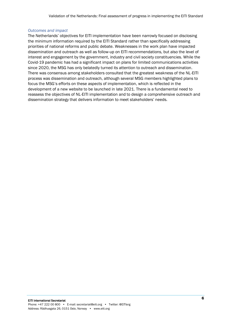#### *Outcomes and impact*

The Netherlands' objectives for EITI implementation have been narrowly focused on disclosing the minimum information required by the EITI Standard rather than specifically addressing priorities of national reforms and public debate. Weaknesses in the work plan have impacted dissemination and outreach as well as follow-up on EITI recommendations, but also the level of interest and engagement by the government, industry and civil society constituencies. While the Covid-19 pandemic has had a significant impact on plans for limited communications activities since 2020, the MSG has only belatedly turned its attention to outreach and dissemination. There was consensus among stakeholders consulted that the greatest weakness of the NL-EITI process was dissemination and outreach, although several MSG members highlighted plans to focus the MSG's efforts on these aspects of implementation, which is reflected in the development of a new website to be launched in late 2021. There is a fundamental need to reassess the objectives of NL-EITI implementation and to design a comprehensive outreach and dissemination strategy that delivers information to meet stakeholders' needs.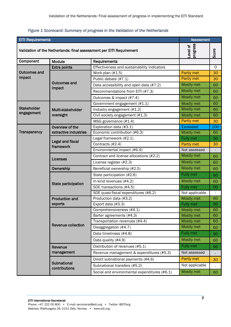#### *Figure 1 Scorecard: Summary of progress in the Validation of the Netherlands*

| <b>EITI Requirements</b><br><b>Assessment</b>                        |                                      |                                              |                      |                |
|----------------------------------------------------------------------|--------------------------------------|----------------------------------------------|----------------------|----------------|
| Validation of the Netherlands: final assessment per EITI Requirement |                                      |                                              | progress<br>Level of | Score          |
| Component                                                            | <b>Module</b>                        | Requirements                                 |                      |                |
|                                                                      | Extra points                         | Effectiveness and sustainability indicators  |                      | $\Omega$       |
| <b>Outcomes and</b>                                                  |                                      | Work plan (#1.5)                             | Partly met           | 30             |
| impact                                                               |                                      | Public debate (#7.1)                         | Partly met           | 30             |
|                                                                      | <b>Outcomes and</b><br>impact        | Data accessibility and open data (#7.2)      | Mostly met           | 60             |
|                                                                      |                                      | Recommendations from EITI (#7.3)             | Mostly met           | 60             |
|                                                                      |                                      | Outcomes & impact (#7.4)                     | Mostly met           | 60             |
|                                                                      |                                      | Government engagement (#1.1)                 | Mostly met           | 60             |
| <b>Stakeholder</b>                                                   | Multi-stakeholder                    | Industry engagement (#1.2)                   | Mostly met           | 60             |
| engagement                                                           | oversight                            | Civil society engagement (#1.3)              | Mostly met           | 60             |
|                                                                      |                                      | MSG governance (#1.4)                        | Partly met           | 30             |
|                                                                      | Overview of the                      | Exploration data (#3.1)                      | <b>Exceeded</b>      | 100            |
| Transparency                                                         | extractive industries                | Economic contribution (#6.3)                 | Mostly met           | 60             |
|                                                                      | <b>Legal and fiscal</b><br>framework | Legal framework (#2.1)                       | Fully met            | 90             |
|                                                                      |                                      | Contracts (#2.4)                             | Partly met           | 30             |
|                                                                      |                                      | Environmental impact (#6.4)                  | Not assessed         |                |
|                                                                      | Licenses                             | Contract and license allocations (#2.2)      | Mostly met           | 60             |
|                                                                      |                                      | License register (#2.3)                      | Mostly met           | 60             |
|                                                                      | Ownership                            | Beneficial ownership (#2.5)                  | Mostly met           | 60             |
|                                                                      |                                      | State participation (#2.6)                   | Fully met            | 90             |
|                                                                      | State participation                  | In-kind revenues (#4.2)                      | Mostly met           | 60             |
|                                                                      |                                      | SOE transactions (#4.5)                      | Fully met            | 90             |
|                                                                      |                                      | SOE quasi-fiscal expenditures (#6.2)         | Not applicable       |                |
|                                                                      | <b>Production and</b>                | Production data (#3.2)                       | Mostly met           | 60             |
|                                                                      | exports                              | Export data (#3.3)                           | <b>Fully met</b>     | 90             |
|                                                                      |                                      | Comprehensiveness (#4.1)                     | Mostly met           | 60             |
|                                                                      |                                      | Barter agreements (#4.3)                     | Mostly met           | 60             |
|                                                                      |                                      | Transportation revenues (#4.4)               | Mostly met           | 60             |
|                                                                      | <b>Revenue collection</b>            | Disaggregation (#4.7)                        | Mostly met           | 60             |
|                                                                      |                                      | Data timeliness (#4.8)                       | Fully met            | 90             |
|                                                                      |                                      | Data quality (#4.9)                          | Mostly met           | 60             |
|                                                                      | Revenue                              | Distribution of revenues (#5.1)              | Fully met            | 90             |
|                                                                      | management                           | Revenue management & expenditures (#5.3)     | Not assessed         |                |
|                                                                      |                                      | Direct subnational payments (#4.6)           | Partly met           | 30             |
|                                                                      | Subnational<br>contributions         | Subnational transfers (#5.2)                 | Not applicable       | $\blacksquare$ |
|                                                                      |                                      | Social and environmental expenditures (#6.1) | Mostly met           | 60             |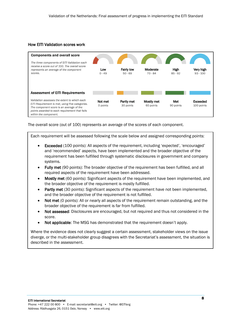#### How EITI Validation scores work



The overall score (out of 100) represents an average of the scores of each component.

Each requirement will be assessed following the scale below and assigned corresponding points:

- Exceeded (100 points): All aspects of the requirement, including 'expected', 'encouraged' and 'recommended' aspects, have been implemented and the broader objective of the requirement has been fulfilled through systematic disclosures in government and company systems.
- Fully met (90 points): The broader objective of the requirement has been fulfilled, and all required aspects of the requirement have been addressed.
- **Mostly met** (60 points): Significant aspects of the requirement have been implemented, and the broader objective of the requirement is mostly fulfilled.
- **Partly met** (30 points): Significant aspects of the requirement have not been implemented, and the broader objective of the requirement is not fulfilled.
- Not met (0 points): All or nearly all aspects of the requirement remain outstanding, and the broader objective of the requirement is far from fulfilled.
- Not assessed: Disclosures are encouraged, but not required and thus not considered in the score.
- Not applicable: The MSG has demonstrated that the requirement doesn't apply.

Where the evidence does not clearly suggest a certain assessment, stakeholder views on the issue diverge, or the multi-stakeholder group disagrees with the Secretariat's assessment, the situation is described in the assessment.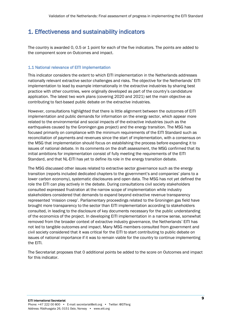## 1. Effectiveness and sustainability indicators

The country is awarded 0, 0.5 or 1 point for each of the five indicators. The points are added to the component score on Outcomes and impact.

#### 1.1 National relevance of EITI implementation

This indicator considers the extent to which EITI implementation in the Netherlands addresses nationally relevant extractive sector challenges and risks. The objective for the Netherlands' EITI implementation to lead by example internationally in the extractive industries by sharing best practice with other countries, were originally developed as part of the country's candidature application. The latest two work plans (covering 2020 and 2021) set the main objective as contributing to fact-based public debate on the extractive industries.

However, consultations highlighted that there is little alignment between the outcomes of EITI implementation and public demands for information on the energy sector, which appear more related to the environmental and social impacts of the extractive industries (such as the earthquakes caused by the Groningen gas project) and the energy transition. The MSG has focused primarily on compliance with the minimum requirements of the EITI Standard such as reconciliation of payments and revenues since the start of implementation, with a consensus on the MSG that implementation should focus on establishing the process before expanding it to issues of national debate. In its comments on the draft assessment, the MSG confirmed that its initial ambitions for implementation consist of fully meeting the requirements of the EITI Standard, and that NL-EITI has yet to define its role in the energy transition debate.

The MSG discussed other issues related to extractive sector governance such as the energy transition (reports included dedicated chapters to the government's and companies' plans to a lower carbon economy), systematic disclosures and open data. The MSG has not yet defined the role the EITI can play actively in the debate. During consultations civil society stakeholders consulted expressed frustration at the narrow scope of implementation while industry stakeholders considered that demands to expand beyond extractive revenue transparency represented 'mission creep'. Parliamentary proceedings related to the Groningen gas field have brought more transparency to the sector than EITI implementation according to stakeholders consulted, in leading to the disclosure of key documents necessary for the public understanding of the economics of the project. In developing EITI implementation in a narrow sense, somewhat removed from the broader context of extractive industry governance, the Netherlands' EITI has not led to tangible outcomes and impact. Many MSG members consulted from government and civil society considered that it was critical for the EITI to start contributing to public debate on issues of national importance if it was to remain viable for the country to continue implementing the EITI.

The Secretariat proposes that 0 additional points be added to the score on Outcomes and impact for this indicator.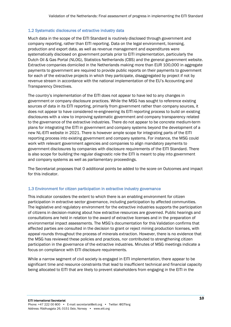#### 1.2 Systematic disclosures of extractive industry data

Much data in the scope of the EITI Standard is routinely disclosed through government and company reporting, rather than EITI reporting. Data on the legal environment, licensing, production and export data, as well as revenue management and expenditures were systematically disclosed on government portals prior to EITI implementation, particularly the Dutch Oil & Gas Portal (NLOG), Statistics Netherlands (CBS) and the general government website. Extractive companies domiciled in the Netherlands making more than EUR 100,000 in aggregate payments to government are required to provide public reports on their payments to government for each of the extractive projects in which they participate, disaggregated by project if not by revenue stream in accordance with the national implementation of the EU's Accounting and Transparency Directives.

The country's implementation of the EITI does not appear to have led to any changes in government or company disclosure practices. While the MSG has sought to reference existing sources of data in its EITI reporting, primarily from government rather than company sources, it does not appear to have considered re-engineering its EITI reporting process to build on existing disclosures with a view to improving systematic government and company transparency related to the governance of the extractive industries. There do not appear to be concrete medium-term plans for integrating the EITI in government and company systems beyond the development of a new NL-EITI website in 2021. There is however ample scope for integrating parts of the EITI reporting process into existing government and company systems. For instance, the MSG could work with relevant government agencies and companies to align mandatory payments to government disclosures by companies with disclosure requirements of the EITI Standard. There is also scope for building the regular diagnostic role the EITI is meant to play into government and company systems as well as parliamentary proceedings.

The Secretariat proposes that 0 additional points be added to the score on Outcomes and impact for this indicator.

#### 1.3 Environment for citizen participation in extractive industry governance

This indicator considers the extent to which there is an enabling environment for citizen participation in extractive sector governance, including participation by affected communities. The legislative and regulatory environment for the extractive industries supports the participation of citizens in decision-making about how extractive resources are governed. Public hearings and consultations are held in relation to the award of extractive licenses and in the preparation of environmental impact assessments. The MSG's documentation for this Validation confirms that affected parties are consulted in the decision to grant or reject mining production licenses, with appeal rounds throughout the process of minerals extraction. However, there is no evidence that the MSG has reviewed these policies and practices, nor contributed to strengthening citizen participation in the governance of the extractive industries. Minutes of MSG meetings indicate a focus on compliance with EITI disclosure requirements.

While a narrow segment of civil society is engaged in EITI implementation, there appear to be significant time and resource constraints that lead to insufficient technical and financial capacity being allocated to EITI that are likely to prevent stakeholders from engaging in the EITI in the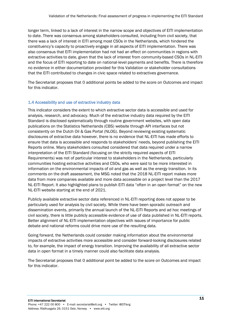longer term, linked to a lack of interest in the narrow scope and objectives of EITI implementation to date. There was consensus among stakeholders consulted, including from civil society, that there was a lack of interest in EITI among most CSOs in the Netherlands, which hindered the constituency's capacity to proactively engage in all aspects of EITI implementation. There was also consensus that EITI implementation had not had an effect on communities in regions with extractive activities to date, given that the lack of interest from community-based CSOs in NL-EITI and the focus of EITI reporting to date on national-level payments and benefits. There is therefore no evidence in either documentation provided for this Validation or stakeholder consultations that the EITI contributed to changes in civic space related to extractives governance.

The Secretariat proposes that 0 additional points be added to the score on Outcomes and impact for this indicator.

#### 1.4 Accessibility and use of extractive industry data

This indicator considers the extent to which extractive sector data is accessible and used for analysis, research, and advocacy. Much of the extractive industry data required by the EITI Standard is disclosed systematically through routine government websites, with open data publications on the Statistics Netherlands (CBS) website through API interfaces but not consistently on the Dutch Oil & Gas Portal (NLOG). Beyond reviewing existing systematic disclosures of extractive data however, there is no evidence that NL-EITI has made efforts to ensure that data is accessible and responds to stakeholders' needs, beyond publishing the EITI Reports online. Many stakeholders consulted considered that data required under a narrow interpretation of the EITI Standard (focusing on the strictly required aspects of EITI Requirements) was not of particular interest to stakeholders in the Netherlands, particularly communities hosting extractive activities and CSOs, who were said to be more interested in information on the environmental impacts of oil and gas as well as the energy transition. In its comments on the draft assessment, the MSG noted that the 2018 NL-EITI report makes more data from more companies available and more data accessible on a project level than the 2017 NL-EITI Report. It also highlighted plans to publish EITI data "often in an open format" on the new NL-EITI website starting at the end of 2021.

Publicly available extractive sector data referenced in NL-EITI reporting does not appear to be particularly used for analysis by civil society. While there have been sporadic outreach and dissemination events, primarily the annual launch of the NL-EITI Reports and ad hoc meetings of civil society, there is little publicly accessible evidence of use of data published in NL-EITI reports. Better alignment of NL-EITI implementation objectives with issues of importance for public debate and national reforms could drive more use of the resulting data.

Going forward, the Netherlands could consider making information about the environmental impacts of extractive activities more accessible and consider forward-looking disclosures related to, for example, the impact of energy transition. Improving the availability of all extractive sector data in open format in a timely manner could also facilitate data analysis.

The Secretariat proposes that 0 additional point be added to the score on Outcomes and impact for this indicator.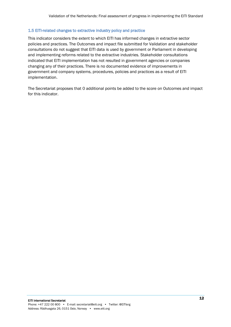#### 1.5 EITI-related changes to extractive industry policy and practice

This indicator considers the extent to which EITI has informed changes in extractive sector policies and practices. The Outcomes and impact file submitted for Validation and stakeholder consultations do not suggest that EITI data is used by government or Parliament in developing and implementing reforms related to the extractive industries. Stakeholder consultations indicated that EITI implementation has not resulted in government agencies or companies changing any of their practices. There is no documented evidence of improvements in government and company systems, procedures, policies and practices as a result of EITI implementation.

The Secretariat proposes that 0 additional points be added to the score on Outcomes and impact for this indicator.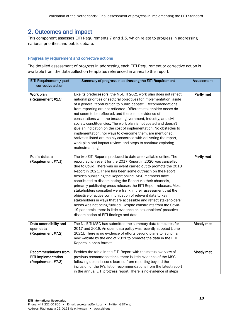## 2. Outcomes and impact

This component assesses EITI Requirements 7 and 1.5, which relate to progress in addressing national priorities and public debate.

#### Progress by requirement and corrective actions

The detailed assessment of progress in addressing each EITI Requirement or corrective action is available from the data collection templates referenced in annex to this report.

| EITI Requirement / past<br>corrective action                                    | Summary of progress in addressing the EITI Requirement                                                                                                                                                                                                                                                                                                                                                                                                                                                                                                                                                                                                                                                                                                                                                                                                       | <b>Assessment</b> |
|---------------------------------------------------------------------------------|--------------------------------------------------------------------------------------------------------------------------------------------------------------------------------------------------------------------------------------------------------------------------------------------------------------------------------------------------------------------------------------------------------------------------------------------------------------------------------------------------------------------------------------------------------------------------------------------------------------------------------------------------------------------------------------------------------------------------------------------------------------------------------------------------------------------------------------------------------------|-------------------|
| Work plan<br>(Requirement #1.5)                                                 | Like its predecessors, the NL-EITI 2021 work plan does not reflect<br>national priorities or sectoral objectives for implementation, aside<br>of a general "contribution to public debate". Recommendations<br>from reporting are not reflected. Different stakeholder needs do<br>not seem to be reflected, and there is no evidence of<br>consultations with the broader government, industry, and civil<br>society constituencies. The work plan is not costed and doesn't<br>give an indication on the cost of implementation. No obstacles to<br>implementation, nor ways to overcome them, are mentioned.<br>Activities listed are mainly concerned with delivering the report,<br>work plan and impact review, and steps to continue exploring<br>mainstreaming.                                                                                      | Partly met        |
| <b>Public debate</b><br>(Requirement #7.1)                                      | The two EITI Reports produced to date are available online. The<br>report launch event for the 2017 Report in 2020 was cancelled<br>due to Covid. There was no event carried out to promote the 2018<br>Report in 2021. There has been some outreach on the Report<br>besides publishing the Report online. MSG members have<br>contributed to disseminating the Report via their channels,<br>primarily publishing press releases the EITI Report releases. Most<br>stakeholders consulted were frank in their assessment that the<br>objective of active communication of relevant data to key<br>stakeholders in ways that are accessible and reflect stakeholders'<br>needs was not being fulfilled. Despite constraints from the Covid-<br>19 pandemic, there is little evidence on stakeholders' proactive<br>dissemination of EITI findings and data. | Partly met        |
| Data accessibility and<br>open data<br>(Requirement #7.2)                       | The NL-EITI MSG has submitted the summary data templates for<br>2017 and 2018. An open data policy was recently adopted (June<br>2021). There is no evidence of efforts beyond plans to launch a<br>new website by the end of 2021 to promote the data in the EITI<br>Reports in open format.                                                                                                                                                                                                                                                                                                                                                                                                                                                                                                                                                                | Mostly met        |
| <b>Recommendations from</b><br><b>EITI implementation</b><br>(Requirement #7.3) | Besides the table in the EITI Report with the status overview of<br>previous recommendations, there is little evidence of the MSG<br>following up on lessons learned from reporting beyond the<br>inclusion of the IA's list of recommendations from the latest report<br>in the annual EITI progress report. There is no evidence of steps                                                                                                                                                                                                                                                                                                                                                                                                                                                                                                                  | Mostly met        |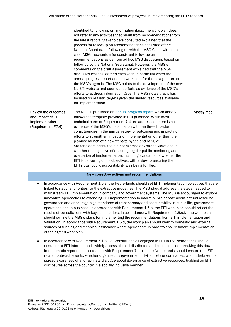|                                                                                                                                                                                                                                                                                                                                                                                                                                                                                                                                                                                                                                                                                                                                                                                                                                                                                                                                                                                                                                                                                                                                                                                                                                                                                                                                                                                                                                                                                                                                                                                                                                                                                                                                                                      | identified to follow-up on information gaps. The work plan does<br>not refer to any activities that result from recommendations from<br>the latest report. Stakeholders consulted explained that the<br>process for follow-up on recommendations consisted of the<br>National Coordinator following up with the MSG Chair, without a<br>clear MSG mechanism for consistent follow-up on<br>recommendations aside from ad hoc MSG discussions based on<br>follow-up by the National Secretariat. However, the MSG's<br>comments on the draft assessment explained that the MSG<br>discusses lessons learned each year, in particular when the<br>annual progress report and the work plan for the new year are on<br>the MSG's agenda. The MSG points to the development of the new<br>NL-EITI website and open data efforts as evidence of the MSG's<br>efforts to address information gaps. The MSG notes that it has<br>focused on realistic targets given the limited resources available<br>for implementation. |            |
|----------------------------------------------------------------------------------------------------------------------------------------------------------------------------------------------------------------------------------------------------------------------------------------------------------------------------------------------------------------------------------------------------------------------------------------------------------------------------------------------------------------------------------------------------------------------------------------------------------------------------------------------------------------------------------------------------------------------------------------------------------------------------------------------------------------------------------------------------------------------------------------------------------------------------------------------------------------------------------------------------------------------------------------------------------------------------------------------------------------------------------------------------------------------------------------------------------------------------------------------------------------------------------------------------------------------------------------------------------------------------------------------------------------------------------------------------------------------------------------------------------------------------------------------------------------------------------------------------------------------------------------------------------------------------------------------------------------------------------------------------------------------|---------------------------------------------------------------------------------------------------------------------------------------------------------------------------------------------------------------------------------------------------------------------------------------------------------------------------------------------------------------------------------------------------------------------------------------------------------------------------------------------------------------------------------------------------------------------------------------------------------------------------------------------------------------------------------------------------------------------------------------------------------------------------------------------------------------------------------------------------------------------------------------------------------------------------------------------------------------------------------------------------------------------|------------|
| Review the outcomes<br>and impact of EITI<br>implementation<br>(Requirement #7.4)                                                                                                                                                                                                                                                                                                                                                                                                                                                                                                                                                                                                                                                                                                                                                                                                                                                                                                                                                                                                                                                                                                                                                                                                                                                                                                                                                                                                                                                                                                                                                                                                                                                                                    | The NL-EITI published an annual progress report, which closely<br>follows the template provided in EITI guidance. While most<br>technical parts of Requirement 7.4 are addressed, there is no<br>evidence of the MSG's consultation with the three broader<br>constituencies in the annual review of outcomes and impact nor<br>efforts to strengthen impacts of implementation other than the<br>planned launch of a new website by the end of 2021.<br>Stakeholders consulted did not express any strong views about<br>whether the objective of ensuring regular public monitoring and<br>evaluation of implementation, including evaluation of whether the<br>EITI is delivering on its objectives, with a view to ensuring the<br>EITI's own public accountability was being fulfilled.                                                                                                                                                                                                                        | Mostly met |
|                                                                                                                                                                                                                                                                                                                                                                                                                                                                                                                                                                                                                                                                                                                                                                                                                                                                                                                                                                                                                                                                                                                                                                                                                                                                                                                                                                                                                                                                                                                                                                                                                                                                                                                                                                      | New corrective actions and recommendations                                                                                                                                                                                                                                                                                                                                                                                                                                                                                                                                                                                                                                                                                                                                                                                                                                                                                                                                                                          |            |
| In accordance with Requirement 1.5.a, the Netherlands should set EITI implementation objectives that are<br>$\bullet$<br>linked to national priorities for the extractive industries. The MSG should address the steps needed to<br>mainstream EITI implementation in company and government systems. The MSG is encouraged to explore<br>innovative approaches to extending EITI implementation to inform public debate about natural resource<br>governance and encourage high standards of transparency and accountability in public life, government<br>operations and in business. In accordance with Requirement 1.5.b, the EITI work plan should reflect the<br>results of consultations with key stakeholders. In accordance with Requirement 1.5.c.iv, the work plan<br>should outline the MSG's plans for implementing the recommendations from EITI implementation and<br>Validation. In accordance with Requirement 1.5.d, the work plan should identify domestic and external<br>sources of funding and technical assistance where appropriate in order to ensure timely implementation<br>of the agreed work plan.<br>In accordance with Requirement 7.1.a.i, all constituencies engaged in EITI in the Netherlands should<br>$\bullet$<br>ensure that EITI information is widely accessible and distributed and could consider breaking this down<br>into thematic reports. In accordance with Requirement 7.1.a.iii, the Netherlands should ensure that EITI-<br>related outreach events, whether organised by government, civil society or companies, are undertaken to<br>spread awareness of and facilitate dialogue about governance of extractive resources, building on EITI<br>disclosures across the country in a socially inclusive manner. |                                                                                                                                                                                                                                                                                                                                                                                                                                                                                                                                                                                                                                                                                                                                                                                                                                                                                                                                                                                                                     |            |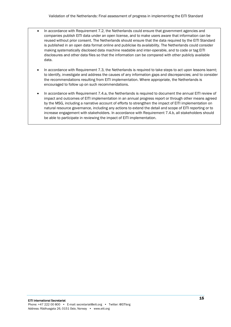- In accordance with Requirement 7.2, the Netherlands could ensure that government agencies and companies publish EITI data under an open license, and to make users aware that information can be reused without prior consent. The Netherlands should ensure that the data required by the EITI Standard is published in an open data format online and publicise its availability. The Netherlands could consider making systematically disclosed data machine readable and inter-operable, and to code or tag EITI disclosures and other data files so that the information can be compared with other publicly available data.
- In accordance with Requirement 7.3, the Netherlands is required to take steps to act upon lessons learnt; to identify, investigate and address the causes of any information gaps and discrepancies; and to consider the recommendations resulting from EITI implementation. Where appropriate, the Netherlands is encouraged to follow up on such recommendations.
- In accordance with Requirement 7.4.a, the Netherlands is required to document the annual EITI review of impact and outcomes of EITI implementation in an annual progress report or through other means agreed by the MSG, including a narrative account of efforts to strengthen the impact of EITI implementation on natural resource governance, including any actions to extend the detail and scope of EITI reporting or to increase engagement with stakeholders. In accordance with Requirement 7.4.b, all stakeholders should be able to participate in reviewing the impact of EITI implementation.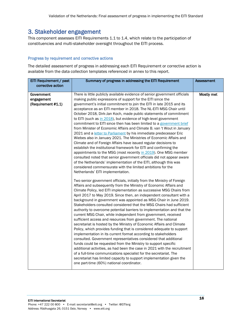## 3. Stakeholder engagement

This component assesses EITI Requirements 1.1 to 1.4, which relate to the participation of constituencies and multi-stakeholder oversight throughout the EITI process.

#### Progress by requirement and corrective actions

The detailed assessment of progress in addressing each EITI Requirement or corrective action is available from the data collection templates referenced in annex to this report.

| EITI Requirement / past | Summary of progress in addressing the EITI Requirement                     | <b>Assessment</b> |
|-------------------------|----------------------------------------------------------------------------|-------------------|
| corrective action       |                                                                            |                   |
|                         |                                                                            |                   |
| Government              | There is little publicly available evidence of senior government officials | Mostly met        |
| engagement              | making public expressions of support for the EITI since the                |                   |
| (Requirement #1.1)      | government's initial commitment to join the EITI in late 2015 and its      |                   |
|                         | acceptance as an EITI member in 2018. The NL-EITI MSG Chair until          |                   |
|                         | October 2018, Dirk-Jan Koch, made public statements of commitment          |                   |
|                         | to EITI (such as in 2018), but evidence of high-level government           |                   |
|                         | commitment to EITI since then has been limited to a government brief       |                   |
|                         | from Minister of Economic Affairs and Climate B. van 't Wout in January    |                   |
|                         | 2021 and a letter to Parliament by his immediate predecessor Eric          |                   |
|                         | Wiebes also in January 2021. The Ministries of Economic Affairs and        |                   |
|                         | Climate and of Foreign Affairs have issued regular decisions to            |                   |
|                         | establish the institutional framework for EITI and confirming the          |                   |
|                         | appointments to the MSG (most recently in 2019). One MSG member            |                   |
|                         | consulted noted that senior government officials did not appear aware      |                   |
|                         | of the Netherlands' implementation of the EITI, although this was          |                   |
|                         | considered commensurate with the limited ambitions for the                 |                   |
|                         | Netherlands' EITI implementation.                                          |                   |
|                         | Two senior government officials, initially from the Ministry of Foreign    |                   |
|                         | Affairs and subsequently from the Ministry of Economic Affairs and         |                   |
|                         | Climate Policy, led EITI implementation as successive MSG Chairs from      |                   |
|                         | April 2017 to May 2019. Since then, an independent consultant with a       |                   |
|                         | background in government was appointed as MSG Chair in June 2019.          |                   |
|                         | Stakeholders consulted considered that the MSG Chairs had sufficient       |                   |
|                         | authority to overcome potential barriers to implementation and that the    |                   |
|                         | current MSG Chair, while independent from government, received             |                   |
|                         | sufficient access and resources from government. The national              |                   |
|                         | secretariat is hosted by the Ministry of Economic Affairs and Climate      |                   |
|                         | Policy, which provides funding that is considered adequate to support      |                   |
|                         | implementation in its current format according to stakeholders             |                   |
|                         | consulted. Government representatives considered that additional           |                   |
|                         | funds could be requested from the Ministry to support specific             |                   |
|                         | additional activities, as had been the case in 2021 with the recruitment   |                   |
|                         | of a full-time communications specialist for the secretariat. The          |                   |
|                         | secretariat has limited capacity to support implementation given the       |                   |
|                         | one part-time (60%) national coordinator.                                  |                   |
|                         |                                                                            |                   |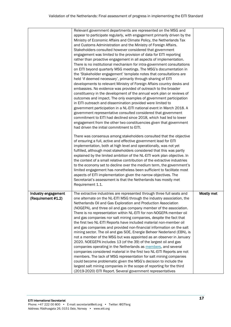|                                           | Relevant government departments are represented on the MSG and<br>appear to participate regularly, with engagement primarily driven by the<br>Ministry of Economic Affairs and Climate Policy, the Netherlands Tax<br>and Customs Administration and the Ministry of Foreign Affairs.<br>Stakeholders consulted however considered that government<br>engagement was limited to the provision of data for EITI reporting<br>rather than proactive engagement in all aspects of implementation.<br>There is no institutional mechanism for intra-government consultations<br>on EITI beyond quarterly MSG meetings. The MSG's documentation in<br>the 'Stakeholder engagement' template notes that consultations are<br>held 'if deemed necessary', primarily through sharing of EITI<br>developments to relevant Ministry of Foreign Affairs country desks and<br>embassies. No evidence was provided of outreach to the broader<br>constituency in the development of the annual work plan or reviews of<br>outcomes and impact. The only examples of government participation<br>in EITI outreach and dissemination provided were limited to<br>government participation in a NL-EITI national event in March 2018. A<br>government representative consulted considered that government<br>commitment to EITI had declined since 2018, which had led to lower<br>engagement from the other two constituencies given that government<br>had driven the initial commitment to EITI.<br>There was consensus among stakeholders consulted that the objective<br>of ensuring a full, active and effective government lead for EITI<br>implementation, both at high level and operationally, was not yet<br>fulfilled, although most stakeholders considered that this was partly<br>explained by the limited ambition of the NL-EITI work plan objective. In<br>the context of a small relative contribution of the extractive industries<br>to the economy set to decline over the medium term, the government's<br>limited engagement has nonetheless been sufficient to facilitate most<br>aspects of EITI implementation given the narrow objectives. The<br>Secretariat's assessment is that the Netherlands has mostly met<br>Requirement 1.1. |            |
|-------------------------------------------|---------------------------------------------------------------------------------------------------------------------------------------------------------------------------------------------------------------------------------------------------------------------------------------------------------------------------------------------------------------------------------------------------------------------------------------------------------------------------------------------------------------------------------------------------------------------------------------------------------------------------------------------------------------------------------------------------------------------------------------------------------------------------------------------------------------------------------------------------------------------------------------------------------------------------------------------------------------------------------------------------------------------------------------------------------------------------------------------------------------------------------------------------------------------------------------------------------------------------------------------------------------------------------------------------------------------------------------------------------------------------------------------------------------------------------------------------------------------------------------------------------------------------------------------------------------------------------------------------------------------------------------------------------------------------------------------------------------------------------------------------------------------------------------------------------------------------------------------------------------------------------------------------------------------------------------------------------------------------------------------------------------------------------------------------------------------------------------------------------------------------------------------------------------------------------------------------------------------------------------------------|------------|
| Industry engagement<br>(Requirement #1.2) | The extractive industries are represented through three full seats and<br>one alternate on the NL-EITI MSG through the industry association, the<br>Netherlands Oil and Gas Exploration and Production Association<br>(NOGEPA), and three oil and gas company member of the association.<br>There is no representation within NL-EITI for non-NOGEPA member oil<br>and gas companies nor salt mining companies, despite the fact that<br>the first two NL-EITI Reports have included material non-member oil<br>and gas companies and provided non-financial information on the salt<br>mining sector. The oil and gas SOE, Energie Beheer Nederland (EBN), is<br>not a member of the MSG but was appointed as an observer in January<br>2020. NOEGEPA includes 13 (of the 39) of the largest oil and gas<br>companies operating in the Netherlands as members, and several<br>companies considered material in the first two NL-EITI Reports are not<br>members. The lack of MSG representation for salt mining companies<br>could become problematic given the MSG's decision to include the<br>largest salt mining companies in the scope of reporting for the third<br>(2019-2020) EITI Report. Several government representatives                                                                                                                                                                                                                                                                                                                                                                                                                                                                                                                                                                                                                                                                                                                                                                                                                                                                                                                                                                                                            | Mostly met |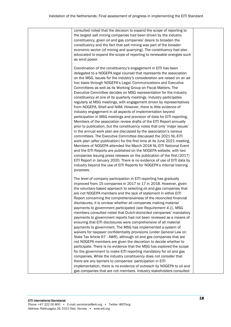| the largest salt mining companies had been driven by the industry<br>constituency, given oil and gas companies' desire to broaden the<br>constituency and the fact that salt mining was part of the broader<br>economic sector (of mining and quarrying). The constituency had also<br>advocated to expand the scope of reporting to renewable energies such<br>as wind power.<br>Coordination of the constituency's engagement in EITI has been<br>delegated to a NOGEPA legal counsel that represents the association<br>on the MSG. Issues for the industry's consideration are raised on an ad<br>hoc basis through NOGEPA's Legal, Communications and Executive<br>Committees as well as its Working Group on Fiscal Matters. The<br>Executive Committee decides on MSG representation for the industry<br>constituency at one of its quarterly meetings. Industry participates<br>regularly at MSG meetings, with engagement driven by representatives<br>from NOGEPA, Shell and NAM. However, there is little evidence of<br>industry engagement in all aspects of implementation beyond<br>participation in MSG meetings and provision of data for EITI reporting.<br>Members of the association review drafts of the EITI Report annually<br>prior to publication, but the constituency notes that only 'major issues'<br>in the annual work plan are discussed by the association's various<br>committees. The Executive Committee discussed the 2021 NL-EITI<br>work plan (after publication) for the first time at its June 2021 meeting.<br>Members of NOGEPA attended the March 2018 NL-EITI National Event<br>and the EITI Reports are published on the NOGEPA website, with two<br>companies issuing press releases on the publication of the first (2017)<br>EITI Report in January 2020. There is no evidence of use of EITI data by<br>industry beyond the use of EITI Reports for NOGEPA's internal training<br>purposes.<br>The level of company participation in EITI reporting has gradually<br>improved from 15 companies in 2017 to 17 in 2018. However, given<br>the voluntary-based approach to selecting oil and gas companies that<br>are not NOGEPA members and the lack of statement in either EITI<br>Report concerning the comprehensiveness of the reconciled financial<br>disclosures, it is unclear whether all companies making material<br>payments to government participated (see Requirement 4.1). MSG<br>members consulted noted that Dutch-domiciled companies' mandatory<br>payments to government reports had not been reviewed as a means of<br>ensuring that EITI disclosures were comprehensive of all material<br>payments to government. The MSG has implemented a system of<br>waivers for taxpayer confidentiality provisions (under General Law on<br>State Tax Article 67 - AWR), although oil and gas companies that are<br>not NOGEPA members are given the discretion to decide whether to<br>participate. There is no evidence that the MSG has explored the scope<br>for the government to make EITI reporting mandatory for oil and gas<br>companies. While the industry constituency does not consider that<br>there are any barriers to companies' participation in EITI<br>implementation, there is no evidence of outreach by NOGEPA to oil and<br>gas companies that are not members. Industry stakeholders consulted |                                                                       |  |
|----------------------------------------------------------------------------------------------------------------------------------------------------------------------------------------------------------------------------------------------------------------------------------------------------------------------------------------------------------------------------------------------------------------------------------------------------------------------------------------------------------------------------------------------------------------------------------------------------------------------------------------------------------------------------------------------------------------------------------------------------------------------------------------------------------------------------------------------------------------------------------------------------------------------------------------------------------------------------------------------------------------------------------------------------------------------------------------------------------------------------------------------------------------------------------------------------------------------------------------------------------------------------------------------------------------------------------------------------------------------------------------------------------------------------------------------------------------------------------------------------------------------------------------------------------------------------------------------------------------------------------------------------------------------------------------------------------------------------------------------------------------------------------------------------------------------------------------------------------------------------------------------------------------------------------------------------------------------------------------------------------------------------------------------------------------------------------------------------------------------------------------------------------------------------------------------------------------------------------------------------------------------------------------------------------------------------------------------------------------------------------------------------------------------------------------------------------------------------------------------------------------------------------------------------------------------------------------------------------------------------------------------------------------------------------------------------------------------------------------------------------------------------------------------------------------------------------------------------------------------------------------------------------------------------------------------------------------------------------------------------------------------------------------------------------------------------------------------------------------------------------------------------------------------------------------------------------------------------------------------------------------------------------------------------------------------------------------------------------------------------------------|-----------------------------------------------------------------------|--|
|                                                                                                                                                                                                                                                                                                                                                                                                                                                                                                                                                                                                                                                                                                                                                                                                                                                                                                                                                                                                                                                                                                                                                                                                                                                                                                                                                                                                                                                                                                                                                                                                                                                                                                                                                                                                                                                                                                                                                                                                                                                                                                                                                                                                                                                                                                                                                                                                                                                                                                                                                                                                                                                                                                                                                                                                                                                                                                                                                                                                                                                                                                                                                                                                                                                                                                                                                                                        | consulted noted that the decision to expand the scope of reporting to |  |
|                                                                                                                                                                                                                                                                                                                                                                                                                                                                                                                                                                                                                                                                                                                                                                                                                                                                                                                                                                                                                                                                                                                                                                                                                                                                                                                                                                                                                                                                                                                                                                                                                                                                                                                                                                                                                                                                                                                                                                                                                                                                                                                                                                                                                                                                                                                                                                                                                                                                                                                                                                                                                                                                                                                                                                                                                                                                                                                                                                                                                                                                                                                                                                                                                                                                                                                                                                                        |                                                                       |  |
|                                                                                                                                                                                                                                                                                                                                                                                                                                                                                                                                                                                                                                                                                                                                                                                                                                                                                                                                                                                                                                                                                                                                                                                                                                                                                                                                                                                                                                                                                                                                                                                                                                                                                                                                                                                                                                                                                                                                                                                                                                                                                                                                                                                                                                                                                                                                                                                                                                                                                                                                                                                                                                                                                                                                                                                                                                                                                                                                                                                                                                                                                                                                                                                                                                                                                                                                                                                        |                                                                       |  |
|                                                                                                                                                                                                                                                                                                                                                                                                                                                                                                                                                                                                                                                                                                                                                                                                                                                                                                                                                                                                                                                                                                                                                                                                                                                                                                                                                                                                                                                                                                                                                                                                                                                                                                                                                                                                                                                                                                                                                                                                                                                                                                                                                                                                                                                                                                                                                                                                                                                                                                                                                                                                                                                                                                                                                                                                                                                                                                                                                                                                                                                                                                                                                                                                                                                                                                                                                                                        |                                                                       |  |
|                                                                                                                                                                                                                                                                                                                                                                                                                                                                                                                                                                                                                                                                                                                                                                                                                                                                                                                                                                                                                                                                                                                                                                                                                                                                                                                                                                                                                                                                                                                                                                                                                                                                                                                                                                                                                                                                                                                                                                                                                                                                                                                                                                                                                                                                                                                                                                                                                                                                                                                                                                                                                                                                                                                                                                                                                                                                                                                                                                                                                                                                                                                                                                                                                                                                                                                                                                                        |                                                                       |  |
|                                                                                                                                                                                                                                                                                                                                                                                                                                                                                                                                                                                                                                                                                                                                                                                                                                                                                                                                                                                                                                                                                                                                                                                                                                                                                                                                                                                                                                                                                                                                                                                                                                                                                                                                                                                                                                                                                                                                                                                                                                                                                                                                                                                                                                                                                                                                                                                                                                                                                                                                                                                                                                                                                                                                                                                                                                                                                                                                                                                                                                                                                                                                                                                                                                                                                                                                                                                        |                                                                       |  |
|                                                                                                                                                                                                                                                                                                                                                                                                                                                                                                                                                                                                                                                                                                                                                                                                                                                                                                                                                                                                                                                                                                                                                                                                                                                                                                                                                                                                                                                                                                                                                                                                                                                                                                                                                                                                                                                                                                                                                                                                                                                                                                                                                                                                                                                                                                                                                                                                                                                                                                                                                                                                                                                                                                                                                                                                                                                                                                                                                                                                                                                                                                                                                                                                                                                                                                                                                                                        |                                                                       |  |
|                                                                                                                                                                                                                                                                                                                                                                                                                                                                                                                                                                                                                                                                                                                                                                                                                                                                                                                                                                                                                                                                                                                                                                                                                                                                                                                                                                                                                                                                                                                                                                                                                                                                                                                                                                                                                                                                                                                                                                                                                                                                                                                                                                                                                                                                                                                                                                                                                                                                                                                                                                                                                                                                                                                                                                                                                                                                                                                                                                                                                                                                                                                                                                                                                                                                                                                                                                                        |                                                                       |  |
|                                                                                                                                                                                                                                                                                                                                                                                                                                                                                                                                                                                                                                                                                                                                                                                                                                                                                                                                                                                                                                                                                                                                                                                                                                                                                                                                                                                                                                                                                                                                                                                                                                                                                                                                                                                                                                                                                                                                                                                                                                                                                                                                                                                                                                                                                                                                                                                                                                                                                                                                                                                                                                                                                                                                                                                                                                                                                                                                                                                                                                                                                                                                                                                                                                                                                                                                                                                        |                                                                       |  |
|                                                                                                                                                                                                                                                                                                                                                                                                                                                                                                                                                                                                                                                                                                                                                                                                                                                                                                                                                                                                                                                                                                                                                                                                                                                                                                                                                                                                                                                                                                                                                                                                                                                                                                                                                                                                                                                                                                                                                                                                                                                                                                                                                                                                                                                                                                                                                                                                                                                                                                                                                                                                                                                                                                                                                                                                                                                                                                                                                                                                                                                                                                                                                                                                                                                                                                                                                                                        |                                                                       |  |
|                                                                                                                                                                                                                                                                                                                                                                                                                                                                                                                                                                                                                                                                                                                                                                                                                                                                                                                                                                                                                                                                                                                                                                                                                                                                                                                                                                                                                                                                                                                                                                                                                                                                                                                                                                                                                                                                                                                                                                                                                                                                                                                                                                                                                                                                                                                                                                                                                                                                                                                                                                                                                                                                                                                                                                                                                                                                                                                                                                                                                                                                                                                                                                                                                                                                                                                                                                                        |                                                                       |  |
|                                                                                                                                                                                                                                                                                                                                                                                                                                                                                                                                                                                                                                                                                                                                                                                                                                                                                                                                                                                                                                                                                                                                                                                                                                                                                                                                                                                                                                                                                                                                                                                                                                                                                                                                                                                                                                                                                                                                                                                                                                                                                                                                                                                                                                                                                                                                                                                                                                                                                                                                                                                                                                                                                                                                                                                                                                                                                                                                                                                                                                                                                                                                                                                                                                                                                                                                                                                        |                                                                       |  |
|                                                                                                                                                                                                                                                                                                                                                                                                                                                                                                                                                                                                                                                                                                                                                                                                                                                                                                                                                                                                                                                                                                                                                                                                                                                                                                                                                                                                                                                                                                                                                                                                                                                                                                                                                                                                                                                                                                                                                                                                                                                                                                                                                                                                                                                                                                                                                                                                                                                                                                                                                                                                                                                                                                                                                                                                                                                                                                                                                                                                                                                                                                                                                                                                                                                                                                                                                                                        |                                                                       |  |
|                                                                                                                                                                                                                                                                                                                                                                                                                                                                                                                                                                                                                                                                                                                                                                                                                                                                                                                                                                                                                                                                                                                                                                                                                                                                                                                                                                                                                                                                                                                                                                                                                                                                                                                                                                                                                                                                                                                                                                                                                                                                                                                                                                                                                                                                                                                                                                                                                                                                                                                                                                                                                                                                                                                                                                                                                                                                                                                                                                                                                                                                                                                                                                                                                                                                                                                                                                                        |                                                                       |  |
|                                                                                                                                                                                                                                                                                                                                                                                                                                                                                                                                                                                                                                                                                                                                                                                                                                                                                                                                                                                                                                                                                                                                                                                                                                                                                                                                                                                                                                                                                                                                                                                                                                                                                                                                                                                                                                                                                                                                                                                                                                                                                                                                                                                                                                                                                                                                                                                                                                                                                                                                                                                                                                                                                                                                                                                                                                                                                                                                                                                                                                                                                                                                                                                                                                                                                                                                                                                        |                                                                       |  |
|                                                                                                                                                                                                                                                                                                                                                                                                                                                                                                                                                                                                                                                                                                                                                                                                                                                                                                                                                                                                                                                                                                                                                                                                                                                                                                                                                                                                                                                                                                                                                                                                                                                                                                                                                                                                                                                                                                                                                                                                                                                                                                                                                                                                                                                                                                                                                                                                                                                                                                                                                                                                                                                                                                                                                                                                                                                                                                                                                                                                                                                                                                                                                                                                                                                                                                                                                                                        |                                                                       |  |
|                                                                                                                                                                                                                                                                                                                                                                                                                                                                                                                                                                                                                                                                                                                                                                                                                                                                                                                                                                                                                                                                                                                                                                                                                                                                                                                                                                                                                                                                                                                                                                                                                                                                                                                                                                                                                                                                                                                                                                                                                                                                                                                                                                                                                                                                                                                                                                                                                                                                                                                                                                                                                                                                                                                                                                                                                                                                                                                                                                                                                                                                                                                                                                                                                                                                                                                                                                                        |                                                                       |  |
|                                                                                                                                                                                                                                                                                                                                                                                                                                                                                                                                                                                                                                                                                                                                                                                                                                                                                                                                                                                                                                                                                                                                                                                                                                                                                                                                                                                                                                                                                                                                                                                                                                                                                                                                                                                                                                                                                                                                                                                                                                                                                                                                                                                                                                                                                                                                                                                                                                                                                                                                                                                                                                                                                                                                                                                                                                                                                                                                                                                                                                                                                                                                                                                                                                                                                                                                                                                        |                                                                       |  |
|                                                                                                                                                                                                                                                                                                                                                                                                                                                                                                                                                                                                                                                                                                                                                                                                                                                                                                                                                                                                                                                                                                                                                                                                                                                                                                                                                                                                                                                                                                                                                                                                                                                                                                                                                                                                                                                                                                                                                                                                                                                                                                                                                                                                                                                                                                                                                                                                                                                                                                                                                                                                                                                                                                                                                                                                                                                                                                                                                                                                                                                                                                                                                                                                                                                                                                                                                                                        |                                                                       |  |
|                                                                                                                                                                                                                                                                                                                                                                                                                                                                                                                                                                                                                                                                                                                                                                                                                                                                                                                                                                                                                                                                                                                                                                                                                                                                                                                                                                                                                                                                                                                                                                                                                                                                                                                                                                                                                                                                                                                                                                                                                                                                                                                                                                                                                                                                                                                                                                                                                                                                                                                                                                                                                                                                                                                                                                                                                                                                                                                                                                                                                                                                                                                                                                                                                                                                                                                                                                                        |                                                                       |  |
|                                                                                                                                                                                                                                                                                                                                                                                                                                                                                                                                                                                                                                                                                                                                                                                                                                                                                                                                                                                                                                                                                                                                                                                                                                                                                                                                                                                                                                                                                                                                                                                                                                                                                                                                                                                                                                                                                                                                                                                                                                                                                                                                                                                                                                                                                                                                                                                                                                                                                                                                                                                                                                                                                                                                                                                                                                                                                                                                                                                                                                                                                                                                                                                                                                                                                                                                                                                        |                                                                       |  |
|                                                                                                                                                                                                                                                                                                                                                                                                                                                                                                                                                                                                                                                                                                                                                                                                                                                                                                                                                                                                                                                                                                                                                                                                                                                                                                                                                                                                                                                                                                                                                                                                                                                                                                                                                                                                                                                                                                                                                                                                                                                                                                                                                                                                                                                                                                                                                                                                                                                                                                                                                                                                                                                                                                                                                                                                                                                                                                                                                                                                                                                                                                                                                                                                                                                                                                                                                                                        |                                                                       |  |
|                                                                                                                                                                                                                                                                                                                                                                                                                                                                                                                                                                                                                                                                                                                                                                                                                                                                                                                                                                                                                                                                                                                                                                                                                                                                                                                                                                                                                                                                                                                                                                                                                                                                                                                                                                                                                                                                                                                                                                                                                                                                                                                                                                                                                                                                                                                                                                                                                                                                                                                                                                                                                                                                                                                                                                                                                                                                                                                                                                                                                                                                                                                                                                                                                                                                                                                                                                                        |                                                                       |  |
|                                                                                                                                                                                                                                                                                                                                                                                                                                                                                                                                                                                                                                                                                                                                                                                                                                                                                                                                                                                                                                                                                                                                                                                                                                                                                                                                                                                                                                                                                                                                                                                                                                                                                                                                                                                                                                                                                                                                                                                                                                                                                                                                                                                                                                                                                                                                                                                                                                                                                                                                                                                                                                                                                                                                                                                                                                                                                                                                                                                                                                                                                                                                                                                                                                                                                                                                                                                        |                                                                       |  |
|                                                                                                                                                                                                                                                                                                                                                                                                                                                                                                                                                                                                                                                                                                                                                                                                                                                                                                                                                                                                                                                                                                                                                                                                                                                                                                                                                                                                                                                                                                                                                                                                                                                                                                                                                                                                                                                                                                                                                                                                                                                                                                                                                                                                                                                                                                                                                                                                                                                                                                                                                                                                                                                                                                                                                                                                                                                                                                                                                                                                                                                                                                                                                                                                                                                                                                                                                                                        |                                                                       |  |
|                                                                                                                                                                                                                                                                                                                                                                                                                                                                                                                                                                                                                                                                                                                                                                                                                                                                                                                                                                                                                                                                                                                                                                                                                                                                                                                                                                                                                                                                                                                                                                                                                                                                                                                                                                                                                                                                                                                                                                                                                                                                                                                                                                                                                                                                                                                                                                                                                                                                                                                                                                                                                                                                                                                                                                                                                                                                                                                                                                                                                                                                                                                                                                                                                                                                                                                                                                                        |                                                                       |  |
|                                                                                                                                                                                                                                                                                                                                                                                                                                                                                                                                                                                                                                                                                                                                                                                                                                                                                                                                                                                                                                                                                                                                                                                                                                                                                                                                                                                                                                                                                                                                                                                                                                                                                                                                                                                                                                                                                                                                                                                                                                                                                                                                                                                                                                                                                                                                                                                                                                                                                                                                                                                                                                                                                                                                                                                                                                                                                                                                                                                                                                                                                                                                                                                                                                                                                                                                                                                        |                                                                       |  |
|                                                                                                                                                                                                                                                                                                                                                                                                                                                                                                                                                                                                                                                                                                                                                                                                                                                                                                                                                                                                                                                                                                                                                                                                                                                                                                                                                                                                                                                                                                                                                                                                                                                                                                                                                                                                                                                                                                                                                                                                                                                                                                                                                                                                                                                                                                                                                                                                                                                                                                                                                                                                                                                                                                                                                                                                                                                                                                                                                                                                                                                                                                                                                                                                                                                                                                                                                                                        |                                                                       |  |
|                                                                                                                                                                                                                                                                                                                                                                                                                                                                                                                                                                                                                                                                                                                                                                                                                                                                                                                                                                                                                                                                                                                                                                                                                                                                                                                                                                                                                                                                                                                                                                                                                                                                                                                                                                                                                                                                                                                                                                                                                                                                                                                                                                                                                                                                                                                                                                                                                                                                                                                                                                                                                                                                                                                                                                                                                                                                                                                                                                                                                                                                                                                                                                                                                                                                                                                                                                                        |                                                                       |  |
|                                                                                                                                                                                                                                                                                                                                                                                                                                                                                                                                                                                                                                                                                                                                                                                                                                                                                                                                                                                                                                                                                                                                                                                                                                                                                                                                                                                                                                                                                                                                                                                                                                                                                                                                                                                                                                                                                                                                                                                                                                                                                                                                                                                                                                                                                                                                                                                                                                                                                                                                                                                                                                                                                                                                                                                                                                                                                                                                                                                                                                                                                                                                                                                                                                                                                                                                                                                        |                                                                       |  |
|                                                                                                                                                                                                                                                                                                                                                                                                                                                                                                                                                                                                                                                                                                                                                                                                                                                                                                                                                                                                                                                                                                                                                                                                                                                                                                                                                                                                                                                                                                                                                                                                                                                                                                                                                                                                                                                                                                                                                                                                                                                                                                                                                                                                                                                                                                                                                                                                                                                                                                                                                                                                                                                                                                                                                                                                                                                                                                                                                                                                                                                                                                                                                                                                                                                                                                                                                                                        |                                                                       |  |
|                                                                                                                                                                                                                                                                                                                                                                                                                                                                                                                                                                                                                                                                                                                                                                                                                                                                                                                                                                                                                                                                                                                                                                                                                                                                                                                                                                                                                                                                                                                                                                                                                                                                                                                                                                                                                                                                                                                                                                                                                                                                                                                                                                                                                                                                                                                                                                                                                                                                                                                                                                                                                                                                                                                                                                                                                                                                                                                                                                                                                                                                                                                                                                                                                                                                                                                                                                                        |                                                                       |  |
|                                                                                                                                                                                                                                                                                                                                                                                                                                                                                                                                                                                                                                                                                                                                                                                                                                                                                                                                                                                                                                                                                                                                                                                                                                                                                                                                                                                                                                                                                                                                                                                                                                                                                                                                                                                                                                                                                                                                                                                                                                                                                                                                                                                                                                                                                                                                                                                                                                                                                                                                                                                                                                                                                                                                                                                                                                                                                                                                                                                                                                                                                                                                                                                                                                                                                                                                                                                        |                                                                       |  |
|                                                                                                                                                                                                                                                                                                                                                                                                                                                                                                                                                                                                                                                                                                                                                                                                                                                                                                                                                                                                                                                                                                                                                                                                                                                                                                                                                                                                                                                                                                                                                                                                                                                                                                                                                                                                                                                                                                                                                                                                                                                                                                                                                                                                                                                                                                                                                                                                                                                                                                                                                                                                                                                                                                                                                                                                                                                                                                                                                                                                                                                                                                                                                                                                                                                                                                                                                                                        |                                                                       |  |
|                                                                                                                                                                                                                                                                                                                                                                                                                                                                                                                                                                                                                                                                                                                                                                                                                                                                                                                                                                                                                                                                                                                                                                                                                                                                                                                                                                                                                                                                                                                                                                                                                                                                                                                                                                                                                                                                                                                                                                                                                                                                                                                                                                                                                                                                                                                                                                                                                                                                                                                                                                                                                                                                                                                                                                                                                                                                                                                                                                                                                                                                                                                                                                                                                                                                                                                                                                                        |                                                                       |  |
|                                                                                                                                                                                                                                                                                                                                                                                                                                                                                                                                                                                                                                                                                                                                                                                                                                                                                                                                                                                                                                                                                                                                                                                                                                                                                                                                                                                                                                                                                                                                                                                                                                                                                                                                                                                                                                                                                                                                                                                                                                                                                                                                                                                                                                                                                                                                                                                                                                                                                                                                                                                                                                                                                                                                                                                                                                                                                                                                                                                                                                                                                                                                                                                                                                                                                                                                                                                        |                                                                       |  |
|                                                                                                                                                                                                                                                                                                                                                                                                                                                                                                                                                                                                                                                                                                                                                                                                                                                                                                                                                                                                                                                                                                                                                                                                                                                                                                                                                                                                                                                                                                                                                                                                                                                                                                                                                                                                                                                                                                                                                                                                                                                                                                                                                                                                                                                                                                                                                                                                                                                                                                                                                                                                                                                                                                                                                                                                                                                                                                                                                                                                                                                                                                                                                                                                                                                                                                                                                                                        |                                                                       |  |
|                                                                                                                                                                                                                                                                                                                                                                                                                                                                                                                                                                                                                                                                                                                                                                                                                                                                                                                                                                                                                                                                                                                                                                                                                                                                                                                                                                                                                                                                                                                                                                                                                                                                                                                                                                                                                                                                                                                                                                                                                                                                                                                                                                                                                                                                                                                                                                                                                                                                                                                                                                                                                                                                                                                                                                                                                                                                                                                                                                                                                                                                                                                                                                                                                                                                                                                                                                                        |                                                                       |  |
|                                                                                                                                                                                                                                                                                                                                                                                                                                                                                                                                                                                                                                                                                                                                                                                                                                                                                                                                                                                                                                                                                                                                                                                                                                                                                                                                                                                                                                                                                                                                                                                                                                                                                                                                                                                                                                                                                                                                                                                                                                                                                                                                                                                                                                                                                                                                                                                                                                                                                                                                                                                                                                                                                                                                                                                                                                                                                                                                                                                                                                                                                                                                                                                                                                                                                                                                                                                        |                                                                       |  |
|                                                                                                                                                                                                                                                                                                                                                                                                                                                                                                                                                                                                                                                                                                                                                                                                                                                                                                                                                                                                                                                                                                                                                                                                                                                                                                                                                                                                                                                                                                                                                                                                                                                                                                                                                                                                                                                                                                                                                                                                                                                                                                                                                                                                                                                                                                                                                                                                                                                                                                                                                                                                                                                                                                                                                                                                                                                                                                                                                                                                                                                                                                                                                                                                                                                                                                                                                                                        |                                                                       |  |
|                                                                                                                                                                                                                                                                                                                                                                                                                                                                                                                                                                                                                                                                                                                                                                                                                                                                                                                                                                                                                                                                                                                                                                                                                                                                                                                                                                                                                                                                                                                                                                                                                                                                                                                                                                                                                                                                                                                                                                                                                                                                                                                                                                                                                                                                                                                                                                                                                                                                                                                                                                                                                                                                                                                                                                                                                                                                                                                                                                                                                                                                                                                                                                                                                                                                                                                                                                                        |                                                                       |  |
|                                                                                                                                                                                                                                                                                                                                                                                                                                                                                                                                                                                                                                                                                                                                                                                                                                                                                                                                                                                                                                                                                                                                                                                                                                                                                                                                                                                                                                                                                                                                                                                                                                                                                                                                                                                                                                                                                                                                                                                                                                                                                                                                                                                                                                                                                                                                                                                                                                                                                                                                                                                                                                                                                                                                                                                                                                                                                                                                                                                                                                                                                                                                                                                                                                                                                                                                                                                        |                                                                       |  |
|                                                                                                                                                                                                                                                                                                                                                                                                                                                                                                                                                                                                                                                                                                                                                                                                                                                                                                                                                                                                                                                                                                                                                                                                                                                                                                                                                                                                                                                                                                                                                                                                                                                                                                                                                                                                                                                                                                                                                                                                                                                                                                                                                                                                                                                                                                                                                                                                                                                                                                                                                                                                                                                                                                                                                                                                                                                                                                                                                                                                                                                                                                                                                                                                                                                                                                                                                                                        |                                                                       |  |
|                                                                                                                                                                                                                                                                                                                                                                                                                                                                                                                                                                                                                                                                                                                                                                                                                                                                                                                                                                                                                                                                                                                                                                                                                                                                                                                                                                                                                                                                                                                                                                                                                                                                                                                                                                                                                                                                                                                                                                                                                                                                                                                                                                                                                                                                                                                                                                                                                                                                                                                                                                                                                                                                                                                                                                                                                                                                                                                                                                                                                                                                                                                                                                                                                                                                                                                                                                                        |                                                                       |  |
|                                                                                                                                                                                                                                                                                                                                                                                                                                                                                                                                                                                                                                                                                                                                                                                                                                                                                                                                                                                                                                                                                                                                                                                                                                                                                                                                                                                                                                                                                                                                                                                                                                                                                                                                                                                                                                                                                                                                                                                                                                                                                                                                                                                                                                                                                                                                                                                                                                                                                                                                                                                                                                                                                                                                                                                                                                                                                                                                                                                                                                                                                                                                                                                                                                                                                                                                                                                        |                                                                       |  |
|                                                                                                                                                                                                                                                                                                                                                                                                                                                                                                                                                                                                                                                                                                                                                                                                                                                                                                                                                                                                                                                                                                                                                                                                                                                                                                                                                                                                                                                                                                                                                                                                                                                                                                                                                                                                                                                                                                                                                                                                                                                                                                                                                                                                                                                                                                                                                                                                                                                                                                                                                                                                                                                                                                                                                                                                                                                                                                                                                                                                                                                                                                                                                                                                                                                                                                                                                                                        |                                                                       |  |
|                                                                                                                                                                                                                                                                                                                                                                                                                                                                                                                                                                                                                                                                                                                                                                                                                                                                                                                                                                                                                                                                                                                                                                                                                                                                                                                                                                                                                                                                                                                                                                                                                                                                                                                                                                                                                                                                                                                                                                                                                                                                                                                                                                                                                                                                                                                                                                                                                                                                                                                                                                                                                                                                                                                                                                                                                                                                                                                                                                                                                                                                                                                                                                                                                                                                                                                                                                                        |                                                                       |  |
|                                                                                                                                                                                                                                                                                                                                                                                                                                                                                                                                                                                                                                                                                                                                                                                                                                                                                                                                                                                                                                                                                                                                                                                                                                                                                                                                                                                                                                                                                                                                                                                                                                                                                                                                                                                                                                                                                                                                                                                                                                                                                                                                                                                                                                                                                                                                                                                                                                                                                                                                                                                                                                                                                                                                                                                                                                                                                                                                                                                                                                                                                                                                                                                                                                                                                                                                                                                        |                                                                       |  |
|                                                                                                                                                                                                                                                                                                                                                                                                                                                                                                                                                                                                                                                                                                                                                                                                                                                                                                                                                                                                                                                                                                                                                                                                                                                                                                                                                                                                                                                                                                                                                                                                                                                                                                                                                                                                                                                                                                                                                                                                                                                                                                                                                                                                                                                                                                                                                                                                                                                                                                                                                                                                                                                                                                                                                                                                                                                                                                                                                                                                                                                                                                                                                                                                                                                                                                                                                                                        |                                                                       |  |
|                                                                                                                                                                                                                                                                                                                                                                                                                                                                                                                                                                                                                                                                                                                                                                                                                                                                                                                                                                                                                                                                                                                                                                                                                                                                                                                                                                                                                                                                                                                                                                                                                                                                                                                                                                                                                                                                                                                                                                                                                                                                                                                                                                                                                                                                                                                                                                                                                                                                                                                                                                                                                                                                                                                                                                                                                                                                                                                                                                                                                                                                                                                                                                                                                                                                                                                                                                                        |                                                                       |  |
|                                                                                                                                                                                                                                                                                                                                                                                                                                                                                                                                                                                                                                                                                                                                                                                                                                                                                                                                                                                                                                                                                                                                                                                                                                                                                                                                                                                                                                                                                                                                                                                                                                                                                                                                                                                                                                                                                                                                                                                                                                                                                                                                                                                                                                                                                                                                                                                                                                                                                                                                                                                                                                                                                                                                                                                                                                                                                                                                                                                                                                                                                                                                                                                                                                                                                                                                                                                        |                                                                       |  |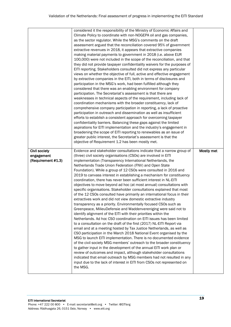|                                                          | considered it the responsibility of the Ministry of Economic Affairs and<br>Climate Policy to coordinate with non-NOGEPA oil and gas companies,<br>as the sector regulator. While the MSG's comments on the draft<br>assessment argued that the reconciliation covered 95% of government<br>extractive revenues in 2018, it appears that extractive companies<br>making material payments to government in 2018 (i.e. above EUR<br>100,000) were not included in the scope of the reconciliation, and that<br>they did not provide taxpayer confidentiality waivers for the purposes of<br>EITI reporting. Stakeholders consulted did not express any particular<br>views on whether the objective of full, active and effective engagement<br>by extractive companies in the EITI, both in terms of disclosures and<br>participation in the MSG's work, had been fulfilled although they<br>considered that there was an enabling environment for company<br>participation. The Secretariat's assessment is that there are<br>weaknesses in technical aspects of the requirement, including lack of<br>coordination mechanisms with the broader constituency, lack of<br>comprehensive company participation in reporting, a lack of proactive<br>participation in outreach and dissemination as well as insufficient<br>efforts to establish a consistent approach for overcoming taxpayer<br>confidentiality barriers. Balancing these gaps against the limited<br>aspirations for EITI implementation and the industry's engagement in<br>broadening the scope of EITI reporting to renewables as an issue of<br>greater public interest, the Secretariat's assessment is that the<br>objective of Requirement 1.2 has been mostly met. |            |
|----------------------------------------------------------|---------------------------------------------------------------------------------------------------------------------------------------------------------------------------------------------------------------------------------------------------------------------------------------------------------------------------------------------------------------------------------------------------------------------------------------------------------------------------------------------------------------------------------------------------------------------------------------------------------------------------------------------------------------------------------------------------------------------------------------------------------------------------------------------------------------------------------------------------------------------------------------------------------------------------------------------------------------------------------------------------------------------------------------------------------------------------------------------------------------------------------------------------------------------------------------------------------------------------------------------------------------------------------------------------------------------------------------------------------------------------------------------------------------------------------------------------------------------------------------------------------------------------------------------------------------------------------------------------------------------------------------------------------------------------------------------------------------------------------------------|------------|
| <b>Civil society</b><br>engagement<br>(Requirement #1.3) | Evidence and stakeholder consultations indicate that a narrow group of<br>(three) civil society organisations (CSOs) are involved in EITI<br>implementation (Transparency International Netherlands, the<br>Netherlands Trade Union Federation (FNV) and Open State<br>Foundation). While a group of 12 CSOs were consulted in 2016 and<br>2019 to canvass interest in establishing a mechanism for constituency<br>coordination, there has never been sufficient interest in NL-EITI<br>objectives to move beyond ad hoc (at most annual) consultations with<br>specific organisations. Stakeholder consultations explained that most<br>of the 12 CSOs consulted have primarily an international focus in their<br>extractives work and did not view domestic extractive industry<br>transparency as a priority. Environmentally focused CSOs such as<br>Greenpeace, MilieuDefensie and Waddenvereniging were said not to<br>identify alignment of the EITI with their priorities within the<br>Netherlands. Ad hoc CSO coordination on EITI issues has been limited<br>to a consultation on the draft of the first (2017) NL-EITI Report via<br>email and at a meeting hosted by Tax Justice Netherlands, as well as<br>CSO participation in the March 2018 National Event organised by the<br>MSG to launch EITI implementation. There is no documented evidence<br>of the civil society MSG members' outreach to the broader constituency<br>to gather input in the development of the annual EITI work plan or<br>review of outcomes and impact, although stakeholder consultations<br>indicated that email outreach by MSG members had not resulted in any                                                                           | Mostly met |
|                                                          | input due to the lack of interest in EITI from CSOs not represented on<br>the MSG.                                                                                                                                                                                                                                                                                                                                                                                                                                                                                                                                                                                                                                                                                                                                                                                                                                                                                                                                                                                                                                                                                                                                                                                                                                                                                                                                                                                                                                                                                                                                                                                                                                                          |            |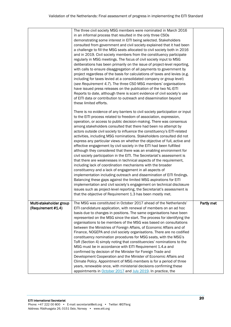|                                               | The three civil society MSG members were nominated in March 2016<br>in an informal process that resulted in the only three CSOs<br>demonstrating some interest in EITI being selected. Stakeholders<br>consulted from government and civil society explained that it had been<br>a challenge to fill the MSG seats allocated to civil society both in 2016<br>and in 2019. Civil society members from the constituency participate<br>regularly in MSG meetings. The focus of civil society input to MSG<br>deliberations has been primarily on the issue of project-level reporting,<br>with calls to ensure disaggregation of all payments to government by<br>project regardless of the basis for calculations of taxes and levies (e.g.<br>including for taxes levied at a consolidated company or group level)<br>(see Requirement 4.7). The three CSO MSG members' organisations<br>have issued press releases on the publication of the two NL-EITI<br>Reports to date, although there is scant evidence of civil society's use<br>of EITI data or contribution to outreach and dissemination beyond<br>these limited efforts.<br>There is no evidence of any barriers to civil society participation or input<br>to the EITI process related to freedom of association, expression,<br>operation, or access to public decision-making. There was consensus<br>among stakeholders consulted that there had been no attempt by<br>actors outside civil society to influence the constituency's EITI-related<br>activities, including MSG nominations. Stakeholders consulted did not<br>express any particular views on whether the objective of full, active and<br>effective engagement by civil society in the EITI had been fulfilled<br>although they considered that there was an enabling environment for<br>civil society participation in the EITI. The Secretariat's assessment is<br>that there are weaknesses in technical aspects of the requirement,<br>including lack of coordination mechanisms with the broader<br>constituency and a lack of engagement in all aspects of<br>implementation including outreach and dissemination of EITI findings.<br>Balancing these gaps against the limited MSG aspirations for EITI<br>implementation and civil society's engagement on technical disclosure |            |
|-----------------------------------------------|--------------------------------------------------------------------------------------------------------------------------------------------------------------------------------------------------------------------------------------------------------------------------------------------------------------------------------------------------------------------------------------------------------------------------------------------------------------------------------------------------------------------------------------------------------------------------------------------------------------------------------------------------------------------------------------------------------------------------------------------------------------------------------------------------------------------------------------------------------------------------------------------------------------------------------------------------------------------------------------------------------------------------------------------------------------------------------------------------------------------------------------------------------------------------------------------------------------------------------------------------------------------------------------------------------------------------------------------------------------------------------------------------------------------------------------------------------------------------------------------------------------------------------------------------------------------------------------------------------------------------------------------------------------------------------------------------------------------------------------------------------------------------------------------------------------------------------------------------------------------------------------------------------------------------------------------------------------------------------------------------------------------------------------------------------------------------------------------------------------------------------------------------------------------------------------------------------------------------------------------------------------------------------------------------------------------------|------------|
|                                               | issues such as project-level reporting, the Secretariat's assessment is<br>that the objective of Requirement 1.3 has been mostly met.                                                                                                                                                                                                                                                                                                                                                                                                                                                                                                                                                                                                                                                                                                                                                                                                                                                                                                                                                                                                                                                                                                                                                                                                                                                                                                                                                                                                                                                                                                                                                                                                                                                                                                                                                                                                                                                                                                                                                                                                                                                                                                                                                                                    |            |
| Multi-stakeholder group<br>(Requirement #1.4) | The MSG was constituted in October 2017 ahead of the Netherlands'<br>EITI candidature application, with renewal of members on an ad hoc<br>basis due to changes in positions. The same organisations have been<br>represented on the MSG since the start. The process for identifying the<br>organisations to be members of the MSG was based on consultations<br>between the Ministries of Foreign Affairs, of Economic Affairs and of<br>Finance, NOGEPA and civil society organisations. There are no codified<br>constituency nomination procedures for MSG seats, with the MSG's<br>ToR (Section 4) simply noting that constituencies' nominations to the<br>MSG must be in accordance with EITI Requirement 1.4.a and<br>confirmed by decision of the Minister for Foreign Trade and<br>Development Cooperation and the Minister of Economic Affairs and<br>Climate Policy. Appointment of MSG members is for a period of three<br>years, renewable once, with ministerial decisions confirming these<br>appointments in October 2017 and July 2019. In practice, the                                                                                                                                                                                                                                                                                                                                                                                                                                                                                                                                                                                                                                                                                                                                                                                                                                                                                                                                                                                                                                                                                                                                                                                                                                              | Partly met |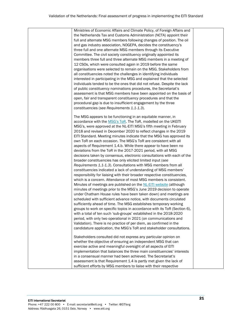| Ministries of Economic Affairs and Climate Policy, of Foreign Affairs and<br>the Netherlands Tax and Customs Administration (NCTA) appoint their<br>full and alternate MSG members following changes of position. The oil<br>and gas industry association, NOGEPA, decides the constituency's<br>three full and one alternate MSG members through its Executive<br>Committee. The civil society constituency originally appointed its<br>members three full and three alternate MSG members in a meeting of<br>12 CSOs, which were consulted again in 2019 before the same<br>organisations were selected to remain on the MSG. Stakeholders from<br>all constituencies noted the challenges in identifying individuals<br>interested in participating in the MSG and explained that the selected<br>individuals tended to be the ones that did not refuse. Despite the lack<br>of public constituency nominations procedures, the Secretariat's<br>assessment is that MSG members have been appointed on the basis of<br>open, fair and transparent constituency procedures and that the<br>procedural gap is due to insufficient engagement by the three<br>constituencies (see Requirements 1.1-1.3).<br>The MSG appears to be functioning in an equitable manner, in<br>accordance with the MSG's ToR. The ToR, modelled on the UKEITI<br>MSG's, were approved at the NL-EITI MSG's fifth meeting in February<br>2018 and revised in December 2020 to reflect changes in the 2019<br>EITI Standard. Meeting minutes indicate that the MSG has approved its<br>own ToR on each occasion. The MSG's ToR are consistent with all<br>aspects of Requirement 1.4.b. While there appear to have been no<br>deviations from the ToR in the 2017-2021 period, with all MSG<br>decisions taken by consensus, electronic consultations with each of the<br>broader constituencies has only elicited limited input (see<br>Requirements 1.1-1.3). Consultations with MSG members from all<br>constituencies indicated a lack of understanding of MSG members'<br>responsibility for liaising with their broader respective constituencies,<br>which is a concern. Attendance of most MSG members is consistent.<br>Minutes of meetings are published on the NL-EITI website (although |
|--------------------------------------------------------------------------------------------------------------------------------------------------------------------------------------------------------------------------------------------------------------------------------------------------------------------------------------------------------------------------------------------------------------------------------------------------------------------------------------------------------------------------------------------------------------------------------------------------------------------------------------------------------------------------------------------------------------------------------------------------------------------------------------------------------------------------------------------------------------------------------------------------------------------------------------------------------------------------------------------------------------------------------------------------------------------------------------------------------------------------------------------------------------------------------------------------------------------------------------------------------------------------------------------------------------------------------------------------------------------------------------------------------------------------------------------------------------------------------------------------------------------------------------------------------------------------------------------------------------------------------------------------------------------------------------------------------------------------------------------------------------------------------------------------------------------------------------------------------------------------------------------------------------------------------------------------------------------------------------------------------------------------------------------------------------------------------------------------------------------------------------------------------------------------------------------------------------------------------------------------------------------------------|
|                                                                                                                                                                                                                                                                                                                                                                                                                                                                                                                                                                                                                                                                                                                                                                                                                                                                                                                                                                                                                                                                                                                                                                                                                                                                                                                                                                                                                                                                                                                                                                                                                                                                                                                                                                                                                                                                                                                                                                                                                                                                                                                                                                                                                                                                                |
|                                                                                                                                                                                                                                                                                                                                                                                                                                                                                                                                                                                                                                                                                                                                                                                                                                                                                                                                                                                                                                                                                                                                                                                                                                                                                                                                                                                                                                                                                                                                                                                                                                                                                                                                                                                                                                                                                                                                                                                                                                                                                                                                                                                                                                                                                |
|                                                                                                                                                                                                                                                                                                                                                                                                                                                                                                                                                                                                                                                                                                                                                                                                                                                                                                                                                                                                                                                                                                                                                                                                                                                                                                                                                                                                                                                                                                                                                                                                                                                                                                                                                                                                                                                                                                                                                                                                                                                                                                                                                                                                                                                                                |
|                                                                                                                                                                                                                                                                                                                                                                                                                                                                                                                                                                                                                                                                                                                                                                                                                                                                                                                                                                                                                                                                                                                                                                                                                                                                                                                                                                                                                                                                                                                                                                                                                                                                                                                                                                                                                                                                                                                                                                                                                                                                                                                                                                                                                                                                                |
|                                                                                                                                                                                                                                                                                                                                                                                                                                                                                                                                                                                                                                                                                                                                                                                                                                                                                                                                                                                                                                                                                                                                                                                                                                                                                                                                                                                                                                                                                                                                                                                                                                                                                                                                                                                                                                                                                                                                                                                                                                                                                                                                                                                                                                                                                |
|                                                                                                                                                                                                                                                                                                                                                                                                                                                                                                                                                                                                                                                                                                                                                                                                                                                                                                                                                                                                                                                                                                                                                                                                                                                                                                                                                                                                                                                                                                                                                                                                                                                                                                                                                                                                                                                                                                                                                                                                                                                                                                                                                                                                                                                                                |
|                                                                                                                                                                                                                                                                                                                                                                                                                                                                                                                                                                                                                                                                                                                                                                                                                                                                                                                                                                                                                                                                                                                                                                                                                                                                                                                                                                                                                                                                                                                                                                                                                                                                                                                                                                                                                                                                                                                                                                                                                                                                                                                                                                                                                                                                                |
|                                                                                                                                                                                                                                                                                                                                                                                                                                                                                                                                                                                                                                                                                                                                                                                                                                                                                                                                                                                                                                                                                                                                                                                                                                                                                                                                                                                                                                                                                                                                                                                                                                                                                                                                                                                                                                                                                                                                                                                                                                                                                                                                                                                                                                                                                |
|                                                                                                                                                                                                                                                                                                                                                                                                                                                                                                                                                                                                                                                                                                                                                                                                                                                                                                                                                                                                                                                                                                                                                                                                                                                                                                                                                                                                                                                                                                                                                                                                                                                                                                                                                                                                                                                                                                                                                                                                                                                                                                                                                                                                                                                                                |
|                                                                                                                                                                                                                                                                                                                                                                                                                                                                                                                                                                                                                                                                                                                                                                                                                                                                                                                                                                                                                                                                                                                                                                                                                                                                                                                                                                                                                                                                                                                                                                                                                                                                                                                                                                                                                                                                                                                                                                                                                                                                                                                                                                                                                                                                                |
|                                                                                                                                                                                                                                                                                                                                                                                                                                                                                                                                                                                                                                                                                                                                                                                                                                                                                                                                                                                                                                                                                                                                                                                                                                                                                                                                                                                                                                                                                                                                                                                                                                                                                                                                                                                                                                                                                                                                                                                                                                                                                                                                                                                                                                                                                |
|                                                                                                                                                                                                                                                                                                                                                                                                                                                                                                                                                                                                                                                                                                                                                                                                                                                                                                                                                                                                                                                                                                                                                                                                                                                                                                                                                                                                                                                                                                                                                                                                                                                                                                                                                                                                                                                                                                                                                                                                                                                                                                                                                                                                                                                                                |
|                                                                                                                                                                                                                                                                                                                                                                                                                                                                                                                                                                                                                                                                                                                                                                                                                                                                                                                                                                                                                                                                                                                                                                                                                                                                                                                                                                                                                                                                                                                                                                                                                                                                                                                                                                                                                                                                                                                                                                                                                                                                                                                                                                                                                                                                                |
|                                                                                                                                                                                                                                                                                                                                                                                                                                                                                                                                                                                                                                                                                                                                                                                                                                                                                                                                                                                                                                                                                                                                                                                                                                                                                                                                                                                                                                                                                                                                                                                                                                                                                                                                                                                                                                                                                                                                                                                                                                                                                                                                                                                                                                                                                |
|                                                                                                                                                                                                                                                                                                                                                                                                                                                                                                                                                                                                                                                                                                                                                                                                                                                                                                                                                                                                                                                                                                                                                                                                                                                                                                                                                                                                                                                                                                                                                                                                                                                                                                                                                                                                                                                                                                                                                                                                                                                                                                                                                                                                                                                                                |
|                                                                                                                                                                                                                                                                                                                                                                                                                                                                                                                                                                                                                                                                                                                                                                                                                                                                                                                                                                                                                                                                                                                                                                                                                                                                                                                                                                                                                                                                                                                                                                                                                                                                                                                                                                                                                                                                                                                                                                                                                                                                                                                                                                                                                                                                                |
|                                                                                                                                                                                                                                                                                                                                                                                                                                                                                                                                                                                                                                                                                                                                                                                                                                                                                                                                                                                                                                                                                                                                                                                                                                                                                                                                                                                                                                                                                                                                                                                                                                                                                                                                                                                                                                                                                                                                                                                                                                                                                                                                                                                                                                                                                |
|                                                                                                                                                                                                                                                                                                                                                                                                                                                                                                                                                                                                                                                                                                                                                                                                                                                                                                                                                                                                                                                                                                                                                                                                                                                                                                                                                                                                                                                                                                                                                                                                                                                                                                                                                                                                                                                                                                                                                                                                                                                                                                                                                                                                                                                                                |
|                                                                                                                                                                                                                                                                                                                                                                                                                                                                                                                                                                                                                                                                                                                                                                                                                                                                                                                                                                                                                                                                                                                                                                                                                                                                                                                                                                                                                                                                                                                                                                                                                                                                                                                                                                                                                                                                                                                                                                                                                                                                                                                                                                                                                                                                                |
|                                                                                                                                                                                                                                                                                                                                                                                                                                                                                                                                                                                                                                                                                                                                                                                                                                                                                                                                                                                                                                                                                                                                                                                                                                                                                                                                                                                                                                                                                                                                                                                                                                                                                                                                                                                                                                                                                                                                                                                                                                                                                                                                                                                                                                                                                |
|                                                                                                                                                                                                                                                                                                                                                                                                                                                                                                                                                                                                                                                                                                                                                                                                                                                                                                                                                                                                                                                                                                                                                                                                                                                                                                                                                                                                                                                                                                                                                                                                                                                                                                                                                                                                                                                                                                                                                                                                                                                                                                                                                                                                                                                                                |
|                                                                                                                                                                                                                                                                                                                                                                                                                                                                                                                                                                                                                                                                                                                                                                                                                                                                                                                                                                                                                                                                                                                                                                                                                                                                                                                                                                                                                                                                                                                                                                                                                                                                                                                                                                                                                                                                                                                                                                                                                                                                                                                                                                                                                                                                                |
|                                                                                                                                                                                                                                                                                                                                                                                                                                                                                                                                                                                                                                                                                                                                                                                                                                                                                                                                                                                                                                                                                                                                                                                                                                                                                                                                                                                                                                                                                                                                                                                                                                                                                                                                                                                                                                                                                                                                                                                                                                                                                                                                                                                                                                                                                |
|                                                                                                                                                                                                                                                                                                                                                                                                                                                                                                                                                                                                                                                                                                                                                                                                                                                                                                                                                                                                                                                                                                                                                                                                                                                                                                                                                                                                                                                                                                                                                                                                                                                                                                                                                                                                                                                                                                                                                                                                                                                                                                                                                                                                                                                                                |
|                                                                                                                                                                                                                                                                                                                                                                                                                                                                                                                                                                                                                                                                                                                                                                                                                                                                                                                                                                                                                                                                                                                                                                                                                                                                                                                                                                                                                                                                                                                                                                                                                                                                                                                                                                                                                                                                                                                                                                                                                                                                                                                                                                                                                                                                                |
|                                                                                                                                                                                                                                                                                                                                                                                                                                                                                                                                                                                                                                                                                                                                                                                                                                                                                                                                                                                                                                                                                                                                                                                                                                                                                                                                                                                                                                                                                                                                                                                                                                                                                                                                                                                                                                                                                                                                                                                                                                                                                                                                                                                                                                                                                |
|                                                                                                                                                                                                                                                                                                                                                                                                                                                                                                                                                                                                                                                                                                                                                                                                                                                                                                                                                                                                                                                                                                                                                                                                                                                                                                                                                                                                                                                                                                                                                                                                                                                                                                                                                                                                                                                                                                                                                                                                                                                                                                                                                                                                                                                                                |
|                                                                                                                                                                                                                                                                                                                                                                                                                                                                                                                                                                                                                                                                                                                                                                                                                                                                                                                                                                                                                                                                                                                                                                                                                                                                                                                                                                                                                                                                                                                                                                                                                                                                                                                                                                                                                                                                                                                                                                                                                                                                                                                                                                                                                                                                                |
|                                                                                                                                                                                                                                                                                                                                                                                                                                                                                                                                                                                                                                                                                                                                                                                                                                                                                                                                                                                                                                                                                                                                                                                                                                                                                                                                                                                                                                                                                                                                                                                                                                                                                                                                                                                                                                                                                                                                                                                                                                                                                                                                                                                                                                                                                |
|                                                                                                                                                                                                                                                                                                                                                                                                                                                                                                                                                                                                                                                                                                                                                                                                                                                                                                                                                                                                                                                                                                                                                                                                                                                                                                                                                                                                                                                                                                                                                                                                                                                                                                                                                                                                                                                                                                                                                                                                                                                                                                                                                                                                                                                                                |
|                                                                                                                                                                                                                                                                                                                                                                                                                                                                                                                                                                                                                                                                                                                                                                                                                                                                                                                                                                                                                                                                                                                                                                                                                                                                                                                                                                                                                                                                                                                                                                                                                                                                                                                                                                                                                                                                                                                                                                                                                                                                                                                                                                                                                                                                                |
|                                                                                                                                                                                                                                                                                                                                                                                                                                                                                                                                                                                                                                                                                                                                                                                                                                                                                                                                                                                                                                                                                                                                                                                                                                                                                                                                                                                                                                                                                                                                                                                                                                                                                                                                                                                                                                                                                                                                                                                                                                                                                                                                                                                                                                                                                |
|                                                                                                                                                                                                                                                                                                                                                                                                                                                                                                                                                                                                                                                                                                                                                                                                                                                                                                                                                                                                                                                                                                                                                                                                                                                                                                                                                                                                                                                                                                                                                                                                                                                                                                                                                                                                                                                                                                                                                                                                                                                                                                                                                                                                                                                                                |
|                                                                                                                                                                                                                                                                                                                                                                                                                                                                                                                                                                                                                                                                                                                                                                                                                                                                                                                                                                                                                                                                                                                                                                                                                                                                                                                                                                                                                                                                                                                                                                                                                                                                                                                                                                                                                                                                                                                                                                                                                                                                                                                                                                                                                                                                                |
| minutes of meetings prior to the MSG's June 2019 decision to operate                                                                                                                                                                                                                                                                                                                                                                                                                                                                                                                                                                                                                                                                                                                                                                                                                                                                                                                                                                                                                                                                                                                                                                                                                                                                                                                                                                                                                                                                                                                                                                                                                                                                                                                                                                                                                                                                                                                                                                                                                                                                                                                                                                                                           |
| under Chatham House rules have been taken down) and meetings are                                                                                                                                                                                                                                                                                                                                                                                                                                                                                                                                                                                                                                                                                                                                                                                                                                                                                                                                                                                                                                                                                                                                                                                                                                                                                                                                                                                                                                                                                                                                                                                                                                                                                                                                                                                                                                                                                                                                                                                                                                                                                                                                                                                                               |
| scheduled with sufficient advance notice, with documents circulated                                                                                                                                                                                                                                                                                                                                                                                                                                                                                                                                                                                                                                                                                                                                                                                                                                                                                                                                                                                                                                                                                                                                                                                                                                                                                                                                                                                                                                                                                                                                                                                                                                                                                                                                                                                                                                                                                                                                                                                                                                                                                                                                                                                                            |
| sufficiently ahead of time. The MSG establishes temporary working                                                                                                                                                                                                                                                                                                                                                                                                                                                                                                                                                                                                                                                                                                                                                                                                                                                                                                                                                                                                                                                                                                                                                                                                                                                                                                                                                                                                                                                                                                                                                                                                                                                                                                                                                                                                                                                                                                                                                                                                                                                                                                                                                                                                              |
| groups to work on specific topics in accordance with its ToR (Section 6),                                                                                                                                                                                                                                                                                                                                                                                                                                                                                                                                                                                                                                                                                                                                                                                                                                                                                                                                                                                                                                                                                                                                                                                                                                                                                                                                                                                                                                                                                                                                                                                                                                                                                                                                                                                                                                                                                                                                                                                                                                                                                                                                                                                                      |
| with a total of ten such 'sub-groups' established in the 2018-2020                                                                                                                                                                                                                                                                                                                                                                                                                                                                                                                                                                                                                                                                                                                                                                                                                                                                                                                                                                                                                                                                                                                                                                                                                                                                                                                                                                                                                                                                                                                                                                                                                                                                                                                                                                                                                                                                                                                                                                                                                                                                                                                                                                                                             |
| period, with only two operational in 2021 (on communications and                                                                                                                                                                                                                                                                                                                                                                                                                                                                                                                                                                                                                                                                                                                                                                                                                                                                                                                                                                                                                                                                                                                                                                                                                                                                                                                                                                                                                                                                                                                                                                                                                                                                                                                                                                                                                                                                                                                                                                                                                                                                                                                                                                                                               |
| Validation). There is no practice of per diem, as confirmed in the                                                                                                                                                                                                                                                                                                                                                                                                                                                                                                                                                                                                                                                                                                                                                                                                                                                                                                                                                                                                                                                                                                                                                                                                                                                                                                                                                                                                                                                                                                                                                                                                                                                                                                                                                                                                                                                                                                                                                                                                                                                                                                                                                                                                             |
| candidature application, the MSG's ToR and stakeholder consultations.                                                                                                                                                                                                                                                                                                                                                                                                                                                                                                                                                                                                                                                                                                                                                                                                                                                                                                                                                                                                                                                                                                                                                                                                                                                                                                                                                                                                                                                                                                                                                                                                                                                                                                                                                                                                                                                                                                                                                                                                                                                                                                                                                                                                          |
|                                                                                                                                                                                                                                                                                                                                                                                                                                                                                                                                                                                                                                                                                                                                                                                                                                                                                                                                                                                                                                                                                                                                                                                                                                                                                                                                                                                                                                                                                                                                                                                                                                                                                                                                                                                                                                                                                                                                                                                                                                                                                                                                                                                                                                                                                |
| Stakeholders consulted did not express any particular opinion on                                                                                                                                                                                                                                                                                                                                                                                                                                                                                                                                                                                                                                                                                                                                                                                                                                                                                                                                                                                                                                                                                                                                                                                                                                                                                                                                                                                                                                                                                                                                                                                                                                                                                                                                                                                                                                                                                                                                                                                                                                                                                                                                                                                                               |
| whether the objective of ensuring an independent MSG that can                                                                                                                                                                                                                                                                                                                                                                                                                                                                                                                                                                                                                                                                                                                                                                                                                                                                                                                                                                                                                                                                                                                                                                                                                                                                                                                                                                                                                                                                                                                                                                                                                                                                                                                                                                                                                                                                                                                                                                                                                                                                                                                                                                                                                  |
| exercise active and meaningful oversight of all aspects of EITI                                                                                                                                                                                                                                                                                                                                                                                                                                                                                                                                                                                                                                                                                                                                                                                                                                                                                                                                                                                                                                                                                                                                                                                                                                                                                                                                                                                                                                                                                                                                                                                                                                                                                                                                                                                                                                                                                                                                                                                                                                                                                                                                                                                                                |
| implementation that balances the three main constituencies' interests                                                                                                                                                                                                                                                                                                                                                                                                                                                                                                                                                                                                                                                                                                                                                                                                                                                                                                                                                                                                                                                                                                                                                                                                                                                                                                                                                                                                                                                                                                                                                                                                                                                                                                                                                                                                                                                                                                                                                                                                                                                                                                                                                                                                          |
| in a consensual manner had been achieved. The Secretariat's                                                                                                                                                                                                                                                                                                                                                                                                                                                                                                                                                                                                                                                                                                                                                                                                                                                                                                                                                                                                                                                                                                                                                                                                                                                                                                                                                                                                                                                                                                                                                                                                                                                                                                                                                                                                                                                                                                                                                                                                                                                                                                                                                                                                                    |
| assessment is that Requirement 1.4 is partly met given the lack of                                                                                                                                                                                                                                                                                                                                                                                                                                                                                                                                                                                                                                                                                                                                                                                                                                                                                                                                                                                                                                                                                                                                                                                                                                                                                                                                                                                                                                                                                                                                                                                                                                                                                                                                                                                                                                                                                                                                                                                                                                                                                                                                                                                                             |
| sufficient efforts by MSG members to liaise with their respective                                                                                                                                                                                                                                                                                                                                                                                                                                                                                                                                                                                                                                                                                                                                                                                                                                                                                                                                                                                                                                                                                                                                                                                                                                                                                                                                                                                                                                                                                                                                                                                                                                                                                                                                                                                                                                                                                                                                                                                                                                                                                                                                                                                                              |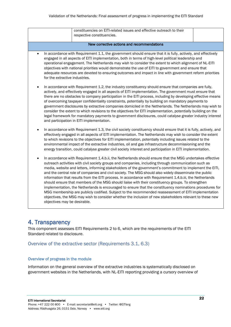|                                | constituencies on EITI-related issues and effective outreach to their<br>respective constituencies.                                                                                                                                                                                                                                                                                                                                                                                                                                                                                                                                                                                                                                                                                                                                                                                                                                                                                      |  |
|--------------------------------|------------------------------------------------------------------------------------------------------------------------------------------------------------------------------------------------------------------------------------------------------------------------------------------------------------------------------------------------------------------------------------------------------------------------------------------------------------------------------------------------------------------------------------------------------------------------------------------------------------------------------------------------------------------------------------------------------------------------------------------------------------------------------------------------------------------------------------------------------------------------------------------------------------------------------------------------------------------------------------------|--|
|                                | New corrective actions and recommendations                                                                                                                                                                                                                                                                                                                                                                                                                                                                                                                                                                                                                                                                                                                                                                                                                                                                                                                                               |  |
| for the extractive industries. | In accordance with Requirement 1.1, the government should ensure that it is fully, actively, and effectively<br>engaged in all aspects of EITI implementation, both in terms of high-level political leadership and<br>operational engagement. The Netherlands may wish to consider the extent to which alignment of NL-EITI<br>objectives with national priorities would demonstrate the use of EITI to government and ensure that<br>adequate resources are devoted to ensuring outcomes and impact in line with government reform priorities                                                                                                                                                                                                                                                                                                                                                                                                                                          |  |
|                                | In accordance with Requirement 1.2, the industry constituency should ensure that companies are fully,<br>actively, and effectively engaged in all aspects of EITI implementation. The government must ensure that<br>there are no obstacles to company participation in the EITI process, including by developing effective means<br>of overcoming taxpayer confidentiality constraints, potentially by building on mandatory payments to<br>government disclosures by extractive companies domiciled in the Netherlands. The Netherlands may wish to<br>consider the extent to which revisions to the objectives for EITI implementation, potentially building on the<br>legal framework for mandatory payments to government disclosures, could catalyse greater industry interest<br>and participation in EITI implementation.                                                                                                                                                        |  |
|                                | In accordance with Requirement 1.3, the civil society constituency should ensure that it is fully, actively, and<br>effectively engaged in all aspects of EITI implementation. The Netherlands may wish to consider the extent<br>to which revisions to the objectives for EITI implementation, potentially including issues related to the<br>environmental impact of the extractive industries, oil and gas infrastructure decommissioning and the<br>energy transition, could catalyse greater civil society interest and participation in EITI implementation.                                                                                                                                                                                                                                                                                                                                                                                                                       |  |
| objectives may be desirable.   | In accordance with Requirement 1.4.b.ii, the Netherlands should ensure that the MSG undertakes effective<br>outreach activities with civil society groups and companies, including through communication such as<br>media, website and letters, informing stakeholders of the government's commitment to implement the EITI,<br>and the central role of companies and civil society. The MSG should also widely disseminate the public<br>information that results from the EITI process. In accordance with Requirement 1.4.b.iii, the Netherlands<br>should ensure that members of the MSG should liaise with their constituency groups. To strengthen<br>implementation, the Netherlands is encouraged to ensure that the constituency nominations procedures for<br>MSG membership are publicly codified. Subject to the recommended reassessment of EITI implementation<br>objectives, the MSG may wish to consider whether the inclusion of new stakeholders relevant to these new |  |
|                                |                                                                                                                                                                                                                                                                                                                                                                                                                                                                                                                                                                                                                                                                                                                                                                                                                                                                                                                                                                                          |  |

## 4. Transparency

This component assesses EITI Requirements 2 to 6, which are the requirements of the EITI Standard related to disclosure.

#### Overview of the extractive sector (Requirements 3.1, 6.3)

#### Overview of progress in the module

Information on the general overview of the extractive industries is systematically disclosed on government websites in the Netherlands, with NL-EITI reporting providing a cursory overview of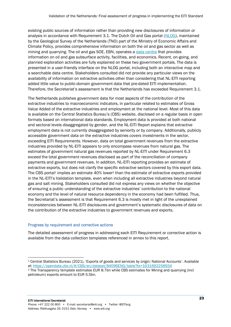existing public sources of information rather than providing new disclosures of information or analysis in accordance with Requirement 3.1. The Dutch Oil and Gas portal [\(NLOG\)](https://www.nlog.nl/en/welcome-nlog), maintained by the Geological Survey of the Netherlands (TNO) part of the Ministry of Economic Affairs and Climate Policy, provides comprehensive information on both the oil and gas sector as well as mining and quarrying. The oil and gas SOE, EBN, operates a [data centre](https://www.ebn.nl/en/data-centre/) that provides information on oil and gas subsurface activity, facilities, and economics. Recent, on-going, and planned exploration activities are fully explained on these two government portals. The data is presented in a user-friendly interface on the NLOG portal, including both an interactive map and a searchable data centre. Stakeholders consulted did not provide any particular views on the availability of information on extractive activities other than considering that NL-EITI reporting added little value to public-domain government data that pre-dated EITI implementation. Therefore, the Secretariat's assessment is that the Netherlands has exceeded Requirement 3.1.

The Netherlands publishes government data for most aspects of the contribution of the extractive industries to macroeconomic indicators, in particular related to estimates of Gross Value Added of the extractive industries and employment at the national level. Most of this data is available on the Central Statistics Bureau's (CBS) website, disclosed on a regular basis in open formats based on international data standards. Employment data is provided at both national and sectoral levels disaggregated by gender, and the NL-EITI Report explains that extractive employment data is not currently disaggregated by seniority or by company. Additionally, publicly accessible government data on the extractive industries covers investments in the sector, exceeding EITI Requirements. However, data on total government revenues from the extractive industries provided by NL-EITI appears to only encompass revenues from natural gas. The estimates of government natural gas revenues reported by NL-EITI under Requirement 6.3 exceed the total government revenues disclosed as part of the reconciliation of company payments and government revenues. In addition, NL-EITI reporting provides an estimate of extractive exports, but does not clarify the specific extractive sectors covered by this export data. The CBS portal<sup>1</sup> implies an estimate 40% lower<sup>2</sup> than the estimate of extractive exports provided in the NL-EITI's Validation template, even when including all extractive industries beyond natural gas and salt mining. Stakeholders consulted did not express any views on whether the objective of ensuring a public understanding of the extractive industries' contribution to the national economy and the level of natural resource dependency in the economy had been fulfilled. Thus, the Secretariat's assessment is that Requirement 6.3 is mostly met in light of the unexplained inconsistencies between NL-EITI disclosures and government's systematic disclosures of data on the contribution of the extractive industries to government revenues and exports.

#### Progress by requirement and corrective actions

The detailed assessment of progress in addressing each EITI Requirement or corrective action is available from the data collection templates referenced in annex to this report.

<sup>1</sup> Central Statistics Bureau (2021), 'Exports of goods and services by origin; National Accounts'. Available at:<https://opendata.cbs.nl/#/CBS/en/dataset/84096ENG/table?ts=1631692258934>

<sup>&</sup>lt;sup>2</sup> The Transparency template estimates EUR 8.7bn while CBS estimates for Mining and quarrying (incl petroleum) exports amount to EUR 5.5bn.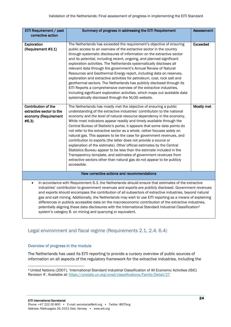| EITI Requirement / past                                                                                                                                                                                                                                                                                                                                                                                                                                                                                                                                                                                                                                                                                                                              | Summary of progress in addressing the EITI Requirement                                                                                                                                                                                                                                                                                                                                                                                                                                                                                                                                                                                                                                                                                                                                                                                                                                                             | <b>Assessment</b> |
|------------------------------------------------------------------------------------------------------------------------------------------------------------------------------------------------------------------------------------------------------------------------------------------------------------------------------------------------------------------------------------------------------------------------------------------------------------------------------------------------------------------------------------------------------------------------------------------------------------------------------------------------------------------------------------------------------------------------------------------------------|--------------------------------------------------------------------------------------------------------------------------------------------------------------------------------------------------------------------------------------------------------------------------------------------------------------------------------------------------------------------------------------------------------------------------------------------------------------------------------------------------------------------------------------------------------------------------------------------------------------------------------------------------------------------------------------------------------------------------------------------------------------------------------------------------------------------------------------------------------------------------------------------------------------------|-------------------|
| corrective action                                                                                                                                                                                                                                                                                                                                                                                                                                                                                                                                                                                                                                                                                                                                    |                                                                                                                                                                                                                                                                                                                                                                                                                                                                                                                                                                                                                                                                                                                                                                                                                                                                                                                    |                   |
| Exploration<br>(Requirement #3.1)                                                                                                                                                                                                                                                                                                                                                                                                                                                                                                                                                                                                                                                                                                                    | The Netherlands has exceeded the requirement's objective of ensuring<br>public access to an overview of the extractive sector in the country<br>through systematic disclosures of information on the extractive sector<br>and its potential, including recent, ongoing, and planned significant<br>exploration activities. The Netherlands systematically discloses all<br>relevant data through the government's Annual Review of Natural<br>Resources and Geothermal Energy report, including data on reserves,<br>exploration and extractive activities for petroleum, coal, rock salt and<br>geothermal sectors. The Netherlands has publicly disclosed through its<br>EITI Reports a comprehensive overview of the extractive industries,<br>including significant exploration activities, which maps out available data<br>systematically disclosed through the NLOG website.                                | <b>Exceeded</b>   |
| Contribution of the<br>extractive sector to the<br>economy (Requirement<br>#6.3)                                                                                                                                                                                                                                                                                                                                                                                                                                                                                                                                                                                                                                                                     | The Netherlands has mostly met the objective of ensuring a public<br>understanding of the extractive industries' contribution to the national<br>economy and the level of natural resource dependency in the economy.<br>While most indicators appear readily and timely available through the<br>Central Bureau of Statistic's portal, it appears that some data points do<br>not refer to the extractive sector as a whole, rather focuses solely on<br>natural gas. This appears to be the case for government revenues, and<br>contribution to exports (the latter does not provide a source or<br>explanation of the estimate). Other official estimates by the Central<br>Statistics Bureau appear to be less than the estimate included in the<br>Transparency template, and estimates of government revenues from<br>extractive sectors other than natural gas do not appear to be publicly<br>accessible. | Mostly met        |
|                                                                                                                                                                                                                                                                                                                                                                                                                                                                                                                                                                                                                                                                                                                                                      | New corrective actions and recommendations                                                                                                                                                                                                                                                                                                                                                                                                                                                                                                                                                                                                                                                                                                                                                                                                                                                                         |                   |
| In accordance with Requirement 6.3, the Netherlands should ensure that estimates of the extractive<br>$\bullet$<br>industries' contribution to government revenues and exports are publicly disclosed. Government revenues<br>and exports should encompass the contribution of all subsectors of extractive industries, beyond natural<br>gas and salt mining. Additionally, the Netherlands may wish to use EITI reporting as a means of explaining<br>differences in publicly accessible data on the macroeconomic contribution of the extractive industries,<br>potentially aligning these data disclosures with the International Standard Industrial Classification <sup>3</sup><br>system's category B. on mining and quarrying or equivalent. |                                                                                                                                                                                                                                                                                                                                                                                                                                                                                                                                                                                                                                                                                                                                                                                                                                                                                                                    |                   |

#### Legal environment and fiscal regime (Requirements 2.1, 2.4, 6.4)

#### Overview of progress in the module

The Netherlands has used its EITI reporting to provide a cursory overview of public sources of information on all aspects of the regulatory framework for the extractive industries, including the

<sup>3</sup> United Nations (2007), 'International Standard Industrial Classification of All Economic Activities (ISIC) Revision 4'. Available at: <https://unstats.un.org/unsd/classifications/Family/Detail/27>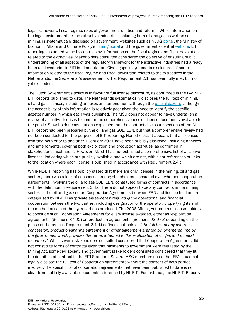legal framework, fiscal regime, roles of government entities and reforms. While information on the legal environment for the extractive industries, including both oil and gas as well as salt mining, is systematically disclosed on government websites such as NLOG [portal,](https://www.nlog.nl/en/welcome-nlog) the Ministry of Economic Affairs and Climate Policy's [mining portal](https://mijnbouwvergunningen.nl/) and the government's central [website,](https://www.rijksoverheid.nl/) EITI reporting has added value by centralising information on the fiscal regime and fiscal devolution related to the extractives. Stakeholders consulted considered the objective of ensuring public understanding of all aspects of the regulatory framework for the extractive industries had already been achieved prior to EITI implementation. Given gaps in systematic disclosures of some information related to the fiscal regime and fiscal devolution related to the extractives in the Netherlands, the Secretariat's assessment is that Requirement 2.1 has been fully met, but not yet exceeded.

The Dutch Government's policy is in favour of full license disclosure, as confirmed in the two NL-EITI Reports published to date. The Netherlands systematically discloses the full text of mining, oil and gas licenses, including annexes and amendments, through th[e official gazette,](https://www.officielebekendmakingen.nl/staatscourant) although the accessibility of this information is relatively poor given the need to identify the specific gazette number in which each was published. The MSG does not appear to have undertaken a review of all active licenses to confirm the comprehensiveness of license documents available to the public. Stakeholder consultations explained that the contract disclosure sections of the NL-EITI Report had been prepared by the oil and gas SOE, EBN, but that a comprehensive review had not been conducted for the purposes of EITI reporting. Nonetheless, it appears that all licenses awarded both prior to and after 1 January 2021 have been publicly disclosed, including annexes and amendments, covering both exploration and production activities, as confirmed in stakeholder consultations. However, NL-EITI has not published a comprehensive list of all active licenses, indicating which are publicly available and which are not, with clear references or links to the location where each license is published in accordance with Requirement 2.4.c.ii.

While NL-EITI reporting has publicly stated that there are only licenses in the mining, oil and gas sectors, there was a lack of consensus among stakeholders consulted over whether 'cooperation agreements' involving the oil and gas SOE, EBN, constituted forms of contracts in accordance with the definition in Requirement 2.4.d. There do not appear to be any contracts in the mining sector. In the oil and gas sector, Cooperation Agreements between EBN and licence holders are categorised by NL-EITI as 'private agreements' regulating the operational and financial cooperation between the two parties, including designation of the operator, property rights and the method of sale of the hydrocarbons produced. The 2008 Mining Act requires license-holders to conclude such Cooperation Agreements for every license awarded, either as 'exploration agreements' (Sections 87-92) or 'production agreements' (Sections 93-97b) depending on the phase of the project. Requirement 2.4.d.i defines contracts as "*the full text of any contract, concession, production-sharing agreement or other agreement granted by, or entered into by, the government which provides the terms attached to the exploitation of oil gas and mineral resources.*" While several stakeholders consulted considered that Cooperation Agreements did not constitute forms of contracts given that payments to government were regulated by the Mining Act, some civil society and government stakeholders consulted considered that they fit the definition of contract in the EITI Standard. Several MSG members noted that EBN could not legally disclose the full text of Cooperation Agreements without the consent of both parties involved. The specific list of cooperation agreements that have been published to date is not clear from publicly available documents referenced by NL-EITI. For instance, the NL-EITI Reports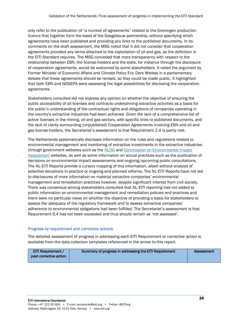only refer to the publication of "a number of agreements" related to the Groningen production licence that together form the basis of the Gasgebouw partnership, without specifying which agreements have been published and providing any links to the published documents. In its comments on the draft assessment, the MSG noted that it did not consider that cooperation agreements provided any terms attached to the exploitation of oil and gas, as the definition in the EITI Standard requires. The MSG conceded that more transparency with respect to the relationship between EBN, the license-holders and the state, for instance through the disclosure of cooperation agreements, would be welcomed by some stakeholders. It noted the argument by Former Minister of Economic Affairs and Climate Policy Eric Derk Wiebes in a parliamentary debate that these agreements should be revised, so they could be made public. It highlighted that both EBN and NOGEPA were assessing the legal possibilities for disclosing the cooperation agreements.

Stakeholders consulted did not express any opinion on whether the objective of ensuring the public accessibility of all licenses and contracts underpinning extractive activities as a basis for the public's understanding of the contractual rights and obligations of companies operating in the country's extractive industries had been achieved. Given the lack of a comprehensive list of active licenses in the mining, oil and gas sectors, with specific links to published documents, and the lack of clarity surrounding (unpublished) Cooperation Agreements involving EBN and oil and gas license-holders, the Secretariat's assessment is that Requirement 2.4 is partly met.

The Netherlands systematically discloses information on the rules and regulations related to environmental management and monitoring of extractive investments in the extractive industries through government websites such as th[e NLOG](https://www.nlog.nl/mijnbouw-effecten) and Commission on Environmental Impact [Assessment](https://www.commissiemer.nl/) websites, as well as some information on actual practices such as the publication of decisions on environmental impact assessments and ongoing/upcoming public consultations. The NL-EITI Reports provide a cursory mapping of this information, albeit without analysis of potential deviations in practice or ongoing and planned reforms. The NL-EITI Reports have not led to disclosures of more information on material extractive companies' environmental management and remediation practices however, despite significant interest from civil society. There was consensus among stakeholders consulted that NL-EITI reporting had not added to public information on environmental management and remediation policies and practices and there were no particular views on whether the objective of providing a basis for stakeholders to assess the adequacy of the regulatory framework and to assess extractive companies' adherence to environmental obligations had been fulfilled. The Secretariat's assessment is that Requirement 6.4 has not been exceeded and thus should remain as 'not assessed'.

#### Progress by requirement and corrective actions

The detailed assessment of progress in addressing each EITI Requirement or corrective action is available from the data collection templates referenced in the annex to this report.

| <b>EITI Requirement /</b> | Summary of progress in addressing the EITI Requirement | Assessment |
|---------------------------|--------------------------------------------------------|------------|
| past corrective action    |                                                        |            |
|                           |                                                        |            |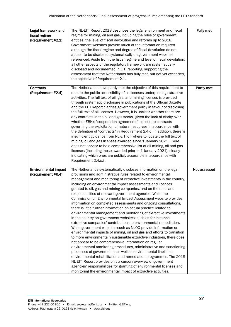| Legal framework and<br>fiscal regime<br>(Requirement #2.1) | The NL-EITI Report 2018 describes the legal environment and fiscal<br>regime for mining, oil and gas, including the roles of government<br>entities, the level of fiscal devolution and reforms up to 2018.<br>Government websites provide much of the information required<br>although the fiscal regime and degree of fiscal devolution do not<br>appear to be disclosed systematically on government websites<br>referenced. Aside from the fiscal regime and level of fiscal devolution,<br>all other aspects of the regulatory framework are systematically<br>disclosed and documented in EITI reporting, supporting the<br>assessment that the Netherlands has fully met, but not yet exceeded,<br>the objective of Requirement 2.1.                                                                                                                                                                                                                                                                                                                                                                                                                                                                                                                                                                                                                                                                                                                                                                                       | Fully met    |
|------------------------------------------------------------|-----------------------------------------------------------------------------------------------------------------------------------------------------------------------------------------------------------------------------------------------------------------------------------------------------------------------------------------------------------------------------------------------------------------------------------------------------------------------------------------------------------------------------------------------------------------------------------------------------------------------------------------------------------------------------------------------------------------------------------------------------------------------------------------------------------------------------------------------------------------------------------------------------------------------------------------------------------------------------------------------------------------------------------------------------------------------------------------------------------------------------------------------------------------------------------------------------------------------------------------------------------------------------------------------------------------------------------------------------------------------------------------------------------------------------------------------------------------------------------------------------------------------------------|--------------|
| Contracts<br>(Requirement #2.4)                            | The Netherlands have partly met the objective of this requirement to<br>ensure the public accessibility of all licenses underpinning extractive<br>activities. The full text of oil, gas, and mining licenses is provided<br>through systematic disclosure in publications of the Official Gazette<br>and the EITI Report clarifies government policy in favour of disclosing<br>the full text of all licenses. However, it is unclear whether there are<br>any contracts in the oil and gas sector, given the lack of clarity over<br>whether EBN's "cooperation agreements" constitute contracts<br>governing the exploitation of natural resources in accordance with<br>the definition of "contracts" in Requirement 2.4.d. In addition, there is<br>insufficient guidance from NL-EITI on where to locate the full text of<br>mining, oil and gas licenses awarded since 1 January 2021. There<br>does not appear to be a comprehensive list of all mining, oil and gas<br>licenses (including those awarded prior to 1 January 2021), clearly<br>indicating which ones are publicly accessible in accordance with<br>Requirement 2.4.c.ii.                                                                                                                                                                                                                                                                                                                                                                                  | Partly met   |
| <b>Environmental impact</b><br>(Requirement #6.4)          | The Netherlands systematically discloses information on the legal<br>provisions and administrative rules related to environmental<br>management and monitoring of extractive investments in the country,<br>including on environmental impact assessments and licences<br>granted to oil, gas and mining companies, and on the roles and<br>responsibilities of relevant government agencies. While the<br>Commission on Environmental Impact Assessment website provides<br>information on completed assessments and ongoing consultations,<br>there is little further information on actual practice related to<br>environmental management and monitoring of extractive investments<br>in the country on government websites, such as for instance<br>extractive companies' contributions to environmental remediation.<br>While government websites such as NLOG provide information on<br>environmental impacts of mining, oil and gas and efforts to transition<br>to more environmentally sustainable extractive industries, there does<br>not appear to be comprehensive information on regular<br>environmental monitoring procedures, administrative and sanctioning<br>processes of governments, as well as environmental liabilities,<br>environmental rehabilitation and remediation programmes. The 2018<br>NL-EITI Report provides only a cursory overview of government<br>agencies' responsibilities for granting of environmental licenses and<br>monitoring the environmental impact of extractive activities. | Not assessed |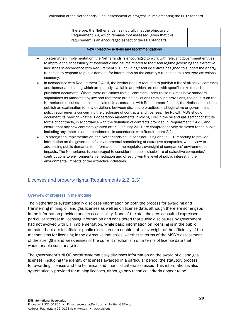|                                                 | Therefore, the Netherlands has not fully met the objective of<br>Requirement 6.4, which remains 'not assessed' given that this<br>requirement is an encouraged aspect of the EITI Standard.                                                                                                                                                                                                                                                                                                                                                                                                                                                                                                                                                                                                                                                                                                                                                                                                                                                                                                                                                                                                                                                                                                                                                                                                                                                                                                                                                                                                                                                                                                                                                                                                                                                                                                                                                                                                                                                                                                                                                                                                                        |  |
|-------------------------------------------------|--------------------------------------------------------------------------------------------------------------------------------------------------------------------------------------------------------------------------------------------------------------------------------------------------------------------------------------------------------------------------------------------------------------------------------------------------------------------------------------------------------------------------------------------------------------------------------------------------------------------------------------------------------------------------------------------------------------------------------------------------------------------------------------------------------------------------------------------------------------------------------------------------------------------------------------------------------------------------------------------------------------------------------------------------------------------------------------------------------------------------------------------------------------------------------------------------------------------------------------------------------------------------------------------------------------------------------------------------------------------------------------------------------------------------------------------------------------------------------------------------------------------------------------------------------------------------------------------------------------------------------------------------------------------------------------------------------------------------------------------------------------------------------------------------------------------------------------------------------------------------------------------------------------------------------------------------------------------------------------------------------------------------------------------------------------------------------------------------------------------------------------------------------------------------------------------------------------------|--|
|                                                 | New corrective actions and recommendations                                                                                                                                                                                                                                                                                                                                                                                                                                                                                                                                                                                                                                                                                                                                                                                                                                                                                                                                                                                                                                                                                                                                                                                                                                                                                                                                                                                                                                                                                                                                                                                                                                                                                                                                                                                                                                                                                                                                                                                                                                                                                                                                                                         |  |
| $\bullet$<br>economy.<br>$\bullet$<br>$\bullet$ | To strengthen implementation, the Netherlands is encouraged to work with relevant government entities<br>to improve the accessibility of systematic disclosures related to the fiscal regime governing the extractive<br>industries in accordance with Requirement 2.1, including fiscal incentives designed to support the energy<br>transition to respond to public demand for information on the country's transition to a net-zero emissions<br>In accordance with Requirement 2.4.c.ii, the Netherlands is required to publish a list of all active contracts<br>and licenses, indicating which are publicly available and which are not, with specific links to each<br>published document. Where there are claims that all contracts under these regimes have standard<br>stipulations as mandated by law and that there are no deviations from such provisions, the onus is on the<br>Netherlands to substantiate such claims. In accordance with Requirement 2.4.c.iii, the Netherlands should<br>publish an explanation for any deviations between disclosure practices and legislative or government<br>policy requirements concerning the disclosure of contracts and licenses. The NL-EITI MSG should<br>document its view of whether Cooperation Agreements involving EBN in the oil and gas sector constitute<br>forms of contracts, in accordance with the definition of contracts provided in Requirement 2.4.d.i, and<br>ensure that any new contracts granted after 1 January 2021 are comprehensively disclosed to the public,<br>including any annexes and amendments, in accordance with Requirement 2.4.a.<br>To strengthen implementation, the Netherlands could consider using annual EITI reporting to provide<br>information on the government's environmental sanctioning of extractive companies, with a view to<br>addressing public demands for information on the regulatory oversight of companies' environmental<br>impacts. The Netherlands is encouraged to consider the public disclosure of extractive companies'<br>contributions to environmental remediation and offset, given the level of public interest in the<br>environmental impacts of the extractive industries. |  |

#### Licenses and property rights (Requirements 2.2, 2.3)

#### Overview of progress in the module

The Netherlands systematically discloses information on both the process for awarding and transferring mining, oil and gas licenses as well as on license data, although there are some gaps in the information provided and its accessibility. None of the stakeholders consulted expressed particular interest in licensing information and considered that public disclosures by government had not evolved with EITI implementation. While basic information on licensing is in the public domain, there are insufficient public disclosures to enable public oversight of the efficiency of the mechanisms for licensing in the extractive industries, whether in terms of the MSG's assessment of the strengths and weaknesses of the current mechanism or in terms of license data that would enable such analysis.

The government's NLOG portal systematically discloses information on the award of oil and gas licenses, including the identity of licenses awarded in a particular period, the statutory process for awarding licenses and the technical and financial criteria assessed. This information is also systematically provided for mining licenses, although only technical criteria appear to be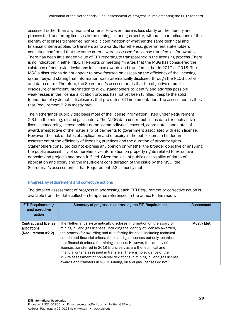assessed rather than any financial criteria. However, there is less clarity on the identity and process for transferring licenses in the mining, oil and gas sector, without clear indications of the identity of licenses transferred nor public confirmation of whether the same technical and financial criteria applied to transfers as to awards. Nonetheless, government stakeholders consulted confirmed that the same criteria were assessed for license transfers as for awards. There has been little added value of EITI reporting to transparency in the licensing process. There is no indication in either NL-EITI Reports or meeting minutes that the MSG has considered the existence of non-trivial deviations in license awards and transfers either in 2017 or 2018. The MSG's discussions do not appear to have focused on assessing the efficiency of the licensing system beyond stating that information was systematically disclosed through the NLOG portal and data centre. Therefore, the Secretariat's assessment is that the objective of public disclosure of sufficient information to allow stakeholders to identify and address possible weaknesses in the license allocation process has not yet been fulfilled, despite the solid foundation of systematic disclosures that pre-dates EITI implementation. The assessment is thus that Requirement 2.2 is mostly met.

The Netherlands publicly discloses most of the license information listed under Requirement 2.3.b in the mining, oil and gas sectors. The NLOG data centre publishes data for each active license concerning license-holder name, commodity(ies) covered, coordinates, and dates of award, irrespective of the materiality of payments to government associated with each license. However, the lack of dates of application and of expiry in the public domain hinder an assessment of the efficiency of licensing practices and the duration of property rights. Stakeholders consulted did not express any opinion on whether the broader objective of ensuring the public accessibility of comprehensive information on property rights related to extractive deposits and projects had been fulfilled. Given the lack of public accessibility of dates of application and expiry and the insufficient consideration of the issue by the MSG, the Secretariat's assessment is that Requirement 2.3 is mostly met.

#### Progress by requirement and corrective actions

The detailed assessment of progress in addressing each EITI Requirement or corrective action is available from the data collection templates referenced in the annex to this report.

| EITI Requirement /<br>past corrective<br>action                  | Summary of progress in addressing the EITI Requirement                                                                                                                                                                                                                                                                                                                                                                                                                                                                                                                                                                                                                                | Assessment        |
|------------------------------------------------------------------|---------------------------------------------------------------------------------------------------------------------------------------------------------------------------------------------------------------------------------------------------------------------------------------------------------------------------------------------------------------------------------------------------------------------------------------------------------------------------------------------------------------------------------------------------------------------------------------------------------------------------------------------------------------------------------------|-------------------|
| <b>Contract and license</b><br>allocations<br>(Requirement #2.2) | The Netherlands systematically discloses information on the award of<br>mining, oil and gas licenses, including the identity of licenses awarded,<br>the process for awarding and transferring licenses, including technical<br>criteria and financial criteria for oil and gas licenses but only technical<br>(not financial) criteria for mining licenses. However, the identity of<br>licenses transferred in 2018 is unclear, as are the technical and<br>financial criteria assessed in transfers. There is no evidence of the<br>MSG's assessment of non-trivial deviations in mining, oil and gas license<br>awards and transfers in 2018. Mining, oil and gas licenses do not | <b>Mostly Met</b> |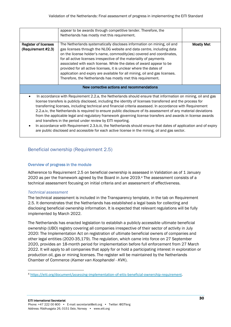|                                                                                                                                                                                                                                                                                                                                                                                                                                                                                                                                                                                                                                                                                                                                                             | appear to be awards through competitive tender. Therefore, the<br>Netherlands has mostly met this requirement.                                                                                                                                                                                                                                                                                                                                                                                                                                                                             |                   |
|-------------------------------------------------------------------------------------------------------------------------------------------------------------------------------------------------------------------------------------------------------------------------------------------------------------------------------------------------------------------------------------------------------------------------------------------------------------------------------------------------------------------------------------------------------------------------------------------------------------------------------------------------------------------------------------------------------------------------------------------------------------|--------------------------------------------------------------------------------------------------------------------------------------------------------------------------------------------------------------------------------------------------------------------------------------------------------------------------------------------------------------------------------------------------------------------------------------------------------------------------------------------------------------------------------------------------------------------------------------------|-------------------|
| <b>Register of licenses</b><br>(Requirement #2.3)                                                                                                                                                                                                                                                                                                                                                                                                                                                                                                                                                                                                                                                                                                           | The Netherlands systematically discloses information on mining, oil and<br>gas licenses through the NLOG website and data centre, including data<br>on the license holder's name, commodity(ies) covered and coordinates,<br>for all active licenses irrespective of the materiality of payments<br>associated with each license. While the dates of award appear to be<br>provided for all active licenses, it is unclear where the dates of<br>application and expiry are available for all mining, oil and gas licenses.<br>Therefore, the Netherlands has mostly met this requirement. | <b>Mostly Met</b> |
| New corrective actions and recommendations                                                                                                                                                                                                                                                                                                                                                                                                                                                                                                                                                                                                                                                                                                                  |                                                                                                                                                                                                                                                                                                                                                                                                                                                                                                                                                                                            |                   |
| In accordance with Requirement 2.2.a, the Netherlands should ensure that information on mining, oil and gas<br>license transfers is publicly disclosed, including the identity of licenses transferred and the process for<br>transferring licenses, including technical and financial criteria assessed. In accordance with Requirement<br>2.2.a.iv, the Netherlands is required to ensure public disclosure of its assessment of any material deviations<br>from the applicable legal and regulatory framework governing license transfers and awards in license awards<br>and transfers in the period under review by EITI reporting.<br>In accordance with Requirement 2.3.b.iii, the Netherlands should ensure that dates of application and of expiry |                                                                                                                                                                                                                                                                                                                                                                                                                                                                                                                                                                                            |                   |

#### Beneficial ownership (Requirement 2.5)

#### Overview of progress in the module

Adherence to Requirement 2.5 on beneficial ownership is assessed in Validation as of 1 January 2020 as per the framework agreed by the Board in June 2019.<sup>4</sup> The assessment consists of a technical assessment focusing on initial criteria and an assessment of effectiveness.

are public disclosed and accessible for each active license in the mining, oil and gas sector.

#### *Technical assessment*

The technical assessment is included in the Transparency template, in the tab on Requirement 2.5. It demonstrates that the Netherlands has established a legal basis for collecting and disclosing beneficial ownership information. It is expected that relevant regulations will be fully implemented by March 2022.

The Netherlands has enacted legislation to establish a publicly accessible ultimate beneficial ownership (UBO) registry covering all companies irrespective of their sector of activity in July 2020: The Implementation Act on registration of ultimate beneficial owners of companies and other legal entities (2020-35,179). The regulation, which came into force on 27 September 2020, provides an 18-month period for implementation before full enforcement from 27 March 2022. It will apply to all companies that apply for or hold a participating interest in exploration or production oil, gas or mining licenses. The register will be maintained by the Netherlands Chamber of Commerce (*Kamer van Koophandel - KVK*).

<sup>4</sup> <https://eiti.org/document/assessing-implementation-of-eitis-beneficial-ownership-requirement>.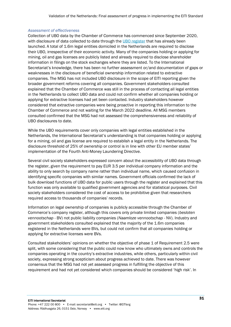#### *Assessment of effectiveness*

Collection of UBO data by the Chamber of Commerce has commenced since September 2020, with disclosure of data collected to date through the [UBO register](https://www.kvk.nl/inschrijven-en-wijzigen/ubo-opgave/) that has already been launched. A total of 1.6m legal entities domiciled in the Netherlands are required to disclose their UBO, irrespective of their economic activity. Many of the companies holding or applying for mining, oil and gas licenses are publicly listed and already required to disclose shareholder information in filings on the stock exchanges where they are listed. To the International Secretariat's knowledge, there has been no further assessment or/and documentation of gaps or weaknesses in the disclosure of beneficial ownership information related to extractive companies. The MSG has not included UBO disclosure in the scope of EITI reporting given the broader government reforms covering all companies. Government stakeholders consulted explained that the Chamber of Commerce was still in the process of contacting all legal entities in the Netherlands to collect UBO data and could not confirm whether all companies holding or applying for extractive licenses had yet been contacted. Industry stakeholders however considered that extractive companies were being proactive in reporting this information to the Chamber of Commerce and not waiting for the March 2022 deadline. All MSG members consulted confirmed that the MSG had not assessed the comprehensiveness and reliability of UBO disclosures to date.

While the UBO requirements cover only companies with legal entities established in the Netherlands, the International Secretariat's understanding is that companies holding or applying for a mining, oil and gas license are required to establish a legal entity in the Netherlands. The disclosure threshold of 25% of ownership or control is in line with other EU member states' implementation of the Fourth Anti-Money Laundering Directive.

Several civil society stakeholders expressed concern about the accessibility of UBO data through the register, given the requirement to pay EUR 3.5 per individual company information and the ability to only search by company name rather than individual name, which caused confusion in identifying specific companies with similar names. Government officials confirmed the lack of bulk download functions of UBO data for public users through the register and explained that this function was only available to qualified government agencies and for statistical purposes. Civil society stakeholders considered the cost of access to be prohibitive given that researchers required access to thousands of companies' records.

Information on legal ownership of companies is publicly accessible through the Chamber of Commerce's company register, although this covers only private limited companies (*besloten vennootschap* - BV) not public liability companies (*Naamloze vennootschap* - NV). Industry and government stakeholders consulted explained that the majority of the 1.6m companies registered in the Netherlands were BVs, but could not confirm that all companies holding or applying for extractive licenses were BVs.

Consulted stakeholders' opinions on whether the objective of phase 1 of Requirement 2.5 were split, with some considering that the public could now know who ultimately owns and controls the companies operating in the country's extractive industries, while others, particularly within civil society, expressing strong scepticism about progress achieved to date. There was however consensus that the MSG had not yet assessed progress in fulfilling the objective of this requirement and had not yet considered which companies should be considered 'high risk'. In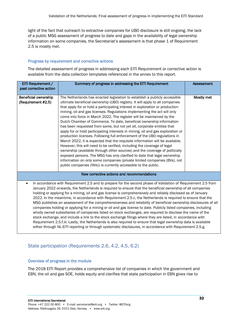light of the fact that outreach to extractive companies for UBO disclosure is still ongoing, the lack of a public MSG assessment of progress to date and gaps in the availability of legal ownership information on some companies, the Secretariat's assessment is that phase 1 of Requirement 2.5 is mostly met.

#### Progress by requirement and corrective actions

The detailed assessment of progress in addressing each EITI Requirement or corrective action is available from the data collection templates referenced in the annex to this report.

| EITI Requirement /                                                                                              | Summary of progress in addressing the EITI Requirement                                                                                                                                                                         | <b>Assessment</b> |  |
|-----------------------------------------------------------------------------------------------------------------|--------------------------------------------------------------------------------------------------------------------------------------------------------------------------------------------------------------------------------|-------------------|--|
| past corrective action                                                                                          |                                                                                                                                                                                                                                |                   |  |
|                                                                                                                 |                                                                                                                                                                                                                                |                   |  |
| <b>Beneficial ownership</b>                                                                                     | The Netherlands has enacted legislation to establish a publicly accessible                                                                                                                                                     | Mostly met        |  |
| (Requirement #2.5)                                                                                              | ultimate beneficial ownership (UBO) registry. It will apply to all companies<br>that apply for or hold a participating interest in exploration or production                                                                   |                   |  |
|                                                                                                                 | mining, oil and gas licenses. Regulations implementing the act will only                                                                                                                                                       |                   |  |
|                                                                                                                 | come into force in March 2022. The register will be maintained by the                                                                                                                                                          |                   |  |
|                                                                                                                 | Dutch Chamber of Commerce. To date, beneficial ownership information                                                                                                                                                           |                   |  |
|                                                                                                                 | has been requested from some, but not yet all, corporate entities that                                                                                                                                                         |                   |  |
|                                                                                                                 | apply for or hold participating interests in mining, oil and gas exploration or                                                                                                                                                |                   |  |
|                                                                                                                 | production licenses. Following full enforcement of the UBO regulations in                                                                                                                                                      |                   |  |
|                                                                                                                 | March 2022, it is expected that the requisite information will be available.                                                                                                                                                   |                   |  |
|                                                                                                                 | However, this will need to be verified, including the coverage of legal                                                                                                                                                        |                   |  |
|                                                                                                                 | ownership (available through other sources) and the coverage of politically                                                                                                                                                    |                   |  |
|                                                                                                                 | exposed persons. The MSG has only clarified to date that legal ownership                                                                                                                                                       |                   |  |
|                                                                                                                 | information on only some companies (private limited companies (BVs), not                                                                                                                                                       |                   |  |
|                                                                                                                 | public companies (NVs)) is currently accessible to the public.                                                                                                                                                                 |                   |  |
|                                                                                                                 | New corrective actions and recommendations                                                                                                                                                                                     |                   |  |
|                                                                                                                 |                                                                                                                                                                                                                                |                   |  |
| $\bullet$                                                                                                       | In accordance with Requirement 2.5 and to prepare for the second phase of Validation of Requirement 2.5 from                                                                                                                   |                   |  |
|                                                                                                                 | January 2022 onwards, the Netherlands is required to ensure that the beneficial ownership of all companies<br>holding or applying for a mining, oil and gas license is comprehensively and reliably disclosed as of January    |                   |  |
|                                                                                                                 |                                                                                                                                                                                                                                |                   |  |
|                                                                                                                 | 2022. In the meantime, in accordance with Requirement 2.5.c, the Netherlands is required to ensure that the<br>MSG publishes an assessment of the comprehensiveness and reliability of beneficial ownership disclosures of all |                   |  |
| companies holding or applying for a mining or oil and gas license to date. Publicly listed companies, including |                                                                                                                                                                                                                                |                   |  |
|                                                                                                                 | wholly owned subsidiaries of companies listed on stock exchanges, are required to disclose the name of the                                                                                                                     |                   |  |
| stock exchange, and include a link to the stock exchange filings where they are listed, in accordance with      |                                                                                                                                                                                                                                |                   |  |
|                                                                                                                 | Requirement 2.5.f.iii. Lastly, the Netherlands is also required to ensure that legal ownership data is available                                                                                                               |                   |  |
|                                                                                                                 | either through NL-EITI reporting or through systematic disclosures, in accordance with Requirement 2.5.g.                                                                                                                      |                   |  |

#### State participation (Requirements 2.6, 4.2, 4.5, 6.2)

#### Overview of progress in the module

The 2018 EITI Report provides a comprehensive list of companies in which the government and EBN, the oil and gas SOE, holds equity and clarifies that state participation in EBN gives rise to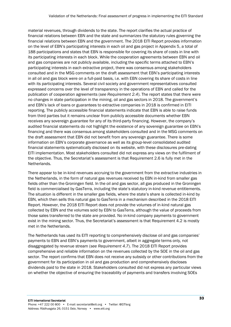material revenues, through dividends to the state. The report clarifies the actual practice of financial relations between EBN and the state and summarizes the statutory rules governing the financial relations between EBN and the government. The 2018 EITI Report provides information on the level of EBN's participating interests in each oil and gas project in Appendix 5, a total of 188 participations and states that EBN is responsible for covering its share of costs in line with its participating interests in each block. While the cooperation agreements between EBN and oil and gas companies are not publicly available, including the specific terms attached to EBN's participating interests in each extractive project, there was consensus among stakeholders consulted and in the MSG comments on the draft assessment that EBN's participating interests in all oil and gas block were on a full-paid basis, i.e. with EBN covering its share of costs in line with its participating interests. Several civil society and government representatives consulted expressed concerns over the level of transparency in the operations of EBN and called for the publication of cooperation agreements (*see Requirement 2.4*). The report states that there were no changes in state participation in the mining, oil and gas sectors in 2018. The government's and EBN's lack of loans or guarantees to extractive companies in 2018 is confirmed in EITI reporting. The publicly accessible financial statements indicate that EBN is able to raise funds from third parties but it remains unclear from publicly accessible documents whether EBN receives any sovereign guarantee for any of its third-party financing. However, the company's audited financial statements do not highlight the existence of any sovereign guarantee on EBN's financing and there was consensus among stakeholders consulted and in the MSG comments on the draft assessment that EBN did not benefit from any sovereign guarantee. There is some information on EBN's corporate governance as well as its group-level consolidated audited financial statements systematically disclosed on its website, with these disclosures pre-dating EITI implementation. Most stakeholders consulted did not express any views on the fulfilment of the objective. Thus, the Secretariat's assessment is that Requirement 2.6 is fully met in the Netherlands.

There appear to be in-kind revenues accruing to the government from the extractive industries in the Netherlands, in the form of natural gas revenues received by EBN in-kind from smaller gas fields other than the Groningen field. In the oil and gas sector, all gas produced in the Groningen field is commercialised by GasTerra, including the state's statutory in-kind revenue entitlements. The situation is different in the smaller gas fields, where the state's share is collected in-kind by EBN, which then sells this natural gas to GasTerra in a mechanism described in the 2018 EITI Report. However, the 2018 EITI Report does not provide the volumes of in-kind natural gas collected by EBN and the volumes sold by EBN to GasTerra, although the value of proceeds from those sales transferred to the state are provided. No in-kind company payments to government exist in the mining sector. Thus, the Secretariat's assessment is that Requirement 4.2 is mostly met in the Netherlands.

The Netherlands has used its EITI reporting to comprehensively disclose oil and gas companies' payments to EBN and EBN's payments to government, albeit in aggregate terms only, not disaggregated by revenue stream (*see Requirement 4.7*). The 2018 EITI Report provides comprehensive and reliable information on the revenues collected by the SOE in the oil and gas sector. The report confirms that EBN does not receive any subsidy or other contributions from the government for its participation in oil and gas production and comprehensively discloses dividends paid to the state in 2018. Stakeholders consulted did not express any particular views on whether the objective of ensuring the traceability of payments and transfers involving SOEs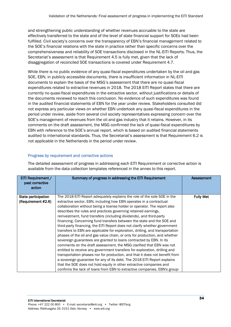and strengthening public understanding of whether revenues accruable to the state are effectively transferred to the state and of the level of state financial support for SOEs had been fulfilled. Civil society's concerns over the transparency of EBN's financial management related to the SOE's financial relations with the state in practice rather than specific concerns over the comprehensiveness and reliability of SOE transactions disclosed in the NL-EITI Reports. Thus, the Secretariat's assessment is that Requirement 4.5 is fully met, given that the lack of disaggregation of reconciled SOE transactions is covered under Requirement 4.7.

While there is no public evidence of any quasi-fiscal expenditures undertaken by the oil and gas SOE, EBN, in publicly accessible documents, there is insufficient information in NL-EITI documents to explain the basis of the MSG's assessment that there are no quasi-fiscal expenditures related to extractive revenues in 2018. The 2018 EITI Report states that there are currently no quasi-fiscal expenditures in the extractive sector, without justifications or details of the documents reviewed to reach this conclusion. No evidence of such expenditures was found in the audited financial statements of EBN for the year under review. Stakeholders consulted did not express any particular views on whether EBN undertook any quasi-fiscal expenditures in the period under review, aside from several civil society representatives expressing concern over the SOE's management of revenues from the oil and gas industry that it retains. However, in its comments on the draft assessment, the MSG confirmed the lack of quasi-fiscal expenditures by EBN with reference to the SOE's annual report, which is based on audited financial statements audited to international standards. Thus, the Secretariat's assessment is that Requirement 6.2 is not applicable in the Netherlands in the period under review.

#### Progress by requirement and corrective actions

The detailed assessment of progress in addressing each EITI Requirement or corrective action is available from the data collection templates referenced in the annex to this report.

| EITI Requirement /<br>past corrective<br>action | Summary of progress in addressing the EITI Requirement                        | <b>Assessment</b> |
|-------------------------------------------------|-------------------------------------------------------------------------------|-------------------|
| State participation                             | The 2018 EITI Report adequately explains the role of the sole SOE in the      | <b>Fully Met</b>  |
| (Requirement #2.6)                              | extractive sector, EBN, including how EBN operates in a contractual           |                   |
|                                                 | collaboration without being a license holder or operator. The report also     |                   |
|                                                 | describes the rules and practices governing retained earnings,                |                   |
|                                                 | reinvestment, fund transfers (including dividends), and third-party           |                   |
|                                                 | financing. Concerning fund transfers between the state and the SOE and        |                   |
|                                                 | third-party financing, the EITI Report does not clarify whether government    |                   |
|                                                 | transfers to EBN are applicable for exploration, drilling, and transportation |                   |
|                                                 | phases of the oil and gas value chain, or only for production, and whether    |                   |
|                                                 | sovereign guarantees are granted to loans contracted by EBN. In its           |                   |
|                                                 | comments on the draft assessment, the MSG clarified that EBN was not          |                   |
|                                                 | entitled to receive any government transfers for exploration, drilling and    |                   |
|                                                 | transportation phases nor for production, and that it does not benefit from   |                   |
|                                                 | a sovereign guarantee for any of its debt. The 2018 EITI Report explains      |                   |
|                                                 | that the SOE does not hold equity in other extractive companies and           |                   |
|                                                 | confirms the lack of loans from EBN to extractive companies. EBN's group-     |                   |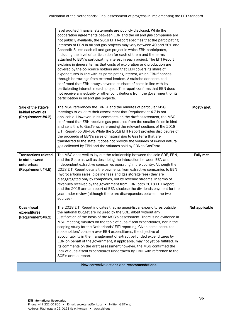|                                                                                    | level audited financial statements are publicly disclosed. While the<br>cooperation agreements between EBN and the oil and gas companies are<br>not publicly available, the 2018 EITI Report specifies that the participating<br>interests of EBN in oil and gas projects may vary between 40 and 50% and<br>Appendix 5 lists each oil and gas project in which EBN participates,<br>including the level of participation for each of them and the terms<br>attached to EBN's participating interest in each project. The EITI Report<br>explains in general terms that costs of exploration and production are<br>covered by the co-licence holders and that EBN covers its share of<br>expenditures in line with its participating interest, which EBN finances<br>through borrowings from external lenders. A stakeholder consulted<br>confirmed that EBN always covered its share of costs in line with its<br>participating interest in each project. The report confirms that EBN does<br>not receive any subsidy or other contributions from the government for its<br>participation in oil and gas projects. |                  |
|------------------------------------------------------------------------------------|----------------------------------------------------------------------------------------------------------------------------------------------------------------------------------------------------------------------------------------------------------------------------------------------------------------------------------------------------------------------------------------------------------------------------------------------------------------------------------------------------------------------------------------------------------------------------------------------------------------------------------------------------------------------------------------------------------------------------------------------------------------------------------------------------------------------------------------------------------------------------------------------------------------------------------------------------------------------------------------------------------------------------------------------------------------------------------------------------------------------|------------------|
| Sale of the state's<br>in-kind revenues<br>(Requirement #4.2)                      | The MSG references the ToR IA and the minutes of particular MSG<br>meetings to validate their assessment that Requirement 4.2 is not<br>applicable. However, in its comments on the draft assessment, the MSG<br>confirmed that EBN receives gas produced from the smaller fields in kind<br>and sells this to GasTerra, referencing the relevant sections of the 2018<br>EITI Report (pp.39-40). While the 2018 EITI Report provides disclosures of<br>the proceeds of EBN's sales of natural gas to GasTerra that are<br>transferred to the state, it does not provide the volumes of in-kind natural<br>gas collected by EBN and the volumes sold by EBN to GasTerra.                                                                                                                                                                                                                                                                                                                                                                                                                                             | Mostly met       |
| <b>Transactions related</b><br>to state-owned<br>enterprises<br>(Requirement #4.5) | The MSG does well to lay out the relationship between the sole SOE, EBN,<br>and the State as well as describing the interaction between EBN and<br>independent extractive companies operating in the country. Although the<br>2018 EITI Report details the payments from extractive companies to EBN<br>(hydrocarbons sales, pipeline fees and gas storage fees) they are<br>disaggregated only by companies, not by revenue streams. In terms of<br>revenues received by the government from EBN, both 2018 EITI Report<br>and the 2018 annual report of EBN disclose the dividends payment for the<br>year under review (although there are discrepancies between the two<br>sources).                                                                                                                                                                                                                                                                                                                                                                                                                             | <b>Fully met</b> |
| Quasi-fiscal<br>expenditures<br>(Requirement #6.2)                                 | The 2018 EITI Report indicates that no quasi-fiscal expenditures outside<br>the national budget are incurred by the SOE, albeit without any<br>justification of the basis of the MSG's assessment. There is no evidence in<br>MSG meeting minutes on the topic of quasi-fiscal expenditures, nor in the<br>scoping study for the Netherlands' EITI reporting. Given some consulted<br>stakeholders' concern over EBN expenditures, the objective of<br>accountability in the management of extractive-funded expenditures by<br>EBN on behalf of the government, if applicable, may not yet be fulfilled. In<br>its comments on the draft assessment however, the MSG confirmed the<br>lack of quasi-fiscal expenditures undertaken by EBN, with reference to the<br>SOE's annual report.                                                                                                                                                                                                                                                                                                                            | Not applicable   |
|                                                                                    | New corrective actions and recommendations                                                                                                                                                                                                                                                                                                                                                                                                                                                                                                                                                                                                                                                                                                                                                                                                                                                                                                                                                                                                                                                                           |                  |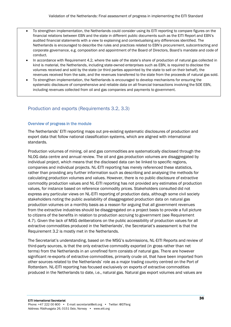- To strengthen implementation, the Netherlands could consider using its EITI reporting to compare figures on the financial relations between EBN and the state in different public documents such as the EITI Report and EBN's audited financial statements with a view to explaining and contextualising any differences identified. The Netherlands is encouraged to describe the rules and practices related to EBN's procurement, subcontracting and corporate governance, e.g. composition and appointment of the Board of Directors, Board's mandate and code of conduct.
- In accordance with Requirement 4.2, where the sale of the state's share of production of natural gas collected in kind is material, the Netherlands, including state-owned enterprises such as EBN, is required to disclose the volumes received and sold by the state (or third parties appointed by the state to sell on their behalf), the revenues received from the sale, and the revenues transferred to the state from the proceeds of natural gas sold.
- To strengthen implementation, the Netherlands is encouraged to develop mechanisms for ensuring the systematic disclosure of comprehensive and reliable data on all financial transactions involving the SOE EBN, including revenues collected from oil and gas companies and payments to government.

#### Production and exports (Requirements 3.2, 3.3)

#### Overview of progress in the module

The Netherlands' EITI reporting maps out pre-existing systematic disclosures of production and export data that follow national classification systems, which are aligned with international standards.

Production volumes of mining, oil and gas commodities are systematically disclosed through the NLOG data centre and annual review. The oil and gas production volumes are disaggregated by individual project, which means that the disclosed data can be linked to specific regions, companies and individual projects. NL-EITI reporting has merely referenced these statistics, rather than providing any further information such as describing and analysing the methods for calculating production volumes and values. However, there is no public disclosure of extractive commodity production values and NL-EITI reporting has not provided any estimates of production values, for instance based on reference commodity prices. Stakeholders consulted did not express any particular views on NL-EITI reporting of production data, although some civil society stakeholders noting the public availability of disaggregated production data on natural gas production volumes on a monthly basis as a reason for arguing that all government revenues from the extractive industries should be disaggregated on a project basis to provide a full picture to citizens of the benefits in relation to production accruing to government (see Requirement 4.7). Given the lack of MSG deliberations on the public accessibility of production values for all extractive commodities produced in the Netherlands', the Secretariat's assessment is that the Requirement 3.2 is mostly met in the Netherlands.

The Secretariat's understanding, based on the MSG's submissions, NL-EITI Reports and review of third-party sources, is that the only extractive commodity exported (in gross rather than net terms) from the Netherlands in an unrefined form consists of natural gas. There are however significant re-exports of extractive commodities, primarily crude oil, that have been imported from other sources related to the Netherlands' role as a major trading country centred on the Port of Rotterdam. NL-EITI reporting has focused exclusively on exports of extractive commodities produced in the Netherlands to date, i.e., natural gas. Natural gas export volumes and values are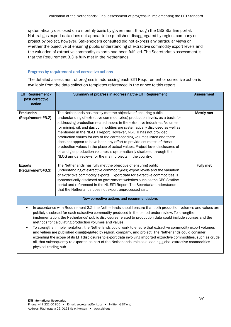systematically disclosed on a monthly basis by government through the CBS Statline portal. Natural gas export data does not appear to be published disaggregated by region, company or project by project, however. Stakeholders consulted did not express any particular views on whether the objective of ensuring public understanding of extractive commodity export levels and the valuation of extractive commodity exports had been fulfilled. The Secretariat's assessment is that the Requirement 3.3 is fully met in the Netherlands.

#### Progress by requirement and corrective actions

The detailed assessment of progress in addressing each EITI Requirement or corrective action is available from the data collection templates referenced in the annex to this report.

| EITI Requirement /<br>past corrective<br>action                                                                                                                                                                                                                                                                                                                                                                                                                                                                                                                                                                                                                                                                                                                                                                                                                                                                     | Summary of progress in addressing the EITI Requirement                                                                                                                                                                                                                                                                                                                                                                                                                                                                                                                                                                                                                                                                                                          | <b>Assessment</b> |
|---------------------------------------------------------------------------------------------------------------------------------------------------------------------------------------------------------------------------------------------------------------------------------------------------------------------------------------------------------------------------------------------------------------------------------------------------------------------------------------------------------------------------------------------------------------------------------------------------------------------------------------------------------------------------------------------------------------------------------------------------------------------------------------------------------------------------------------------------------------------------------------------------------------------|-----------------------------------------------------------------------------------------------------------------------------------------------------------------------------------------------------------------------------------------------------------------------------------------------------------------------------------------------------------------------------------------------------------------------------------------------------------------------------------------------------------------------------------------------------------------------------------------------------------------------------------------------------------------------------------------------------------------------------------------------------------------|-------------------|
| Production<br>(Requirement #3.2)                                                                                                                                                                                                                                                                                                                                                                                                                                                                                                                                                                                                                                                                                                                                                                                                                                                                                    | The Netherlands has mostly met the objective of ensuring public<br>understanding of extractive commodity(ies) production levels, as a basis for<br>addressing production-related issues in the extractive industries. Volumes<br>for mining, oil, and gas commodities are systematically disclosed as well as<br>mentioned in the NL-EITI Report. However, NL-EITI has not provided<br>production values for any of the corresponding volumes listed and there<br>does not appear to have been any effort to provide estimates of these<br>production values in the place of actual values. Project-level disclosures of<br>oil and gas production volumes is systematically disclosed through the<br>NLOG annual reviews for the main projects in the country. | Mostly met        |
| <b>Exports</b><br>(Requirement #3.3)                                                                                                                                                                                                                                                                                                                                                                                                                                                                                                                                                                                                                                                                                                                                                                                                                                                                                | The Netherlands has fully met the objective of ensuring public<br>understanding of extractive commodity(ies) export levels and the valuation<br>of extractive commodity exports. Export data for extractive commodities is<br>systematically disclosed on government websites such as the CBS Statline<br>portal and referenced in the NL-EITI Report. The Secretariat understands<br>that the Netherlands does not export unprocessed salt.                                                                                                                                                                                                                                                                                                                    | <b>Fully met</b>  |
|                                                                                                                                                                                                                                                                                                                                                                                                                                                                                                                                                                                                                                                                                                                                                                                                                                                                                                                     | New corrective actions and recommendations                                                                                                                                                                                                                                                                                                                                                                                                                                                                                                                                                                                                                                                                                                                      |                   |
| In accordance with Requirement 3.2, the Netherlands should ensure that both production volumes and values are<br>$\bullet$<br>publicly disclosed for each extractive commodity produced in the period under review. To strengthen<br>implementation, the Netherlands' public disclosures related to production data could include sources and the<br>methods for calculating production volumes and values.<br>To strengthen implementation, the Netherlands could work to ensure that extractive commodity export volumes<br>$\bullet$<br>and values are published disaggregated by region, company, and project. The Netherlands could consider<br>extending the scope of its EITI disclosures to export data involving imported extractive commodities, such as crude<br>oil, that subsequently re-exported as part of the Netherlands' role as a leading global extractive commodities<br>physical trading hub. |                                                                                                                                                                                                                                                                                                                                                                                                                                                                                                                                                                                                                                                                                                                                                                 |                   |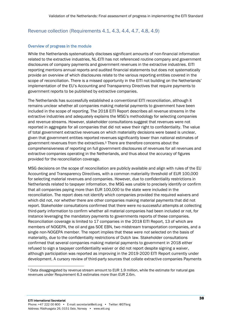#### Revenue collection (Requirements 4.1, 4.3, 4.4, 4.7, 4.8, 4.9)

#### Overview of progress in the module

While the Netherlands systematically discloses significant amounts of non-financial information related to the extractive industries, NL-EITI has not referenced routine company and government disclosures of company payments and government revenues in the extractive industries. EITI reporting mentions annual reports and audited financial statements but does not systematically provide an overview of which disclosures relate to the various reporting entities covered in the scope of reconciliation. There is a missed opportunity in the EITI not building on the Netherlands' implementation of the EU's Accounting and Transparency Directives that require payments to government reports to be published by extractive companies.

The Netherlands has successfully established a conventional EITI reconciliation, although it remains unclear whether all companies making material payments to government have been included in the scope of reporting. The 2018 EITI Report describes all revenue streams in the extractive industries and adequately explains the MSG's methodology for selecting companies and revenue streams. However, stakeholder consultations suggest that revenues were not reported in aggregate for all companies that did not wave their right to confidentiality. The value of total government extractive revenues on which materiality decisions were based is unclear, given that government entities reported revenues significantly lower than national estimates of government revenues from the extractives.<sup>5</sup> There are therefore concerns about the comprehensiveness of reporting on full government disclosures of revenues for all revenues and extractive companies operating in the Netherlands, and thus about the accuracy of figures provided for the reconciliation coverage.

MSG decisions on the scope of reconciliation are publicly available and align with rules of the EU Accounting and Transparency Directives, with a common materiality threshold of EUR 100,000 for selecting material revenues and companies. However, due to confidentiality restrictions in Netherlands related to taxpayer information, the MSG was unable to precisely identify or confirm that all companies paying more than EUR 100,000 to the state were included in the reconciliation. The report does not identify which companies provided the required waivers and which did not, nor whether there are other companies making material payments that did not report. Stakeholder consultations confirmed that there were no successful attempts at collecting third-party information to confirm whether all material companies had been included or not, for instance leveraging the mandatory payments to governments reports of these companies. Reconciliation coverage is limited to 17 companies in the 2018 EITI Report, 13 of which are members of NOGEPA, the oil and gas SOE EBN, two midstream transportation companies, and a single non-NOGEPA member. The report implies that these were *not* selected on the basis of materiality, due to the confidentiality restrictions of Dutch law. Stakeholder consultations confirmed that several companies making material payments to government in 2018 either refused to sign a taxpayer confidentiality waiver or did not report despite signing a waiver, although participation was reported as improving in the 2019-2020 EITI Report currently under development. A cursory review of third-party sources that collate extractive companies Payments

<sup>5</sup> Data disaggregated by revenue stream amount to EUR 1.9 million, while the estimate for natural gas revenues under Requirement 6.3 estimates more than EUR 2.6m.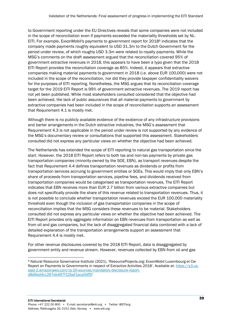to Government reporting under the EU Directives reveals that some companies were not included in the scope of reconciliation even if payments exceeded the materiality thresholds set by NL-EITI. For example, ExxonMobil's payments to government report for 2018<sup>6</sup> indicates that the company made payments roughly equivalent to USD 31.3m to the Dutch Government for the period under review, of which roughly USD 3.3m were related to royalty payments. While the MSG's comments on the draft assessment argued that the reconciliation covered 95% of government extractive revenues in 2018, this appears to have been a typo given that the 2018 EITI Report provides the reconciliation coverage as 85%. Indeed, it appears that extractive companies making material payments to government in 2018 (i.e. above EUR 100,000) were not included in the scope of the reconciliation, nor did they provide taxpayer confidentiality waivers for the purposes of EITI reporting. Nonetheless, the MSG argues that its reconciliation coverage target for the 2019 EITI Report is 99% of government extractive revenues. The 2019 report has not yet been published. While most stakeholders consulted considered that the objective had been achieved, the lack of public assurances that all material payments to government by extractive companies had been included in the scope of reconciliation supports an assessment that Requirement 4.1 is mostly met.

Although there is no publicly available evidence of the existence of any infrastructure provisions and barter arrangements in the Dutch extractive industries, the MSG's assessment that Requirement 4.3 is not applicable in the period under review is not supported by any evidence of the MSG's documentary review or consultations that supported this assessment. Stakeholders consulted did not express any particular views on whether the objective had been achieved.

The Netherlands has extended the scope of EITI reporting to natural gas transportation since the start. However, the 2018 EITI Report refers to both tax and non-tax payments by private gas transportation companies (minority-owned by the SOE, EBN), as transport revenues despite the fact that Requirement 4.4 defines transportation revenues as dividends or profits from transportation services accruing to government entities or SOEs. This would imply that only EBN's share of proceeds from transportation services, pipeline fees, and dividends received from transportation companies would be categorised as transportation revenues. The EITI Report indicates that EBN receives more than EUR 2.7 billion from various extractive companies but does not specifically provide the share of this revenue related to transportation revenues. Thus, it is not possible to conclude whether transportation revenues exceed the EUR 100,000 materiality threshold even though the inclusion of gas transportation companies in the scope of reconciliation implies that the MSG considers these revenues to be material. Stakeholders consulted did not express any particular views on whether the objective had been achieved. The EITI Report provides only aggregate information on EBN revenues from transportation as well as from oil and gas companies, but the lack of disaggregated financial data combined with a lack of detailed explanation of the transportation arrangements support an assessment that Requirement 4.4 is mostly met.

For other revenue disclosures covered by the 2018 EITI Report, data is disaggregated by government entity and revenue stream. However, revenues collected by EBN from oil and gas

<sup>6</sup> Natural Resource Governance Institute (2021), 'ResourceProjects.org: ExxonMobil Luxembourg et Cie Report on Payments to Governments in respect of Extractive Activities 2018'. Available at: [https://s3.us](https://s3.us-east-2.amazonaws.com/rp-20-sources/mandatory-disclosure-report-d8d6ed4cc267eb497f12baf1aca0df5f)[east-2.amazonaws.com/rp-20-sources/mandatory-disclosure-report](https://s3.us-east-2.amazonaws.com/rp-20-sources/mandatory-disclosure-report-d8d6ed4cc267eb497f12baf1aca0df5f)[d8d6ed4cc267eb497f12baf1aca0df5f](https://s3.us-east-2.amazonaws.com/rp-20-sources/mandatory-disclosure-report-d8d6ed4cc267eb497f12baf1aca0df5f)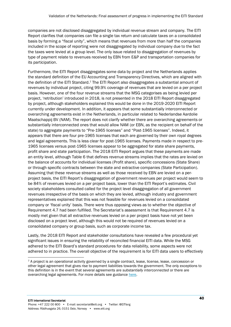companies are not disclosed disaggregated by individual revenue stream and company. The EITI Report clarifies that companies can file a single tax return and calculate taxes on a consolidated basis by forming a "fiscal unity", which means that revenues from more than half the companies included in the scope of reporting were not disaggregated by individual company due to the fact the taxes were levied at a group level. The only issue related to disaggregation of revenues by type of payment relate to revenues received by EBN from E&P and transportation companies for its participation.

Furthermore, the EITI Report disaggregates some data by project and the Netherlands applies the standard definition of the EU Accounting and Transparency Directives, which are aligned with the definition of the EITI Standard.<sup>7</sup> The EITI Report also disaggregates a substantial amount of revenues by individual project, citing 99.9% coverage of revenues that are levied on a per project basis. However, one of the four revenue streams that the MSG categorises as being levied per project, 'retribution' introduced in 2018, is not presented in the 2018 EITI Report disaggregated by project, although stakeholders explained this would be done in the 2019-2020 EITI Report currently under development. In addition, it appears that some substantially interconnected or overarching agreements exist in the Netherlands, in particular related to Nederlandse Aardolie Maatschappij BV (NAM). The report does not clarify whether there are overarching agreements or substantially interconnected ones that would allow NAM (or EBN, as the recipient on behalf of the state) to aggregate payments to "Pre-1965 licenses" and "Post-1965 licenses". Indeed, it appears that there are four pre-1965 licenses that each are governed by their own royal degrees and legal agreements. This is less clear for post-1965 licenses. Payments made in respect to pre-1965 licenses versus post-1965 licenses appear to be aggregated for state share payments, profit share and state participation. The 2018 EITI Report argues that these payments are made an entity level, although Table 6 that defines revenue streams implies that the rates are levied on the balance of accounts for individual licenses (Profit share), specific concessions (State Share) or through specific contracts between the state and extractive companies (State Participation). Assuming that these revenue streams as well as those received by EBN are levied on a perproject basis, the EITI Report's disaggregation of government revenues per project would seem to be 84% of revenues levied on a per project basis, lower than the EITI Report's estimates. Civil society stakeholders consulted called for the project level disaggregation of all government revenues irrespective of the basis on which they are levied, although industry and government representatives explained that this was not feasible for revenues levied on a consolidated company or 'fiscal unity' basis. There were thus opposing views as to whether the objective of Requirement 4.7 had been fulfilled. The Secretariat's assessment is that Requirement 4.7 is mostly met given that all extractive revenues levied on a per project basis have not yet been disclosed on a project level, although this would not be required of revenues levied on a consolidated company or group basis, such as corporate income tax.

Lastly, the 2018 EITI Report and stakeholder consultations have revealed a few procedural yet significant issues in ensuring the reliability of reconciled financial EITI data. While the MSG adhered to the EITI Board's standard procedures for data reliability, some aspects were not adhered to in practice. The overall objective of the requirement is for EITI data users to effectively

<sup>7</sup> A project is an operational activity governed by a single contract, lease, license, lease, concession or other legal agreement that gives rise to payment liabilities towards the government. The only exceptions to this definition is in the event that several agreements are *substantially interconnected* or there are overarching legal agreements. For more details see guidanc[e here.](https://eiti.org/GN29#_ftn1)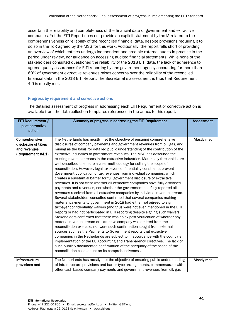ascertain the reliability and completeness of the financial data of government and extractive companies. Yet the EITI Report does not provide an explicit statement by the IA related to the comprehensiveness or reliability of the reconciled financial data, despite provisions requiring it to do so in the ToR agreed by the MSG for this work. Additionally, the report falls short of providing an overview of which entities undergo independent and credible external audits in practice in the period under review, nor guidance on accessing audited financial statements. While none of the stakeholders consulted questioned the reliability of the 2018 EITI data, the lack of adherence to agreed quality assurances for EITI reporting by one government agency accounting for more than 60% of government extractive revenues raises concerns over the reliability of the reconciled financial data in the 2018 EITI Report. The Secretariat's assessment is thus that Requirement 4.9 is mostly met.

#### Progress by requirement and corrective actions

The detailed assessment of progress in addressing each EITI Requirement or corrective action is available from the data collection templates referenced in the annex to this report.

| EITI Requirement /<br>past corrective<br>action | Summary of progress in addressing the EITI Requirement                                                                                                                                                                                                                                                                                                                                                                                                                                                                                                                                                                                                                                                                                                                                                                                                                                                                                                                                                                                                                                                                                                                                                                                                                                                                                                                                                                                                                                                                                                                                                                                                             | <b>Assessment</b> |
|-------------------------------------------------|--------------------------------------------------------------------------------------------------------------------------------------------------------------------------------------------------------------------------------------------------------------------------------------------------------------------------------------------------------------------------------------------------------------------------------------------------------------------------------------------------------------------------------------------------------------------------------------------------------------------------------------------------------------------------------------------------------------------------------------------------------------------------------------------------------------------------------------------------------------------------------------------------------------------------------------------------------------------------------------------------------------------------------------------------------------------------------------------------------------------------------------------------------------------------------------------------------------------------------------------------------------------------------------------------------------------------------------------------------------------------------------------------------------------------------------------------------------------------------------------------------------------------------------------------------------------------------------------------------------------------------------------------------------------|-------------------|
| Comprehensive<br>disclosure of taxes            | The Netherlands has mostly met the objective of ensuring comprehensive                                                                                                                                                                                                                                                                                                                                                                                                                                                                                                                                                                                                                                                                                                                                                                                                                                                                                                                                                                                                                                                                                                                                                                                                                                                                                                                                                                                                                                                                                                                                                                                             | Mostly met        |
| and revenues                                    | disclosures of company payments and government revenues from oil, gas, and<br>mining as the basis for detailed public understanding of the contribution of the                                                                                                                                                                                                                                                                                                                                                                                                                                                                                                                                                                                                                                                                                                                                                                                                                                                                                                                                                                                                                                                                                                                                                                                                                                                                                                                                                                                                                                                                                                     |                   |
|                                                 |                                                                                                                                                                                                                                                                                                                                                                                                                                                                                                                                                                                                                                                                                                                                                                                                                                                                                                                                                                                                                                                                                                                                                                                                                                                                                                                                                                                                                                                                                                                                                                                                                                                                    |                   |
| (Requirement #4.1)                              | extractive industries to government revenues. The MSG has described the<br>existing revenue streams in the extractive industries. Materiality thresholds are<br>well described to ensure a clear methodology for setting the scope of<br>reconciliation. However, legal taxpayer confidentiality constraints prevent<br>government publication of tax revenues from individual companies, which<br>creates a substantial barrier for full government disclosure of extractive<br>revenues. It is not clear whether all extractive companies have fully disclosed<br>payments and revenues, nor whether the government has fully reported all<br>revenues received from all extractive companies by individual revenue stream.<br>Several stakeholders consulted confirmed that several companies making<br>material payments to government in 2018 had either not agreed to sign<br>taxpayer confidentiality waivers (and thus were not even mentioned in the EITI<br>Report) or had not participated in EITI reporting despite signing such waivers.<br>Stakeholders confirmed that there was no ex-post verification of whether any<br>material revenue stream or extractive company was omitted from the<br>reconciliation exercise, nor were such confirmation sought from external<br>sources such as the Payments to Government reports that extractive<br>companies in the Netherlands are subject to in accordance with the country's<br>implementation of the EU Accounting and Transparency Directives. The lack of<br>such publicly documented confirmation of the adequacy of the scope of the<br>reconciliation casts doubt on its comprehensiveness. |                   |
| Infrastructure                                  | The Netherlands has mostly met the objective of ensuring public understanding                                                                                                                                                                                                                                                                                                                                                                                                                                                                                                                                                                                                                                                                                                                                                                                                                                                                                                                                                                                                                                                                                                                                                                                                                                                                                                                                                                                                                                                                                                                                                                                      | Mostly met        |
| provisions and                                  | of infrastructure provisions and barter-type arrangements, commensurate with                                                                                                                                                                                                                                                                                                                                                                                                                                                                                                                                                                                                                                                                                                                                                                                                                                                                                                                                                                                                                                                                                                                                                                                                                                                                                                                                                                                                                                                                                                                                                                                       |                   |
|                                                 | other cash-based company payments and government revenues from oil, gas                                                                                                                                                                                                                                                                                                                                                                                                                                                                                                                                                                                                                                                                                                                                                                                                                                                                                                                                                                                                                                                                                                                                                                                                                                                                                                                                                                                                                                                                                                                                                                                            |                   |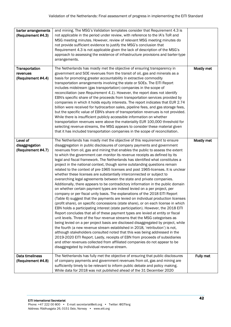| barter arrangements            | and mining. The MSG's Validation templates consider that Requirement 4.3 is                                                                                         |            |
|--------------------------------|---------------------------------------------------------------------------------------------------------------------------------------------------------------------|------------|
| (Requirement #4.3)             | not applicable in the period under review, with reference to the IA's ToR and<br>MSG meeting minutes. However, review of relevant MSG meeting minutes do            |            |
|                                | not provide sufficient evidence to justify the MSG's conclusion that                                                                                                |            |
|                                | Requirement 4.3 is not applicable given the lack of description of the MSG's                                                                                        |            |
|                                | approach to assessing the existence of infrastructure provisions and barter-type<br>arrangements.                                                                   |            |
|                                |                                                                                                                                                                     |            |
| Transportation                 | The Netherlands has mostly met the objective of ensuring transparency in                                                                                            | Mostly met |
| revenues<br>(Requirement #4.4) | government and SOE revenues from the transit of oil, gas and minerals as a<br>basis for promoting greater accountability in extractive commodity                    |            |
|                                | transportation arrangements involving the state or SOEs. The EITI Report                                                                                            |            |
|                                | includes midstream (gas transportation) companies in the scope of                                                                                                   |            |
|                                | reconciliation (see Requirement 4.1). However, the report does not identify<br>EBN's specific share of the proceeds from transportation services provided by        |            |
|                                | companies in which it holds equity interests. The report indicates that EUR 2.74                                                                                    |            |
|                                | billion were received for hydrocarbon sales, pipeline fees, and gas storage fees,                                                                                   |            |
|                                | but the specific value of EBN's share of transportation revenues is not provided.<br>While there is insufficient publicly accessible information on whether         |            |
|                                | transportation revenues were above the materiality EUR 100,000 threshold for                                                                                        |            |
|                                | selecting revenue streams, the MSG appears to consider these material given                                                                                         |            |
|                                | that it has included transportation companies in the scope of reconciliation.                                                                                       |            |
| Level of                       | The Netherlands has mostly met the objective of this requirement to ensure                                                                                          | Mostly met |
| disaggregation                 | disaggregation in public disclosures of company payments and government                                                                                             |            |
| (Requirement #4.7)             | revenues from oil, gas and mining that enables the public to assess the extent<br>to which the government can monitor its revenue receipts as defined by its        |            |
|                                | legal and fiscal framework. The Netherlands has identified what constitutes a                                                                                       |            |
|                                | project in the national context, though some outstanding questions remain                                                                                           |            |
|                                | related to the context of pre-1965 licenses and post 1965-licenses. It is unclear<br>whether these licenses are substantially interconnected or subject to          |            |
|                                | overarching legal agreements between the state and private companies.                                                                                               |            |
|                                | Additionally, there appears to be contradictory information in the public domain                                                                                    |            |
|                                | on whether certain payment types are indeed levied on a per project, per<br>company or per fiscal unity basis. The explanations of the 2018 EITI Report             |            |
|                                | (Table 6) suggest that the payments are levied on individual production licenses                                                                                    |            |
|                                | (profit share), on specific concessions (state share), or on each license in which                                                                                  |            |
|                                | EBN holds a participating interest (state participation). However, the 2018 EITI<br>Report concludes that all of these payment types are levied at entity or fiscal |            |
|                                | unit levels. Three of the four revenue streams that the MSG categorises as                                                                                          |            |
|                                | being levied on a per project basis are disclosed disaggregated by project, while                                                                                   |            |
|                                | the fourth (a new revenue stream established in 2018, 'retribution') is not,<br>although stakeholders consulted noted that this was being addressed in the          |            |
|                                | 2019-2020 EITI Report. Lastly, receipts of EBN from proceeds of subsidiaries                                                                                        |            |
|                                | and other revenues collected from affiliated companies do not appear to be                                                                                          |            |
|                                | disaggregated by individual revenue stream.                                                                                                                         |            |
| Data timeliness                | The Netherlands has fully met the objective of ensuring that public disclosures                                                                                     | Fully met  |
| (Requirement #4.8)             | of company payments and government revenues from oil, gas and mining are<br>sufficiently timely to be relevant to inform public debate and policy making.           |            |
|                                | While data for 2018 was not published ahead of the 31 December 2020                                                                                                 |            |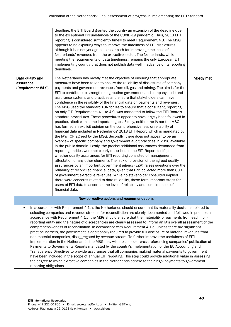|                                                                                                                                                                                                                                                                                                                                                                                                                                                                                                                                                                                                                                                                                                                                                                                                                                                                                                                                                                                                                                                                                                                                                                                                                                                                                                                                                                                               | deadline, the EITI Board granted the country an extension of the deadline due<br>to the exceptional circumstances of the COVID-19 pandemic. Thus, 2018 EITI<br>reporting is considered sufficiently timely to meet Requirement 4.8. The MSG<br>appears to be exploring ways to improve the timeliness of EITI disclosures,<br>although it has not yet agreed a clear path for improving timeliness of<br>Netherlands' revenues from the extractive sector. The Netherlands, while<br>meeting the requirements of data timeliness, remains the only European EITI<br>implementing country that does not publish data well in advance of its reporting<br>deadlines.                                                                                                                                                                                                                                                                                                                                                                                                                                                                                                                                                                                                                                                                                                                                                                                                                                                                                                                                                                                                                                                                                                                                                                                                                                                        |            |  |  |
|-----------------------------------------------------------------------------------------------------------------------------------------------------------------------------------------------------------------------------------------------------------------------------------------------------------------------------------------------------------------------------------------------------------------------------------------------------------------------------------------------------------------------------------------------------------------------------------------------------------------------------------------------------------------------------------------------------------------------------------------------------------------------------------------------------------------------------------------------------------------------------------------------------------------------------------------------------------------------------------------------------------------------------------------------------------------------------------------------------------------------------------------------------------------------------------------------------------------------------------------------------------------------------------------------------------------------------------------------------------------------------------------------|---------------------------------------------------------------------------------------------------------------------------------------------------------------------------------------------------------------------------------------------------------------------------------------------------------------------------------------------------------------------------------------------------------------------------------------------------------------------------------------------------------------------------------------------------------------------------------------------------------------------------------------------------------------------------------------------------------------------------------------------------------------------------------------------------------------------------------------------------------------------------------------------------------------------------------------------------------------------------------------------------------------------------------------------------------------------------------------------------------------------------------------------------------------------------------------------------------------------------------------------------------------------------------------------------------------------------------------------------------------------------------------------------------------------------------------------------------------------------------------------------------------------------------------------------------------------------------------------------------------------------------------------------------------------------------------------------------------------------------------------------------------------------------------------------------------------------------------------------------------------------------------------------------------------------|------------|--|--|
| Data quality and<br>assurance<br>(Requirement #4.9)                                                                                                                                                                                                                                                                                                                                                                                                                                                                                                                                                                                                                                                                                                                                                                                                                                                                                                                                                                                                                                                                                                                                                                                                                                                                                                                                           | The Netherlands has mostly met the objective of ensuring that appropriate<br>measures have been taken to ensure the reliability of disclosures of company<br>payments and government revenues from oil, gas and mining. The aim is for the<br>EITI to contribute to strengthening routine government and company audit and<br>assurance systems and practices and ensure that stakeholders can have<br>confidence in the reliability of the financial data on payments and revenues.<br>The MSG used the standard TOR for IAs to ensure that a consultant, reporting<br>on only EITI Requirements 4.1 to 4.9, was mandated to follow the EITI Board's<br>standard procedures. These procedures appear to have largely been followed in<br>practice, albeit with some important gaps. Firstly, neither the IA nor the MSG<br>has formed an explicit opinion on the comprehensiveness or reliability of<br>financial data included in Netherlands' 2018 EITI Report, which is mandated by<br>the IA's TOR agreed by the MSG. Secondly, there does not appear to be an<br>overview of specific company and government audit practices in 2018 available<br>in the public domain. Lastly, the precise additional assurances demanded from<br>reporting entities were not clearly described in the EITI Report itself (i.e.,<br>whether quality assurances for EITI reporting consisted of management<br>attestation or any other element). The lack of provision of the agreed quality<br>assurances by an important government agency (EZK) raises questions over the<br>reliability of reconciled financial data, given that EZK collected more than 60%<br>of government extractive revenues. While no stakeholder consulted implied<br>there were concerns related to data reliability, these form important steps for<br>users of EITI data to ascertain the level of reliability and completeness of<br>financial data. | Mostly met |  |  |
|                                                                                                                                                                                                                                                                                                                                                                                                                                                                                                                                                                                                                                                                                                                                                                                                                                                                                                                                                                                                                                                                                                                                                                                                                                                                                                                                                                                               | New corrective actions and recommendations                                                                                                                                                                                                                                                                                                                                                                                                                                                                                                                                                                                                                                                                                                                                                                                                                                                                                                                                                                                                                                                                                                                                                                                                                                                                                                                                                                                                                                                                                                                                                                                                                                                                                                                                                                                                                                                                                |            |  |  |
| In accordance with Requirement 4.1.a, the Netherlands should ensure that its materiality decisions related to<br>selecting companies and revenue streams for reconciliation are clearly documented and followed in practice. In<br>accordance with Requirement 4.1.c, the MSG should ensure that the materiality of payments from each non-<br>reporting entity and the nature of discrepancies are clearly assessed to inform an IA's overall assessment of the<br>comprehensiveness of reconciliation. In accordance with Requirement 4.1.d, unless there are significant<br>practical barriers, the government is additionally required to provide full disclosure of material revenues from<br>non-material companies, disaggregated by revenue stream. To further improve the usefulness of EITI<br>implementation in the Netherlands, the MSG may wish to consider cross referencing companies' publication of<br>Payments to Governments Reports mandated by the country's implementation of the EU Accounting and<br>Transparency Directives to provide assurances that all companies making material payments to government<br>have been included in the scope of annual EITI reporting. This step could provide additional value in assessing<br>the degree to which extractive companies in the Netherlands adhere to their legal payments to government<br>reporting obligations. |                                                                                                                                                                                                                                                                                                                                                                                                                                                                                                                                                                                                                                                                                                                                                                                                                                                                                                                                                                                                                                                                                                                                                                                                                                                                                                                                                                                                                                                                                                                                                                                                                                                                                                                                                                                                                                                                                                                           |            |  |  |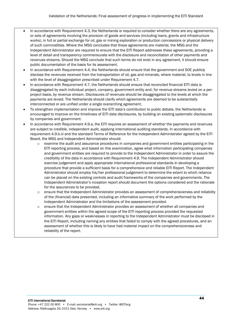- In accordance with Requirement 4.3, the Netherlands is required to consider whether there are any agreements, or sets of agreements involving the provision of goods and services (including loans, grants and infrastructure works), in full or partial exchange for oil, gas or mining exploration or production concessions or physical delivery of such commodities. Where the MSG concludes that these agreements are material, the MSG and the Independent Administrator are required to ensure that the EITI Report addresses these agreements, providing a level of detail and transparency commensurate with the disclosure and reconciliation of other payments and revenues streams. Should the MSG conclude that such terms do not exist in any agreement, it should ensure public documentation of the basis for its assessment.
- In accordance with Requirement 4.4, the Netherlands should ensure that the government and SOE publicly disclose the revenues received from the transportation of oil, gas and minerals, where material, to levels in line with the level of disaggregation prescribed under Requirement 4.7.
- In accordance with Requirement 4.7, the Netherlands should ensure that reconciled financial EITI data is disaggregated by each individual project, company, government entity and, for revenue streams levied on a perproject basis, by revenue stream. Disclosures of revenues should be disaggregated to the levels at which the payments are levied. The Netherlands should clarify which agreements are deemed to be substantially interconnected or are unified under a single overarching agreement.
- To strengthen implementation and improve the EITI data's contribution to public debate, the Netherlands is encouraged to improve on the timeliness of EITI data disclosures, by building on existing systematic disclosures by companies and government.
- In accordance with Requirement 4.9.a, the EITI requires an assessment of whether the payments and revenues are subject to credible, independent audit, applying international auditing standards. In accordance with requirement 4.9.b.iii and the standard Terms of Reference for the Independent Administrator agreed by the EITI Board, the MSG and Independent Administrator should:
	- $\circ$  examine the audit and assurance procedures in companies and government entities participating in the EITI reporting process, and based on this examination, agree what information participating companies and government entities are required to provide to the Independent Administrator in order to assure the credibility of the data in accordance with Requirement 4.9. The Independent Administrator should exercise judgement and apply appropriate international professional standards in developing a procedure that provide a sufficient basis for a comprehensive and reliable EITI Report. The Independent Administrator should employ his/her professional judgement to determine the extent to which reliance can be placed on the existing controls and audit frameworks of the companies and governments. The Independent Administrator's inception report should document the options considered and the rationale for the assurances to be provided.
	- o ensure that the Independent Administrator provides an assessment of comprehensiveness and reliability of the (financial) data presented, including an informative summary of the work performed by the Independent Administrator and the limitations of the assessment provided.
	- o ensure that the Independent Administrator provides an assessment of whether all companies and government entities within the agreed scope of the EITI reporting process provided the requested information. Any gaps or weaknesses in reporting to the Independent Administrator must be disclosed in the EITI Report, including naming any entities that failed to comply with the agreed procedures, and an assessment of whether this is likely to have had material impact on the comprehensiveness and reliability of the report.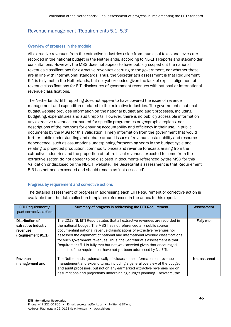#### Revenue management (Requirements 5.1, 5.3)

#### Overview of progress in the module

All extractive revenues from the extractive industries aside from municipal taxes and levies are recorded in the national budget in the Netherlands, according to NL-EITI Reports and stakeholder consultations. However, the MSG does not appear to have publicly scoped out the national revenues classifications for extractive revenues accruing to the government, nor whether these are in line with international standards. Thus, the Secretariat's assessment is that Requirement 5.1 is fully met in the Netherlands, but not yet exceeded given the lack of explicit alignment of revenue classifications for EITI disclosures of government revenues with national or international revenue classifications.

The Netherlands' EITI reporting does not appear to have covered the issue of revenue management and expenditures related to the extractive industries. The government's national budget website provides information on the national budget and audit processes, including budgeting, expenditures and audit reports. However, there is no publicly accessible information any extractive revenues earmarked for specific programmes or geographic regions, nor descriptions of the methods for ensuring accountability and efficiency in their use, in public documents by the MSG for this Validation. Timely information from the government that would further public understanding and debate around issues of revenue sustainability and resource dependence, such as assumptions underpinning forthcoming years in the budget cycle and relating to projected production, commodity prices and revenue forecasts arising from the extractive industries and the proportion of future fiscal revenues expected to come from the extractive sector, do not appear to be disclosed in documents referenced by the MSG for this Validation or disclosed on the NL-EITI website. The Secretariat's assessment is that Requirement 5.3 has not been exceeded and should remain as 'not assessed'.

#### Progress by requirement and corrective actions

The detailed assessment of progress in addressing each EITI Requirement or corrective action is available from the data collection templates referenced in the annex to this report.

| <b>EITI Requirement /</b><br>past corrective action                      | Summary of progress in addressing the EITI Requirement                                                                                                                                                                                                                                                                                                                                                                                                                                                                                   | Assessment       |
|--------------------------------------------------------------------------|------------------------------------------------------------------------------------------------------------------------------------------------------------------------------------------------------------------------------------------------------------------------------------------------------------------------------------------------------------------------------------------------------------------------------------------------------------------------------------------------------------------------------------------|------------------|
| Distribution of<br>extractive industry<br>revenues<br>(Requirement #5.1) | The 2018 NL-EITI Report states that all extractive revenues are recorded in<br>the national budget. The MSG has not referenced any public source<br>documenting national revenue classifications of extractive revenues nor<br>assessed the alignment of national and international revenue classifications<br>for such government revenues. Thus, the Secretariat's assessment is that<br>Requirement 5.1 is fully met but not yet exceeded given that encouraged<br>aspects of the requirement have not yet been addressed by NL-EITI. | <b>Fully met</b> |
| Revenue<br>management and                                                | The Netherlands systematically discloses some information on revenue<br>management and expenditures, including a general overview of the budget<br>and audit processes, but not on any earmarked extractive revenues nor on<br>assumptions and projections underpinning budget planning. Therefore, the                                                                                                                                                                                                                                  | Not assessed     |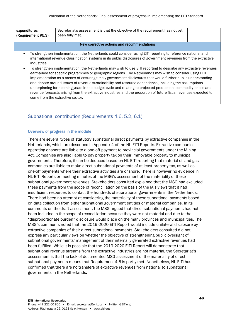| expenditures                                                                                                                  | Secretariat's assessment is that the objective of the requirement has not yet                                     |  |  |  |  |
|-------------------------------------------------------------------------------------------------------------------------------|-------------------------------------------------------------------------------------------------------------------|--|--|--|--|
| (Requirement #5.3)                                                                                                            | been fully met.                                                                                                   |  |  |  |  |
|                                                                                                                               |                                                                                                                   |  |  |  |  |
| New corrective actions and recommendations                                                                                    |                                                                                                                   |  |  |  |  |
|                                                                                                                               |                                                                                                                   |  |  |  |  |
| To strengthen implementation, the Netherlands could consider using EITI reporting to reference national and<br>$\bullet$      |                                                                                                                   |  |  |  |  |
| international revenue classification systems in its public disclosures of government revenues from the extractive             |                                                                                                                   |  |  |  |  |
| industries.                                                                                                                   |                                                                                                                   |  |  |  |  |
|                                                                                                                               |                                                                                                                   |  |  |  |  |
| To strengthen implementation, the Netherlands may wish to use EITI reporting to describe any extractive revenues<br>$\bullet$ |                                                                                                                   |  |  |  |  |
| earmarked for specific programmes or geographic regions. The Netherlands may wish to consider using EITI                      |                                                                                                                   |  |  |  |  |
| implementation as a means of ensuring timely government disclosures that would further public understanding                   |                                                                                                                   |  |  |  |  |
| and debate around issues of revenue sustainability and resource dependence, including the assumptions                         |                                                                                                                   |  |  |  |  |
| underpinning forthcoming years in the budget cycle and relating to projected production, commodity prices and                 |                                                                                                                   |  |  |  |  |
|                                                                                                                               | revenue forecasts arising from the extractive industries and the proportion of future fiscal revenues expected to |  |  |  |  |
|                                                                                                                               |                                                                                                                   |  |  |  |  |
|                                                                                                                               | come from the extractive sector.                                                                                  |  |  |  |  |

#### Subnational contribution (Requirements 4.6, 5.2, 6.1)

#### Overview of progress in the module

There are several types of statutory subnational direct payments by extractive companies in the Netherlands, which are described in Appendix 4 of the NL-EITI Reports. Extractive companies operating onshore are liable to a one-off payment to provincial governments under the Mining Act. Companies are also liable to pay property tax on their immovable property to municipal governments. Therefore, it can be deduced based on NL-EITI reporting that material oil and gas companies are liable to make direct subnational payments of at least property tax, as well as one-off payments where their extractive activities are onshore. There is however no evidence in NL-EITI Reports or meeting minutes of the MSG's assessment of the materiality of these subnational government revenues. Stakeholders consulted explained that the MSG had excluded these payments from the scope of reconciliation on the basis of the IA's views that it had insufficient resources to contact the hundreds of subnational governments in the Netherlands. There had been no attempt at considering the materiality of these subnational payments based on data collection from either subnational government entities or material companies. In its comments on the draft assessment, the MSG argued that direct subnational payments had not been included in the scope of reconciliation because they were not material and due to the "disproportionate burden" disclosure would place on the many provinces and municipalities. The MSG's comments noted that the 2019-2020 EITI Report would include unilateral disclosure by extractive companies of their direct subnational payments. Stakeholders consulted did not express any particular views on whether the objective of strengthening public oversight of subnational governments' management of their internally generated extractive revenues had been fulfilled. While it is possible that the 2019-2020 EITI Report will demonstrate that subnational revenue streams from the extractive industries are not material, the Secretariat's assessment is that the lack of documented MSG assessment of the materiality of direct subnational payments means that Requirement 4.6 is partly met. Nonetheless, NL-EITI has confirmed that there are no transfers of extractive revenues from national to subnational governments in the Netherlands.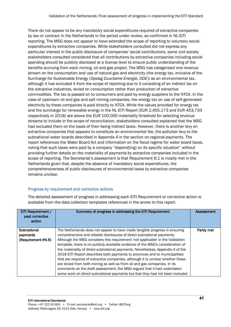There do not appear to be any mandatory social expenditures required of extractive companies by law or contract in the Netherlands in the period under review, as confirmed in NL-EITI reporting. The MSG does not appear to have extended the scope of reporting to voluntary social expenditures by extractive companies. While stakeholders consulted did not express any particular interest in the public disclosure of companies' social contributions, some civil society stakeholders consulted considered that all contributions by extractive companies including social spending should be publicly disclosed at a license level to ensure public understanding of the benefits accruing from each mining, oil and gas project. The MSG has categorised one revenue stream on the consumption and use of natural gas and electricity (the energy tax, inclusive of the Surcharge for Sustainable Energy (*Opslag Duurzame Energie, ODE*)) as an environmental tax, although it has excluded it from the scope of reporting due to it consisting of an indirect tax on the extractive industries, levied on consumption rather than production of extractive commodities. The tax is passed on to consumers and paid by energy suppliers to the NTCA. In the case of upstream oil and gas and salt mining companies, the energy tax on use of self-generated electricity by these companies is paid directly to NTCA. While the values provided for energy tax and the surcharge for renewable energy in the NL-EITI Report (EUR 2,455,173 and EUR 453,733 respectively in 2018) are above the EUR 100,000 materiality threshold for selecting revenue streams to include in the scope of reconciliation, stakeholders consulted explained that the MSG had excluded them on the basis of their being indirect taxes. However, there is another levy on extractive companies that appears to constitute an environmental fee, the pollution levy to the subnational water boards described in Appendix 4 in the section on regional payments. The report references the Water Board Act and information on the fiscal regime for water board taxes, noting that such taxes were paid by a company "depend[ing] on its specific situation" without providing further details on the materiality of payments by extractive companies included in the scope of reporting. The Secretariat's assessment is that Requirement 6.1 is mostly met in the Netherlands given that, despite the absence of mandatory social expenditures, the comprehensiveness of public disclosures of environmental taxes by extractive companies remains unclear.

#### Progress by requirement and corrective actions

| <b>EITI Requirement /</b><br>past corrective<br>action | Summary of progress in addressing the EITI Requirement                                                                                                                                                                                                                                                                                                                                                                                                                                                                                                                                                                                                                                                                                                                                                                | Assessment |
|--------------------------------------------------------|-----------------------------------------------------------------------------------------------------------------------------------------------------------------------------------------------------------------------------------------------------------------------------------------------------------------------------------------------------------------------------------------------------------------------------------------------------------------------------------------------------------------------------------------------------------------------------------------------------------------------------------------------------------------------------------------------------------------------------------------------------------------------------------------------------------------------|------------|
| Subnational<br>payments<br>(Requirement #4.6)          | The Netherlands does not appear to have made tangible progress in ensuring<br>comprehensive and reliable disclosures of direct subnational payments.<br>Although the MSG considers this requirement 'not applicable' in the Validation<br>template, there is no publicly available evidence of the MSG's consideration of<br>the materiality of direct subnational payments. Nonetheless, Appendix 4 of the<br>2018 EITI Report describes both payments to provinces and to municipalities<br>that are required of extractive companies, although it is unclear whether these<br>are levied from both mining as well as from oil and gas companies. In its<br>comments on the draft assessment, the MSG argued that it had undertaken<br>some work on direct subnational payments but that they had not been included | Partly met |

The detailed assessment of progress in addressing each EITI Requirement or corrective action is available from the data collection templates referenced in the annex to this report.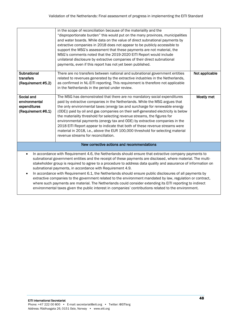|                                                                                                                                                                                                                                                                                                                                                                                                                                                                                                                                                                                                                                                                                                                                                                                                                                                                | in the scope of reconciliation because of the materiality and the<br>"disproportionate burden" this would put on the many provinces, municipalities<br>and water boards. While data on the value of direct subnational payments by<br>extractive companies in 2018 does not appear to be publicly accessible to<br>support the MSG's assessment that these payments are not material, the                                                                                                                                                                                                                                                                                                    |                |  |  |
|----------------------------------------------------------------------------------------------------------------------------------------------------------------------------------------------------------------------------------------------------------------------------------------------------------------------------------------------------------------------------------------------------------------------------------------------------------------------------------------------------------------------------------------------------------------------------------------------------------------------------------------------------------------------------------------------------------------------------------------------------------------------------------------------------------------------------------------------------------------|----------------------------------------------------------------------------------------------------------------------------------------------------------------------------------------------------------------------------------------------------------------------------------------------------------------------------------------------------------------------------------------------------------------------------------------------------------------------------------------------------------------------------------------------------------------------------------------------------------------------------------------------------------------------------------------------|----------------|--|--|
|                                                                                                                                                                                                                                                                                                                                                                                                                                                                                                                                                                                                                                                                                                                                                                                                                                                                | MSG's comments noted that the 2019-2020 EITI Report would include<br>unilateral disclosure by extractive companies of their direct subnational<br>payments, even if this report has not yet been published.                                                                                                                                                                                                                                                                                                                                                                                                                                                                                  |                |  |  |
| <b>Subnational</b><br>transfers<br>(Requirement #5.2)                                                                                                                                                                                                                                                                                                                                                                                                                                                                                                                                                                                                                                                                                                                                                                                                          | There are no transfers between national and subnational government entities<br>related to revenues generated by the extractive industries in the Netherlands,<br>as confirmed in NL-EITI reporting. This requirement is therefore not applicable<br>in the Netherlands in the period under review.                                                                                                                                                                                                                                                                                                                                                                                           | Not applicable |  |  |
| Social and<br>environmental<br>expenditures<br>(Requirement #6.1)                                                                                                                                                                                                                                                                                                                                                                                                                                                                                                                                                                                                                                                                                                                                                                                              | The MSG has demonstrated that there are no mandatory social expenditures<br>paid by extractive companies in the Netherlands. While the MSG argues that<br>the only environmental taxes (energy tax and surcharge for renewable energy<br>(ODE)) paid by oil and gas companies on their self-generated electricity is below<br>the materiality threshold for selecting revenue streams, the figures for<br>environmental payments (energy tax and ODE) by extractive companies in the<br>2018 EITI Report appear to indicate that both of these revenue streams were<br>material in 2018, i.e., above the EUR 100,000 threshold for selecting material<br>revenue streams for reconciliation. | Mostly met     |  |  |
| New corrective actions and recommendations                                                                                                                                                                                                                                                                                                                                                                                                                                                                                                                                                                                                                                                                                                                                                                                                                     |                                                                                                                                                                                                                                                                                                                                                                                                                                                                                                                                                                                                                                                                                              |                |  |  |
| In accordance with Requirement 4.6, the Netherlands should ensure that extractive company payments to<br>$\bullet$<br>subnational government entities and the receipt of these payments are disclosed, where material. The multi-<br>stakeholder group is required to agree to a procedure to address data quality and assurance of information on<br>subnational payments, in accordance with Requirement 4.9.<br>In accordance with Requirement 6.1, the Netherlands should ensure public disclosures of all payments by<br>extractive companies to the government related to the environment mandated by law, regulation or contract,<br>where such payments are material. The Netherlands could consider extending its EITI reporting to indirect<br>environmental taxes given the public interest in companies' contributions related to the environment. |                                                                                                                                                                                                                                                                                                                                                                                                                                                                                                                                                                                                                                                                                              |                |  |  |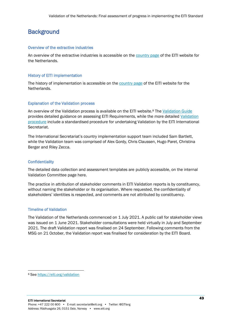## **Background**

#### Overview of the extractive industries

An overview of the extractive industries is accessible on th[e country page](https://eiti.org/netherlands#overview) of the EITI website for the Netherlands.

#### History of EITI implementation

The history of implementation is accessible on the [country page](https://eiti.org/netherlands#overview) of the EITI website for the Netherlands.

#### Explanation of the Validation process

An overview of the Validation process is available on the EITI website.<sup>8</sup> The [Validation Guide](https://eiti.org/document/validation-guide) provides detailed guidance on assessing EITI Requirements, while the more detailed [Validation](https://eiti.org/document/validation-procedures)  [procedure](https://eiti.org/document/validation-procedures) include a standardised procedure for undertaking Validation by the EITI International Secretariat.

The International Secretariat's country implementation support team included Sam Bartlett, while the Validation team was comprised of Alex Gordy, Chris Claussen, Hugo Paret, Christina Berger and Riley Zecca.

#### **Confidentiality**

The detailed data collection and assessment templates are publicly accessible, on the internal Validation Committee page here.

The practice in attribution of stakeholder comments in EITI Validation reports is by constituency, without naming the stakeholder or its organisation. Where requested, the confidentiality of stakeholders' identities is respected, and comments are not attributed by constituency.

#### Timeline of Validation

The Validation of the Netherlands commenced on 1 July 2021. A public call for stakeholder views was issued on 1 June 2021. Stakeholder consultations were held virtually in July and September 2021. The draft Validation report was finalised on 24 September. Following comments from the MSG on 21 October, the Validation report was finalised for consideration by the EITI Board.

<sup>8</sup> See<https://eiti.org/validation>